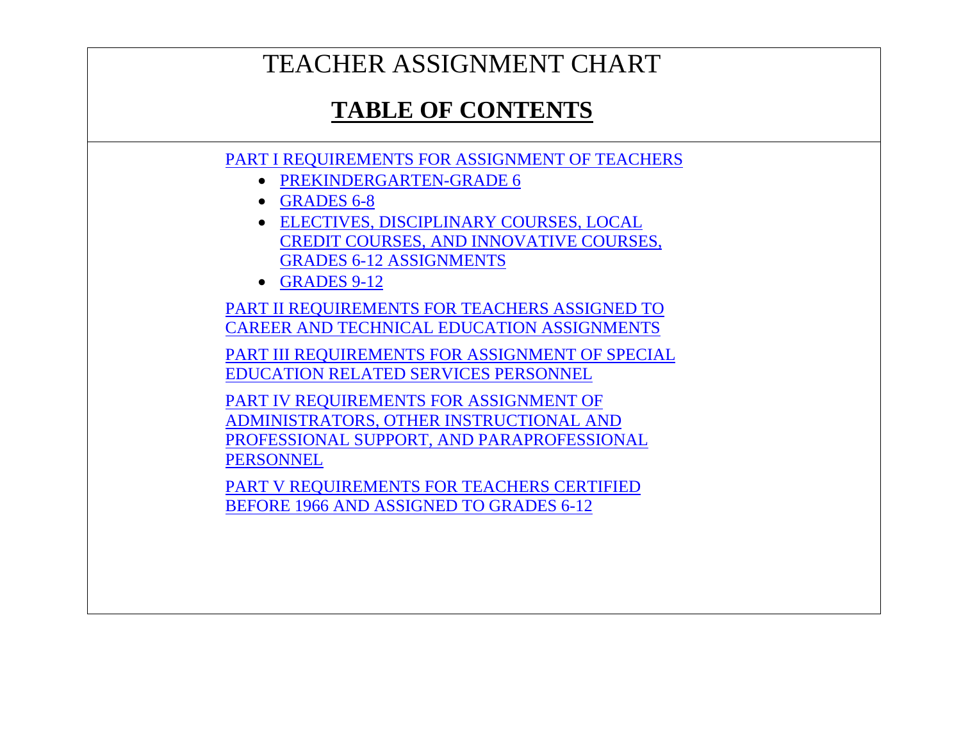# TEACHER ASSIGNMENT CHART

# **TABLE OF CONTENTS**

<span id="page-0-0"></span>[PART I REQUIREMENTS FOR ASSIGNMENT OF TEACHERS](#page-1-0)

- [PREKINDERGARTEN-GRADE 6](#page-2-0)
- [GRADES 6-8](#page-12-0)
- [ELECTIVES, DISCIPLINARY COURSES, LOCAL](#page-25-0)  [CREDIT COURSES, AND INNOVATIVE COURSES,](#page-25-0)  [GRADES 6-12 ASSIGNMENTS](#page-25-0)
- [GRADES 9-12](#page-26-0)

[PART II REQUIREMENTS FOR TEACHERS ASSIGNED TO](#page-42-0)  [CAREER AND TECHNICAL EDUCATION ASSIGNMENTS](#page-42-0)

[PART III REQUIREMENTS FOR ASSIGNMENT OF SPECIAL](#page-75-0)  [EDUCATION RELATED SERVICES PERSONNEL](#page-75-0)

[PART IV REQUIREMENTS FOR ASSIGNMENT OF](#page-79-0)  [ADMINISTRATORS, OTHER INSTRUCTIONAL AND](#page-79-0)  [PROFESSIONAL SUPPORT, AND PARAPROFESSIONAL](#page-79-0)  **[PERSONNEL](#page-79-0)** 

[PART V REQUIREMENTS FOR TEACHERS CERTIFIED](#page-82-0)  BEFORE [1966 AND ASSIGNED TO GRADES 6-12](#page-82-0)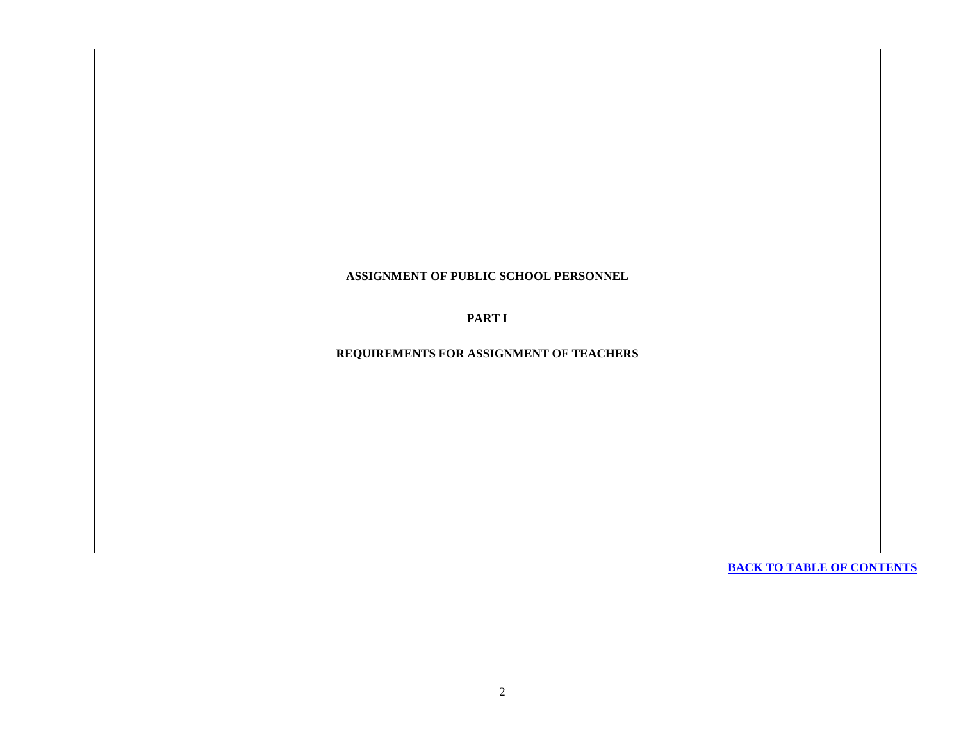### <span id="page-1-0"></span>**ASSIGNMENT OF PUBLIC SCHOOL PERSONNEL**

**PART I**

**REQUIREMENTS FOR ASSIGNMENT OF TEACHERS**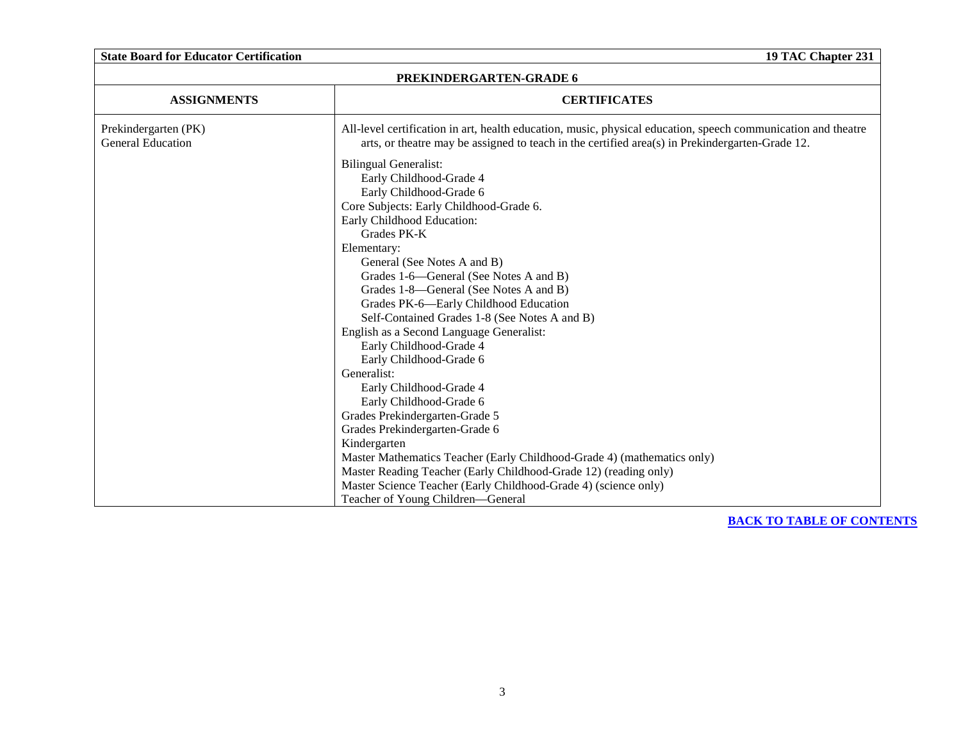<span id="page-2-0"></span>

| <b>State Board for Educator Certification</b><br>19 TAC Chapter 231 |                                                                                                                                                                                                                                                                                                                                                                                                                                                                                                                                                                                                                                                                                                                                                                                                                  |  |  |
|---------------------------------------------------------------------|------------------------------------------------------------------------------------------------------------------------------------------------------------------------------------------------------------------------------------------------------------------------------------------------------------------------------------------------------------------------------------------------------------------------------------------------------------------------------------------------------------------------------------------------------------------------------------------------------------------------------------------------------------------------------------------------------------------------------------------------------------------------------------------------------------------|--|--|
| PREKINDERGARTEN-GRADE 6                                             |                                                                                                                                                                                                                                                                                                                                                                                                                                                                                                                                                                                                                                                                                                                                                                                                                  |  |  |
| <b>ASSIGNMENTS</b>                                                  | <b>CERTIFICATES</b>                                                                                                                                                                                                                                                                                                                                                                                                                                                                                                                                                                                                                                                                                                                                                                                              |  |  |
| Prekindergarten (PK)<br><b>General Education</b>                    | All-level certification in art, health education, music, physical education, speech communication and theatre<br>arts, or theatre may be assigned to teach in the certified area(s) in Prekindergarten-Grade 12.                                                                                                                                                                                                                                                                                                                                                                                                                                                                                                                                                                                                 |  |  |
|                                                                     | <b>Bilingual Generalist:</b><br>Early Childhood-Grade 4<br>Early Childhood-Grade 6<br>Core Subjects: Early Childhood-Grade 6.<br>Early Childhood Education:<br>Grades PK-K<br>Elementary:<br>General (See Notes A and B)<br>Grades 1-6—General (See Notes A and B)<br>Grades 1-8—General (See Notes A and B)<br>Grades PK-6-Early Childhood Education<br>Self-Contained Grades 1-8 (See Notes A and B)<br>English as a Second Language Generalist:<br>Early Childhood-Grade 4<br>Early Childhood-Grade 6<br>Generalist:<br>Early Childhood-Grade 4<br>Early Childhood-Grade 6<br>Grades Prekindergarten-Grade 5<br>Grades Prekindergarten-Grade 6<br>Kindergarten<br>Master Mathematics Teacher (Early Childhood-Grade 4) (mathematics only)<br>Master Reading Teacher (Early Childhood-Grade 12) (reading only) |  |  |
|                                                                     | Master Science Teacher (Early Childhood-Grade 4) (science only)<br>Teacher of Young Children-General                                                                                                                                                                                                                                                                                                                                                                                                                                                                                                                                                                                                                                                                                                             |  |  |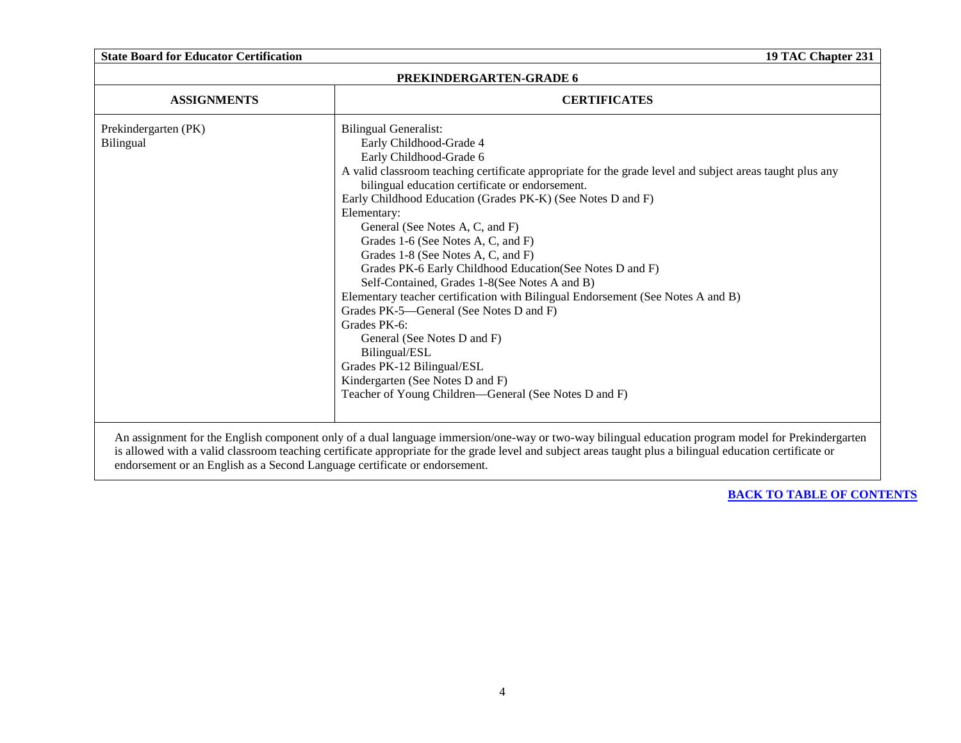| 19 TAC Chapter 231      |                                                                                                                                                           |  |  |
|-------------------------|-----------------------------------------------------------------------------------------------------------------------------------------------------------|--|--|
| PREKINDERGARTEN-GRADE 6 |                                                                                                                                                           |  |  |
| <b>ASSIGNMENTS</b>      | <b>CERTIFICATES</b>                                                                                                                                       |  |  |
| Prekindergarten (PK)    | <b>Bilingual Generalist:</b>                                                                                                                              |  |  |
| Bilingual               | Early Childhood-Grade 4                                                                                                                                   |  |  |
|                         | Early Childhood-Grade 6                                                                                                                                   |  |  |
|                         | A valid classroom teaching certificate appropriate for the grade level and subject areas taught plus any                                                  |  |  |
|                         | bilingual education certificate or endorsement.                                                                                                           |  |  |
|                         | Early Childhood Education (Grades PK-K) (See Notes D and F)                                                                                               |  |  |
|                         | Elementary:                                                                                                                                               |  |  |
|                         | General (See Notes A, C, and F)                                                                                                                           |  |  |
|                         | Grades 1-6 (See Notes A, C, and F)                                                                                                                        |  |  |
|                         | Grades 1-8 (See Notes A, C, and F)                                                                                                                        |  |  |
|                         | Grades PK-6 Early Childhood Education (See Notes D and F)                                                                                                 |  |  |
|                         | Self-Contained, Grades 1-8(See Notes A and B)                                                                                                             |  |  |
|                         | Elementary teacher certification with Bilingual Endorsement (See Notes A and B)                                                                           |  |  |
|                         | Grades PK-5—General (See Notes D and F)                                                                                                                   |  |  |
|                         | Grades PK-6:                                                                                                                                              |  |  |
|                         | General (See Notes D and F)                                                                                                                               |  |  |
|                         | Bilingual/ESL                                                                                                                                             |  |  |
|                         | Grades PK-12 Bilingual/ESL                                                                                                                                |  |  |
|                         | Kindergarten (See Notes D and F)                                                                                                                          |  |  |
|                         | Teacher of Young Children-General (See Notes D and F)                                                                                                     |  |  |
|                         |                                                                                                                                                           |  |  |
|                         |                                                                                                                                                           |  |  |
|                         | An assignment for the English component only of a dual language immersion/one-way or two-way bilingual education program model for Prekindergarten        |  |  |
|                         | is allowed with a valid classroom teaching certificate appropriate for the grade level and subject areas taught plus a bilingual education certificate or |  |  |
|                         | endorsement or an English as a Second Language certificate or endorsement.                                                                                |  |  |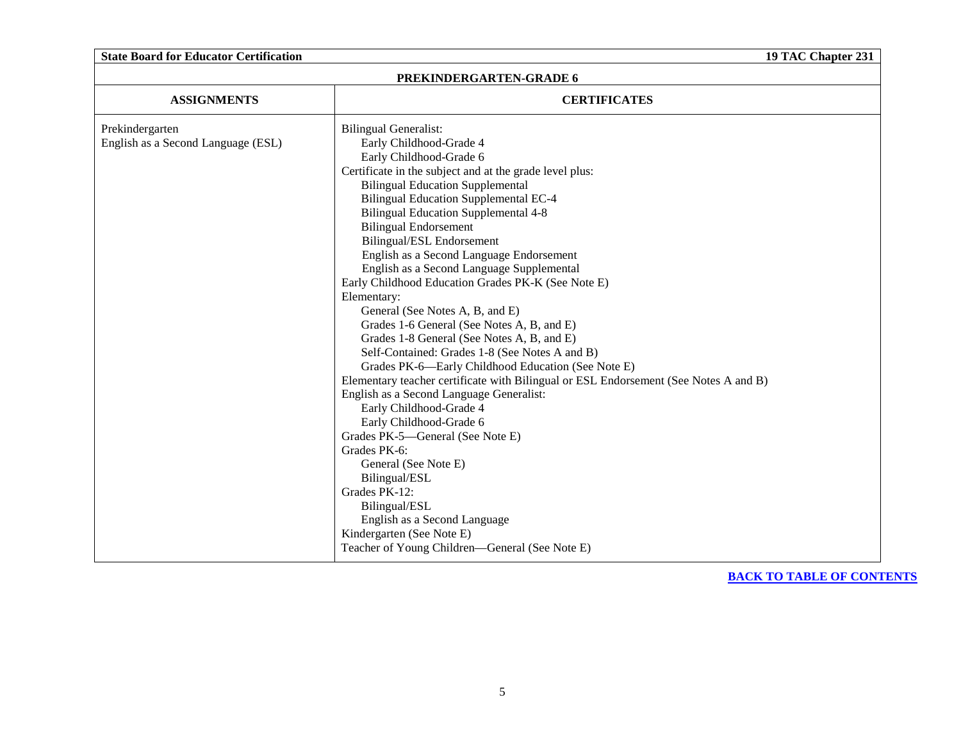|  | <b>State Board for Educator Certification</b> |  |
|--|-----------------------------------------------|--|
|--|-----------------------------------------------|--|

| PREKINDERGARTEN-GRADE 6            |                                                                                      |  |  |
|------------------------------------|--------------------------------------------------------------------------------------|--|--|
| <b>ASSIGNMENTS</b>                 | <b>CERTIFICATES</b>                                                                  |  |  |
| Prekindergarten                    | <b>Bilingual Generalist:</b>                                                         |  |  |
| English as a Second Language (ESL) | Early Childhood-Grade 4                                                              |  |  |
|                                    | Early Childhood-Grade 6                                                              |  |  |
|                                    | Certificate in the subject and at the grade level plus:                              |  |  |
|                                    | <b>Bilingual Education Supplemental</b>                                              |  |  |
|                                    | <b>Bilingual Education Supplemental EC-4</b>                                         |  |  |
|                                    | <b>Bilingual Education Supplemental 4-8</b>                                          |  |  |
|                                    | <b>Bilingual Endorsement</b>                                                         |  |  |
|                                    | Bilingual/ESL Endorsement                                                            |  |  |
|                                    | English as a Second Language Endorsement                                             |  |  |
|                                    | English as a Second Language Supplemental                                            |  |  |
|                                    | Early Childhood Education Grades PK-K (See Note E)                                   |  |  |
|                                    | Elementary:                                                                          |  |  |
|                                    | General (See Notes A, B, and E)                                                      |  |  |
|                                    | Grades 1-6 General (See Notes A, B, and E)                                           |  |  |
|                                    | Grades 1-8 General (See Notes A, B, and E)                                           |  |  |
|                                    | Self-Contained: Grades 1-8 (See Notes A and B)                                       |  |  |
|                                    | Grades PK-6-Early Childhood Education (See Note E)                                   |  |  |
|                                    | Elementary teacher certificate with Bilingual or ESL Endorsement (See Notes A and B) |  |  |
|                                    | English as a Second Language Generalist:                                             |  |  |
|                                    | Early Childhood-Grade 4                                                              |  |  |
|                                    | Early Childhood-Grade 6                                                              |  |  |
|                                    | Grades PK-5—General (See Note E)<br>Grades PK-6:                                     |  |  |
|                                    |                                                                                      |  |  |
|                                    | General (See Note E)                                                                 |  |  |
|                                    | Bilingual/ESL<br>Grades PK-12:                                                       |  |  |
|                                    | Bilingual/ESL                                                                        |  |  |
|                                    | English as a Second Language                                                         |  |  |
|                                    | Kindergarten (See Note E)                                                            |  |  |
|                                    | Teacher of Young Children—General (See Note E)                                       |  |  |
|                                    |                                                                                      |  |  |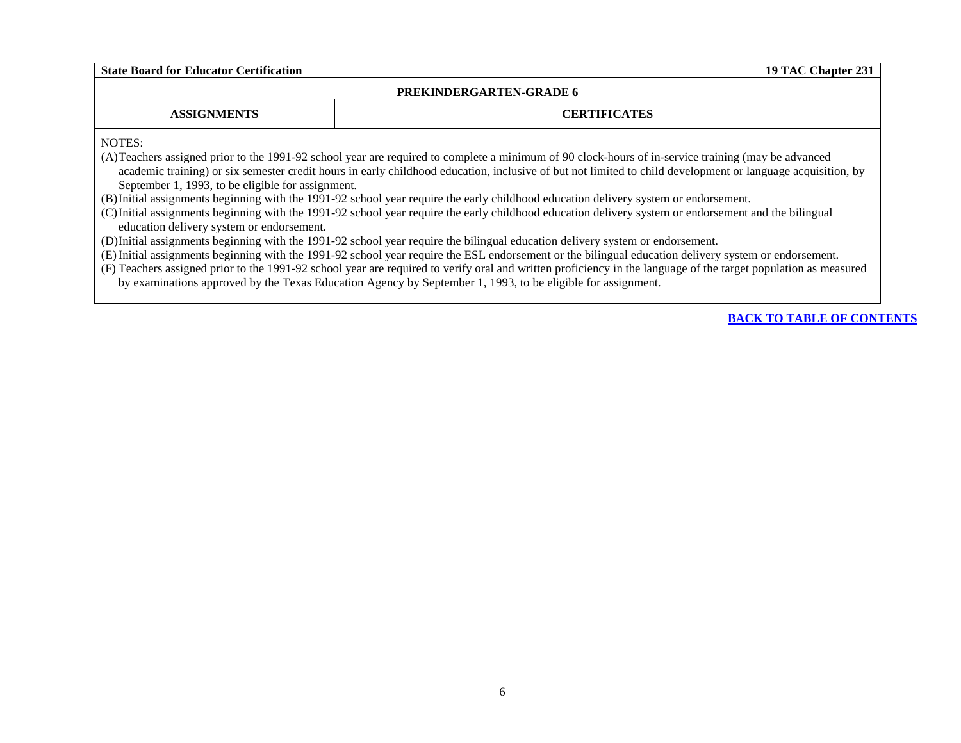### **PREKINDERGARTEN-GRADE 6**

**ASSIGNMENTS CERTIFICATES**

NOTES:

(A)Teachers assigned prior to the 1991-92 school year are required to complete a minimum of 90 clock-hours of in-service training (may be advanced academic training) or six semester credit hours in early childhood education, inclusive of but not limited to child development or language acquisition, by September 1, 1993, to be eligible for assignment.

(B)Initial assignments beginning with the 1991-92 school year require the early childhood education delivery system or endorsement.

(C)Initial assignments beginning with the 1991-92 school year require the early childhood education delivery system or endorsement and the bilingual education delivery system or endorsement.

(D)Initial assignments beginning with the 1991-92 school year require the bilingual education delivery system or endorsement.

(E)Initial assignments beginning with the 1991-92 school year require the ESL endorsement or the bilingual education delivery system or endorsement.

(F) Teachers assigned prior to the 1991-92 school year are required to verify oral and written proficiency in the language of the target population as measured by examinations approved by the Texas Education Agency by September 1, 1993, to be eligible for assignment.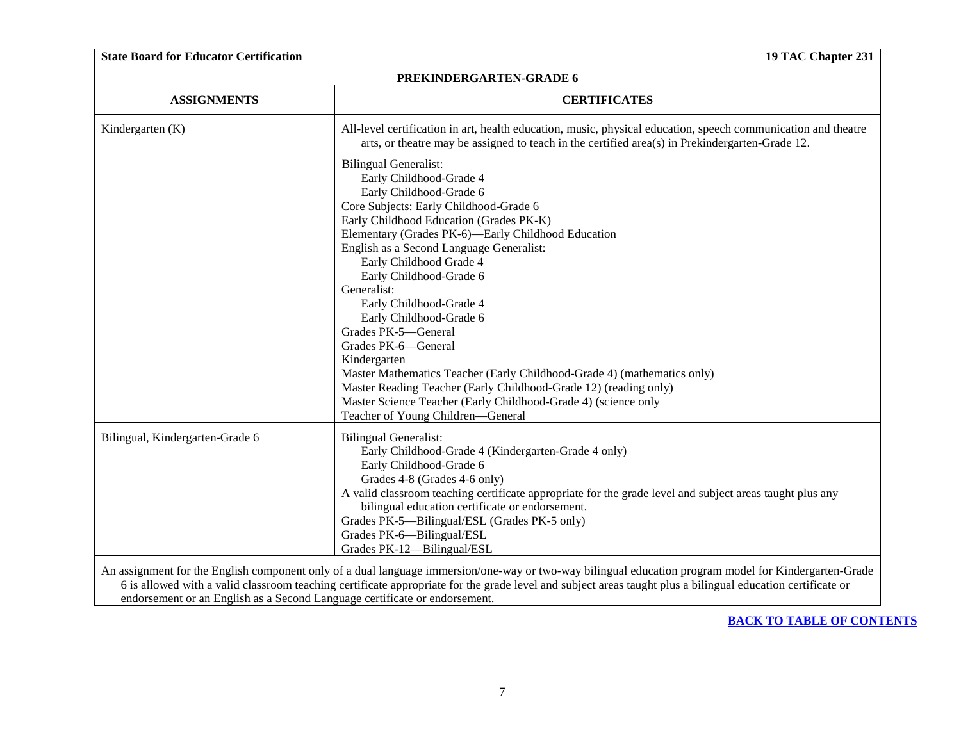| <b>State Board for Educator Certification</b> | 19 TAC Chapter 231                                                                                                                                                                                               |  |  |
|-----------------------------------------------|------------------------------------------------------------------------------------------------------------------------------------------------------------------------------------------------------------------|--|--|
| PREKINDERGARTEN-GRADE 6                       |                                                                                                                                                                                                                  |  |  |
| <b>ASSIGNMENTS</b>                            | <b>CERTIFICATES</b>                                                                                                                                                                                              |  |  |
| Kindergarten $(K)$                            | All-level certification in art, health education, music, physical education, speech communication and theatre<br>arts, or theatre may be assigned to teach in the certified area(s) in Prekindergarten-Grade 12. |  |  |
|                                               | <b>Bilingual Generalist:</b><br>Early Childhood-Grade 4                                                                                                                                                          |  |  |
|                                               | Early Childhood-Grade 6                                                                                                                                                                                          |  |  |
|                                               | Core Subjects: Early Childhood-Grade 6                                                                                                                                                                           |  |  |
|                                               | Early Childhood Education (Grades PK-K)                                                                                                                                                                          |  |  |
|                                               | Elementary (Grades PK-6)-Early Childhood Education                                                                                                                                                               |  |  |
|                                               | English as a Second Language Generalist:                                                                                                                                                                         |  |  |
|                                               | Early Childhood Grade 4                                                                                                                                                                                          |  |  |
|                                               | Early Childhood-Grade 6<br>Generalist:                                                                                                                                                                           |  |  |
|                                               | Early Childhood-Grade 4                                                                                                                                                                                          |  |  |
|                                               | Early Childhood-Grade 6                                                                                                                                                                                          |  |  |
|                                               | Grades PK-5-General                                                                                                                                                                                              |  |  |
|                                               | Grades PK-6-General                                                                                                                                                                                              |  |  |
|                                               | Kindergarten                                                                                                                                                                                                     |  |  |
|                                               | Master Mathematics Teacher (Early Childhood-Grade 4) (mathematics only)                                                                                                                                          |  |  |
|                                               | Master Reading Teacher (Early Childhood-Grade 12) (reading only)                                                                                                                                                 |  |  |
|                                               | Master Science Teacher (Early Childhood-Grade 4) (science only<br>Teacher of Young Children-General                                                                                                              |  |  |
| Bilingual, Kindergarten-Grade 6               | <b>Bilingual Generalist:</b>                                                                                                                                                                                     |  |  |
|                                               | Early Childhood-Grade 4 (Kindergarten-Grade 4 only)                                                                                                                                                              |  |  |
|                                               | Early Childhood-Grade 6                                                                                                                                                                                          |  |  |
|                                               | Grades 4-8 (Grades 4-6 only)                                                                                                                                                                                     |  |  |
|                                               | A valid classroom teaching certificate appropriate for the grade level and subject areas taught plus any                                                                                                         |  |  |
|                                               | bilingual education certificate or endorsement.                                                                                                                                                                  |  |  |
|                                               | Grades PK-5—Bilingual/ESL (Grades PK-5 only)<br>Grades PK-6-Bilingual/ESL                                                                                                                                        |  |  |
|                                               | Grades PK-12-Bilingual/ESL                                                                                                                                                                                       |  |  |

endorsement or an English as a Second Language certificate or endorsement.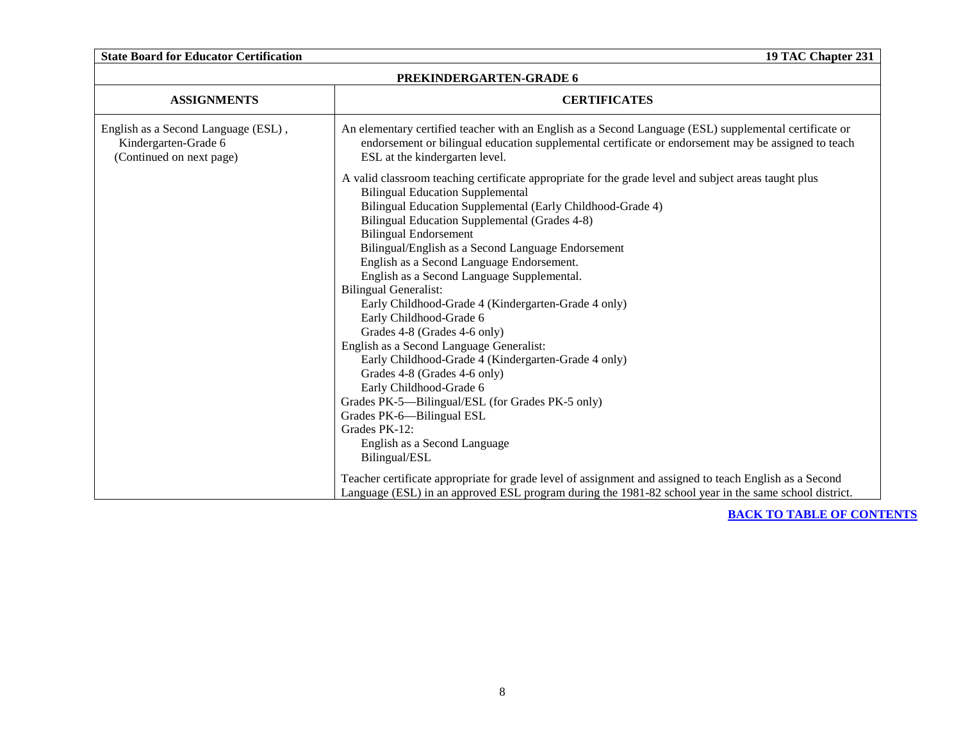| PREKINDERGARTEN-GRADE 6                                                                 |                                                                                                                                                                                                                                                                                                                                                                                                                                                                                                                                                                                                                                               |  |  |  |
|-----------------------------------------------------------------------------------------|-----------------------------------------------------------------------------------------------------------------------------------------------------------------------------------------------------------------------------------------------------------------------------------------------------------------------------------------------------------------------------------------------------------------------------------------------------------------------------------------------------------------------------------------------------------------------------------------------------------------------------------------------|--|--|--|
| <b>ASSIGNMENTS</b>                                                                      | <b>CERTIFICATES</b>                                                                                                                                                                                                                                                                                                                                                                                                                                                                                                                                                                                                                           |  |  |  |
| English as a Second Language (ESL),<br>Kindergarten-Grade 6<br>(Continued on next page) | An elementary certified teacher with an English as a Second Language (ESL) supplemental certificate or<br>endorsement or bilingual education supplemental certificate or endorsement may be assigned to teach<br>ESL at the kindergarten level.                                                                                                                                                                                                                                                                                                                                                                                               |  |  |  |
|                                                                                         | A valid classroom teaching certificate appropriate for the grade level and subject areas taught plus<br><b>Bilingual Education Supplemental</b><br>Bilingual Education Supplemental (Early Childhood-Grade 4)<br>Bilingual Education Supplemental (Grades 4-8)<br><b>Bilingual Endorsement</b><br>Bilingual/English as a Second Language Endorsement<br>English as a Second Language Endorsement.<br>English as a Second Language Supplemental.<br><b>Bilingual Generalist:</b><br>Early Childhood-Grade 4 (Kindergarten-Grade 4 only)<br>Early Childhood-Grade 6<br>Grades 4-8 (Grades 4-6 only)<br>English as a Second Language Generalist: |  |  |  |
|                                                                                         | Early Childhood-Grade 4 (Kindergarten-Grade 4 only)<br>Grades 4-8 (Grades 4-6 only)<br>Early Childhood-Grade 6<br>Grades PK-5—Bilingual/ESL (for Grades PK-5 only)<br>Grades PK-6-Bilingual ESL<br>Grades PK-12:<br>English as a Second Language<br>Bilingual/ESL<br>Teacher certificate appropriate for grade level of assignment and assigned to teach English as a Second                                                                                                                                                                                                                                                                  |  |  |  |
|                                                                                         | Language (ESL) in an approved ESL program during the 1981-82 school year in the same school district.                                                                                                                                                                                                                                                                                                                                                                                                                                                                                                                                         |  |  |  |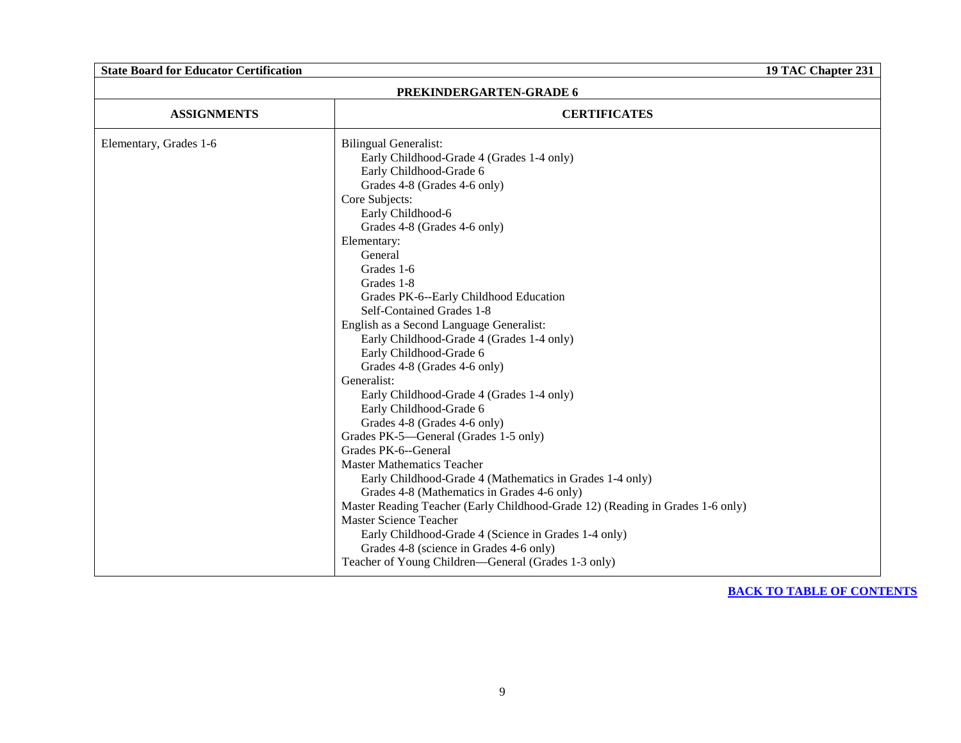| PREKINDERGARTEN-GRADE 6 |                                                                                                                                                                                                                                                                                                                                                                                                                                                                                                                                                                                                                                                                                                                                                                                                                                                                                                                                                                                                                                                                                                            |  |  |
|-------------------------|------------------------------------------------------------------------------------------------------------------------------------------------------------------------------------------------------------------------------------------------------------------------------------------------------------------------------------------------------------------------------------------------------------------------------------------------------------------------------------------------------------------------------------------------------------------------------------------------------------------------------------------------------------------------------------------------------------------------------------------------------------------------------------------------------------------------------------------------------------------------------------------------------------------------------------------------------------------------------------------------------------------------------------------------------------------------------------------------------------|--|--|
| <b>ASSIGNMENTS</b>      | <b>CERTIFICATES</b>                                                                                                                                                                                                                                                                                                                                                                                                                                                                                                                                                                                                                                                                                                                                                                                                                                                                                                                                                                                                                                                                                        |  |  |
| Elementary, Grades 1-6  | <b>Bilingual Generalist:</b><br>Early Childhood-Grade 4 (Grades 1-4 only)<br>Early Childhood-Grade 6<br>Grades 4-8 (Grades 4-6 only)<br>Core Subjects:<br>Early Childhood-6<br>Grades 4-8 (Grades 4-6 only)<br>Elementary:<br>General<br>Grades 1-6<br>Grades 1-8<br>Grades PK-6--Early Childhood Education<br>Self-Contained Grades 1-8<br>English as a Second Language Generalist:<br>Early Childhood-Grade 4 (Grades 1-4 only)<br>Early Childhood-Grade 6<br>Grades 4-8 (Grades 4-6 only)<br>Generalist:<br>Early Childhood-Grade 4 (Grades 1-4 only)<br>Early Childhood-Grade 6<br>Grades 4-8 (Grades 4-6 only)<br>Grades PK-5—General (Grades 1-5 only)<br>Grades PK-6--General<br><b>Master Mathematics Teacher</b><br>Early Childhood-Grade 4 (Mathematics in Grades 1-4 only)<br>Grades 4-8 (Mathematics in Grades 4-6 only)<br>Master Reading Teacher (Early Childhood-Grade 12) (Reading in Grades 1-6 only)<br>Master Science Teacher<br>Early Childhood-Grade 4 (Science in Grades 1-4 only)<br>Grades 4-8 (science in Grades 4-6 only)<br>Teacher of Young Children-General (Grades 1-3 only) |  |  |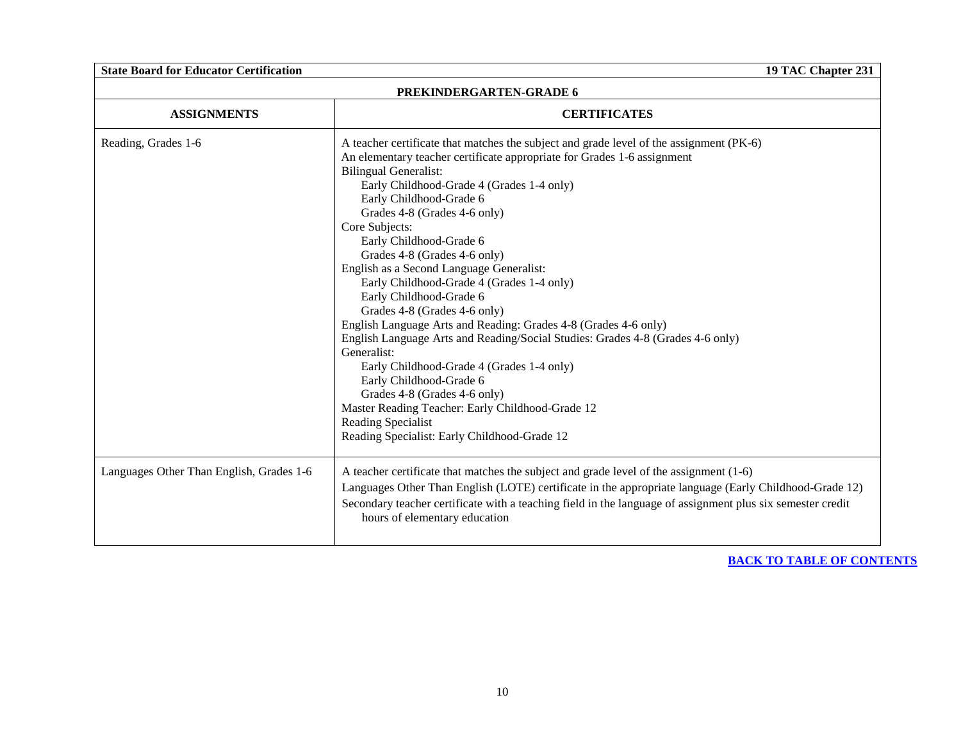| PREKINDERGARTEN-GRADE 6                  |                                                                                                                                                                                                                                                                                                                                                                                                                                                                                                                                                                                                                                                                                                                                                                                                                                                                                                                                                   |  |  |
|------------------------------------------|---------------------------------------------------------------------------------------------------------------------------------------------------------------------------------------------------------------------------------------------------------------------------------------------------------------------------------------------------------------------------------------------------------------------------------------------------------------------------------------------------------------------------------------------------------------------------------------------------------------------------------------------------------------------------------------------------------------------------------------------------------------------------------------------------------------------------------------------------------------------------------------------------------------------------------------------------|--|--|
| <b>ASSIGNMENTS</b>                       | <b>CERTIFICATES</b>                                                                                                                                                                                                                                                                                                                                                                                                                                                                                                                                                                                                                                                                                                                                                                                                                                                                                                                               |  |  |
| Reading, Grades 1-6                      | A teacher certificate that matches the subject and grade level of the assignment (PK-6)<br>An elementary teacher certificate appropriate for Grades 1-6 assignment<br><b>Bilingual Generalist:</b><br>Early Childhood-Grade 4 (Grades 1-4 only)<br>Early Childhood-Grade 6<br>Grades 4-8 (Grades 4-6 only)<br>Core Subjects:<br>Early Childhood-Grade 6<br>Grades 4-8 (Grades 4-6 only)<br>English as a Second Language Generalist:<br>Early Childhood-Grade 4 (Grades 1-4 only)<br>Early Childhood-Grade 6<br>Grades 4-8 (Grades 4-6 only)<br>English Language Arts and Reading: Grades 4-8 (Grades 4-6 only)<br>English Language Arts and Reading/Social Studies: Grades 4-8 (Grades 4-6 only)<br>Generalist:<br>Early Childhood-Grade 4 (Grades 1-4 only)<br>Early Childhood-Grade 6<br>Grades 4-8 (Grades 4-6 only)<br>Master Reading Teacher: Early Childhood-Grade 12<br>Reading Specialist<br>Reading Specialist: Early Childhood-Grade 12 |  |  |
| Languages Other Than English, Grades 1-6 | A teacher certificate that matches the subject and grade level of the assignment (1-6)<br>Languages Other Than English (LOTE) certificate in the appropriate language (Early Childhood-Grade 12)<br>Secondary teacher certificate with a teaching field in the language of assignment plus six semester credit<br>hours of elementary education                                                                                                                                                                                                                                                                                                                                                                                                                                                                                                                                                                                                   |  |  |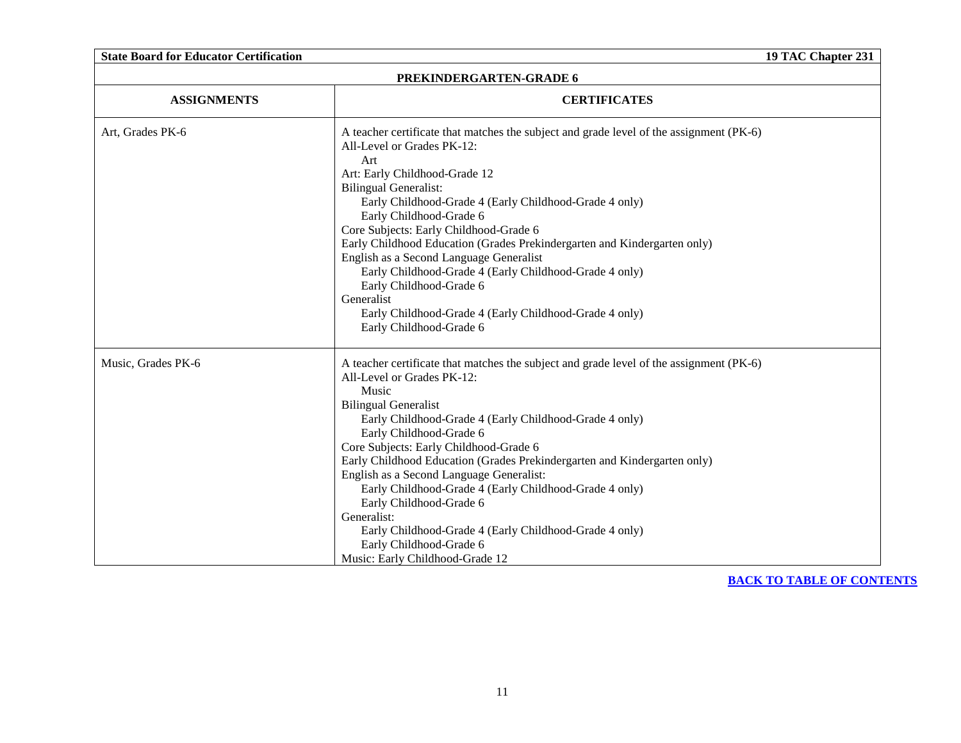| <b>State Board for Educator Certification</b> | 19 TAC Chapter 231                                                                                                                                                                                                                                                                                                                                                                                                                                                                                                                                                                                                                               |  |  |
|-----------------------------------------------|--------------------------------------------------------------------------------------------------------------------------------------------------------------------------------------------------------------------------------------------------------------------------------------------------------------------------------------------------------------------------------------------------------------------------------------------------------------------------------------------------------------------------------------------------------------------------------------------------------------------------------------------------|--|--|
| PREKINDERGARTEN-GRADE 6                       |                                                                                                                                                                                                                                                                                                                                                                                                                                                                                                                                                                                                                                                  |  |  |
| <b>ASSIGNMENTS</b>                            | <b>CERTIFICATES</b>                                                                                                                                                                                                                                                                                                                                                                                                                                                                                                                                                                                                                              |  |  |
| Art, Grades PK-6                              | A teacher certificate that matches the subject and grade level of the assignment (PK-6)<br>All-Level or Grades PK-12:<br>Art<br>Art: Early Childhood-Grade 12<br><b>Bilingual Generalist:</b><br>Early Childhood-Grade 4 (Early Childhood-Grade 4 only)<br>Early Childhood-Grade 6<br>Core Subjects: Early Childhood-Grade 6<br>Early Childhood Education (Grades Prekindergarten and Kindergarten only)<br>English as a Second Language Generalist<br>Early Childhood-Grade 4 (Early Childhood-Grade 4 only)<br>Early Childhood-Grade 6<br>Generalist<br>Early Childhood-Grade 4 (Early Childhood-Grade 4 only)<br>Early Childhood-Grade 6      |  |  |
| Music, Grades PK-6                            | A teacher certificate that matches the subject and grade level of the assignment (PK-6)<br>All-Level or Grades PK-12:<br>Music<br><b>Bilingual Generalist</b><br>Early Childhood-Grade 4 (Early Childhood-Grade 4 only)<br>Early Childhood-Grade 6<br>Core Subjects: Early Childhood-Grade 6<br>Early Childhood Education (Grades Prekindergarten and Kindergarten only)<br>English as a Second Language Generalist:<br>Early Childhood-Grade 4 (Early Childhood-Grade 4 only)<br>Early Childhood-Grade 6<br>Generalist:<br>Early Childhood-Grade 4 (Early Childhood-Grade 4 only)<br>Early Childhood-Grade 6<br>Music: Early Childhood-Grade 12 |  |  |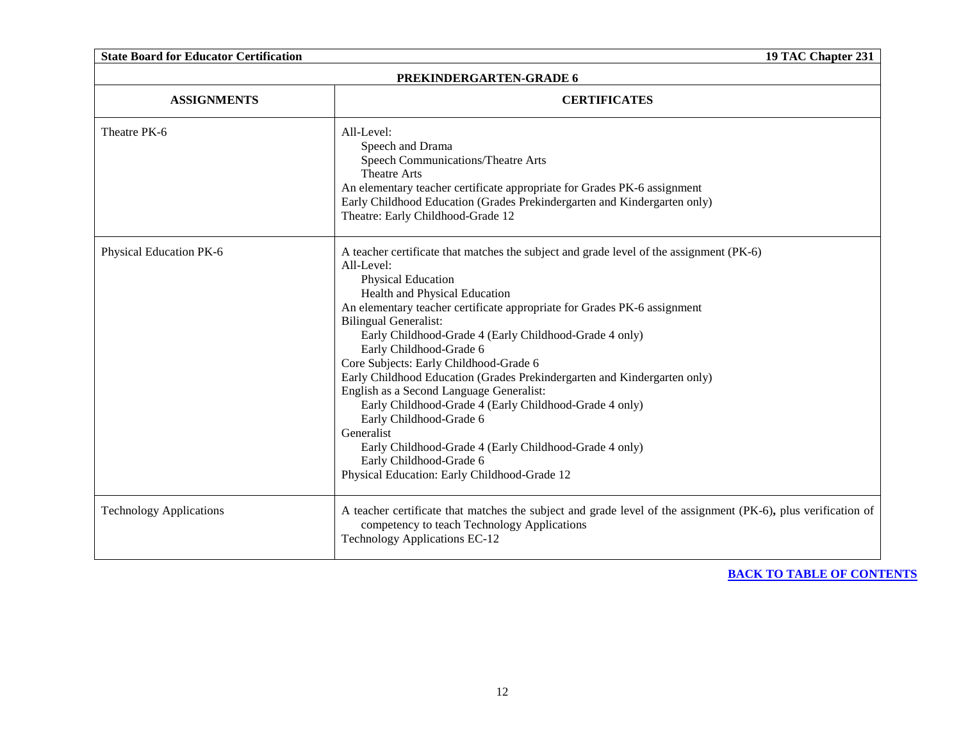| <b>State Board for Educator Certification</b><br>19 TAC Chapter 231 |                                                                                                                                                                                                                                                                                                                                                                                                                                                                                                                                                                                                                                                                                                                                                                         |  |  |
|---------------------------------------------------------------------|-------------------------------------------------------------------------------------------------------------------------------------------------------------------------------------------------------------------------------------------------------------------------------------------------------------------------------------------------------------------------------------------------------------------------------------------------------------------------------------------------------------------------------------------------------------------------------------------------------------------------------------------------------------------------------------------------------------------------------------------------------------------------|--|--|
| PREKINDERGARTEN-GRADE 6                                             |                                                                                                                                                                                                                                                                                                                                                                                                                                                                                                                                                                                                                                                                                                                                                                         |  |  |
| <b>ASSIGNMENTS</b>                                                  | <b>CERTIFICATES</b>                                                                                                                                                                                                                                                                                                                                                                                                                                                                                                                                                                                                                                                                                                                                                     |  |  |
| Theatre PK-6                                                        | All-Level:<br>Speech and Drama<br>Speech Communications/Theatre Arts<br><b>Theatre Arts</b><br>An elementary teacher certificate appropriate for Grades PK-6 assignment<br>Early Childhood Education (Grades Prekindergarten and Kindergarten only)<br>Theatre: Early Childhood-Grade 12                                                                                                                                                                                                                                                                                                                                                                                                                                                                                |  |  |
| Physical Education PK-6                                             | A teacher certificate that matches the subject and grade level of the assignment (PK-6)<br>All-Level:<br>Physical Education<br>Health and Physical Education<br>An elementary teacher certificate appropriate for Grades PK-6 assignment<br><b>Bilingual Generalist:</b><br>Early Childhood-Grade 4 (Early Childhood-Grade 4 only)<br>Early Childhood-Grade 6<br>Core Subjects: Early Childhood-Grade 6<br>Early Childhood Education (Grades Prekindergarten and Kindergarten only)<br>English as a Second Language Generalist:<br>Early Childhood-Grade 4 (Early Childhood-Grade 4 only)<br>Early Childhood-Grade 6<br>Generalist<br>Early Childhood-Grade 4 (Early Childhood-Grade 4 only)<br>Early Childhood-Grade 6<br>Physical Education: Early Childhood-Grade 12 |  |  |
| <b>Technology Applications</b>                                      | A teacher certificate that matches the subject and grade level of the assignment (PK-6), plus verification of<br>competency to teach Technology Applications<br>Technology Applications EC-12                                                                                                                                                                                                                                                                                                                                                                                                                                                                                                                                                                           |  |  |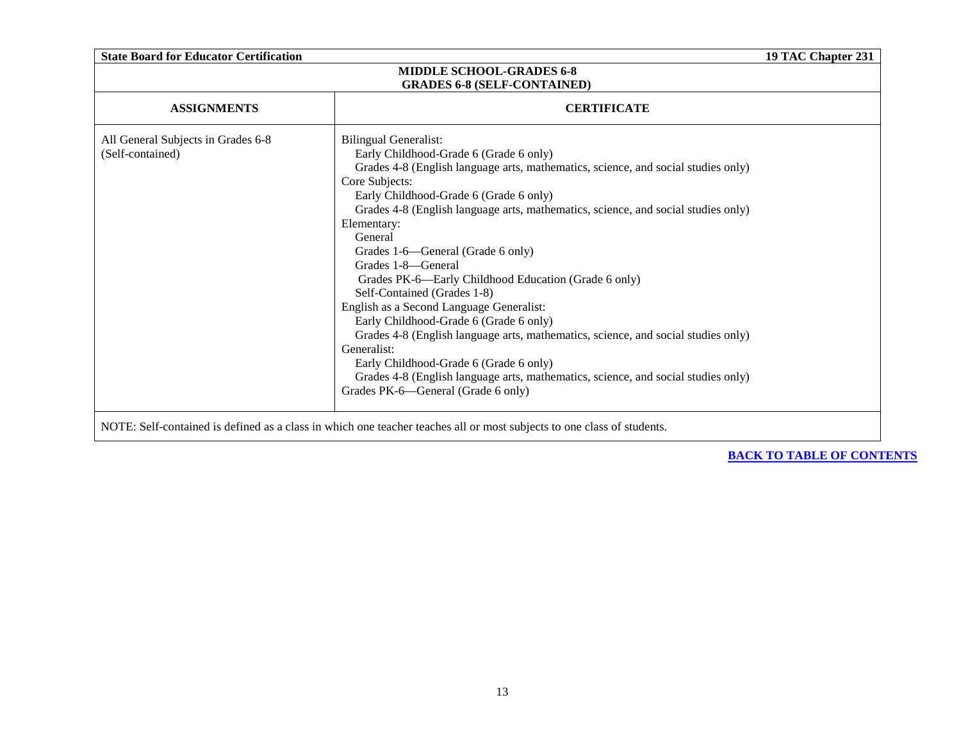<span id="page-12-0"></span>

| <b>State Board for Educator Certification</b>                                                                                                                                                                                                                                                                                                                                                                                                                                                                                                                                                                                                                                                                                                                                                                                                           |                                    |  |  |  |
|---------------------------------------------------------------------------------------------------------------------------------------------------------------------------------------------------------------------------------------------------------------------------------------------------------------------------------------------------------------------------------------------------------------------------------------------------------------------------------------------------------------------------------------------------------------------------------------------------------------------------------------------------------------------------------------------------------------------------------------------------------------------------------------------------------------------------------------------------------|------------------------------------|--|--|--|
| 19 TAC Chapter 231<br><b>MIDDLE SCHOOL-GRADES 6-8</b>                                                                                                                                                                                                                                                                                                                                                                                                                                                                                                                                                                                                                                                                                                                                                                                                   |                                    |  |  |  |
|                                                                                                                                                                                                                                                                                                                                                                                                                                                                                                                                                                                                                                                                                                                                                                                                                                                         |                                    |  |  |  |
| <b>ASSIGNMENTS</b><br><b>CERTIFICATE</b>                                                                                                                                                                                                                                                                                                                                                                                                                                                                                                                                                                                                                                                                                                                                                                                                                |                                    |  |  |  |
| <b>Bilingual Generalist:</b><br>Early Childhood-Grade 6 (Grade 6 only)<br>Grades 4-8 (English language arts, mathematics, science, and social studies only)<br>Core Subjects:<br>Early Childhood-Grade 6 (Grade 6 only)<br>Grades 4-8 (English language arts, mathematics, science, and social studies only)<br>Elementary:<br>General<br>Grades 1-6—General (Grade 6 only)<br>Grades 1-8—General<br>Grades PK-6—Early Childhood Education (Grade 6 only)<br>Self-Contained (Grades 1-8)<br>English as a Second Language Generalist:<br>Early Childhood-Grade 6 (Grade 6 only)<br>Grades 4-8 (English language arts, mathematics, science, and social studies only)<br>Generalist:<br>Early Childhood-Grade 6 (Grade 6 only)<br>Grades 4-8 (English language arts, mathematics, science, and social studies only)<br>Grades PK-6-General (Grade 6 only) |                                    |  |  |  |
|                                                                                                                                                                                                                                                                                                                                                                                                                                                                                                                                                                                                                                                                                                                                                                                                                                                         | <b>GRADES 6-8 (SELF-CONTAINED)</b> |  |  |  |

NOTE: Self-contained is defined as a class in which one teacher teaches all or most subjects to one class of students.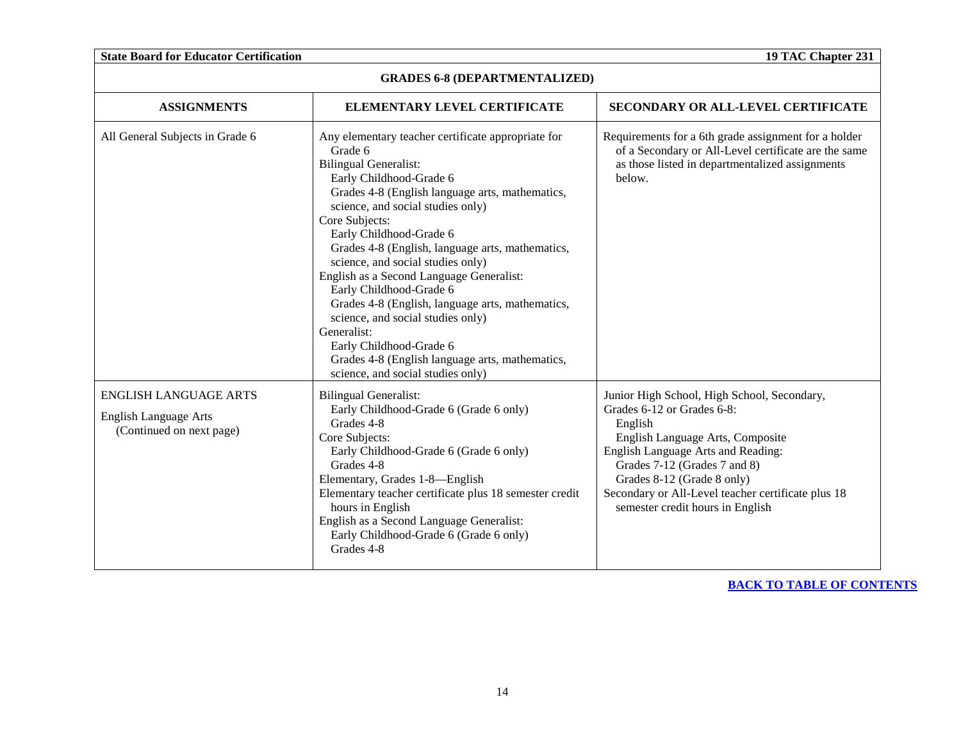|  |  | <b>State Board for Educator Certification</b> |
|--|--|-----------------------------------------------|
|  |  |                                               |

**19 TAC Chapter 231** 

| <b>GRADES 6-8 (DEPARTMENTALIZED)</b>                                                     |                                                                                                                                                                                                                                                                                                                                                                                                                                                                                                                                                                                                                                                          |                                                                                                                                                                                                                                                                                                                        |
|------------------------------------------------------------------------------------------|----------------------------------------------------------------------------------------------------------------------------------------------------------------------------------------------------------------------------------------------------------------------------------------------------------------------------------------------------------------------------------------------------------------------------------------------------------------------------------------------------------------------------------------------------------------------------------------------------------------------------------------------------------|------------------------------------------------------------------------------------------------------------------------------------------------------------------------------------------------------------------------------------------------------------------------------------------------------------------------|
| <b>ASSIGNMENTS</b>                                                                       | ELEMENTARY LEVEL CERTIFICATE                                                                                                                                                                                                                                                                                                                                                                                                                                                                                                                                                                                                                             | <b>SECONDARY OR ALL-LEVEL CERTIFICATE</b>                                                                                                                                                                                                                                                                              |
| All General Subjects in Grade 6                                                          | Any elementary teacher certificate appropriate for<br>Grade 6<br><b>Bilingual Generalist:</b><br>Early Childhood-Grade 6<br>Grades 4-8 (English language arts, mathematics,<br>science, and social studies only)<br>Core Subjects:<br>Early Childhood-Grade 6<br>Grades 4-8 (English, language arts, mathematics,<br>science, and social studies only)<br>English as a Second Language Generalist:<br>Early Childhood-Grade 6<br>Grades 4-8 (English, language arts, mathematics,<br>science, and social studies only)<br>Generalist:<br>Early Childhood-Grade 6<br>Grades 4-8 (English language arts, mathematics,<br>science, and social studies only) | Requirements for a 6th grade assignment for a holder<br>of a Secondary or All-Level certificate are the same<br>as those listed in departmentalized assignments<br>below.                                                                                                                                              |
| <b>ENGLISH LANGUAGE ARTS</b><br><b>English Language Arts</b><br>(Continued on next page) | <b>Bilingual Generalist:</b><br>Early Childhood-Grade 6 (Grade 6 only)<br>Grades 4-8<br>Core Subjects:<br>Early Childhood-Grade 6 (Grade 6 only)<br>Grades 4-8<br>Elementary, Grades 1-8-English<br>Elementary teacher certificate plus 18 semester credit<br>hours in English<br>English as a Second Language Generalist:<br>Early Childhood-Grade 6 (Grade 6 only)<br>Grades 4-8                                                                                                                                                                                                                                                                       | Junior High School, High School, Secondary,<br>Grades 6-12 or Grades 6-8:<br>English<br>English Language Arts, Composite<br>English Language Arts and Reading:<br>Grades 7-12 (Grades 7 and 8)<br>Grades 8-12 (Grade 8 only)<br>Secondary or All-Level teacher certificate plus 18<br>semester credit hours in English |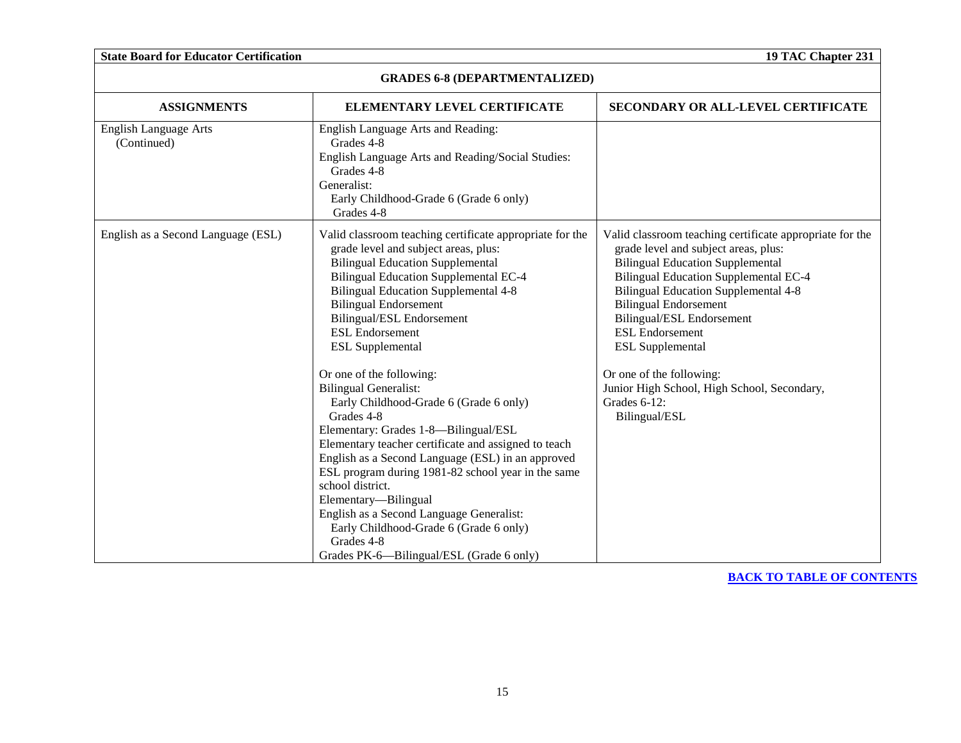| <b>State Board for Educator Certification</b> |                                                                                                                                                                                                                                                                                                                                                                                                                                                                                                                         |                                                                                                                                                                                                                                                                                                                                                              |
|-----------------------------------------------|-------------------------------------------------------------------------------------------------------------------------------------------------------------------------------------------------------------------------------------------------------------------------------------------------------------------------------------------------------------------------------------------------------------------------------------------------------------------------------------------------------------------------|--------------------------------------------------------------------------------------------------------------------------------------------------------------------------------------------------------------------------------------------------------------------------------------------------------------------------------------------------------------|
| <b>GRADES 6-8 (DEPARTMENTALIZED)</b>          |                                                                                                                                                                                                                                                                                                                                                                                                                                                                                                                         |                                                                                                                                                                                                                                                                                                                                                              |
| <b>ASSIGNMENTS</b>                            | ELEMENTARY LEVEL CERTIFICATE                                                                                                                                                                                                                                                                                                                                                                                                                                                                                            | SECONDARY OR ALL-LEVEL CERTIFICATE                                                                                                                                                                                                                                                                                                                           |
| <b>English Language Arts</b><br>(Continued)   | English Language Arts and Reading:<br>Grades 4-8<br>English Language Arts and Reading/Social Studies:<br>Grades 4-8<br>Generalist:<br>Early Childhood-Grade 6 (Grade 6 only)<br>Grades 4-8                                                                                                                                                                                                                                                                                                                              |                                                                                                                                                                                                                                                                                                                                                              |
| English as a Second Language (ESL)            | Valid classroom teaching certificate appropriate for the<br>grade level and subject areas, plus:<br><b>Bilingual Education Supplemental</b><br><b>Bilingual Education Supplemental EC-4</b><br><b>Bilingual Education Supplemental 4-8</b><br><b>Bilingual Endorsement</b><br>Bilingual/ESL Endorsement<br><b>ESL Endorsement</b><br><b>ESL</b> Supplemental                                                                                                                                                            | Valid classroom teaching certificate appropriate for the<br>grade level and subject areas, plus:<br><b>Bilingual Education Supplemental</b><br><b>Bilingual Education Supplemental EC-4</b><br><b>Bilingual Education Supplemental 4-8</b><br><b>Bilingual Endorsement</b><br>Bilingual/ESL Endorsement<br><b>ESL Endorsement</b><br><b>ESL Supplemental</b> |
|                                               | Or one of the following:<br><b>Bilingual Generalist:</b><br>Early Childhood-Grade 6 (Grade 6 only)<br>Grades 4-8<br>Elementary: Grades 1-8-Bilingual/ESL<br>Elementary teacher certificate and assigned to teach<br>English as a Second Language (ESL) in an approved<br>ESL program during 1981-82 school year in the same<br>school district.<br>Elementary-Bilingual<br>English as a Second Language Generalist:<br>Early Childhood-Grade 6 (Grade 6 only)<br>Grades 4-8<br>Grades PK-6-Bilingual/ESL (Grade 6 only) | Or one of the following:<br>Junior High School, High School, Secondary,<br>Grades 6-12:<br>Bilingual/ESL                                                                                                                                                                                                                                                     |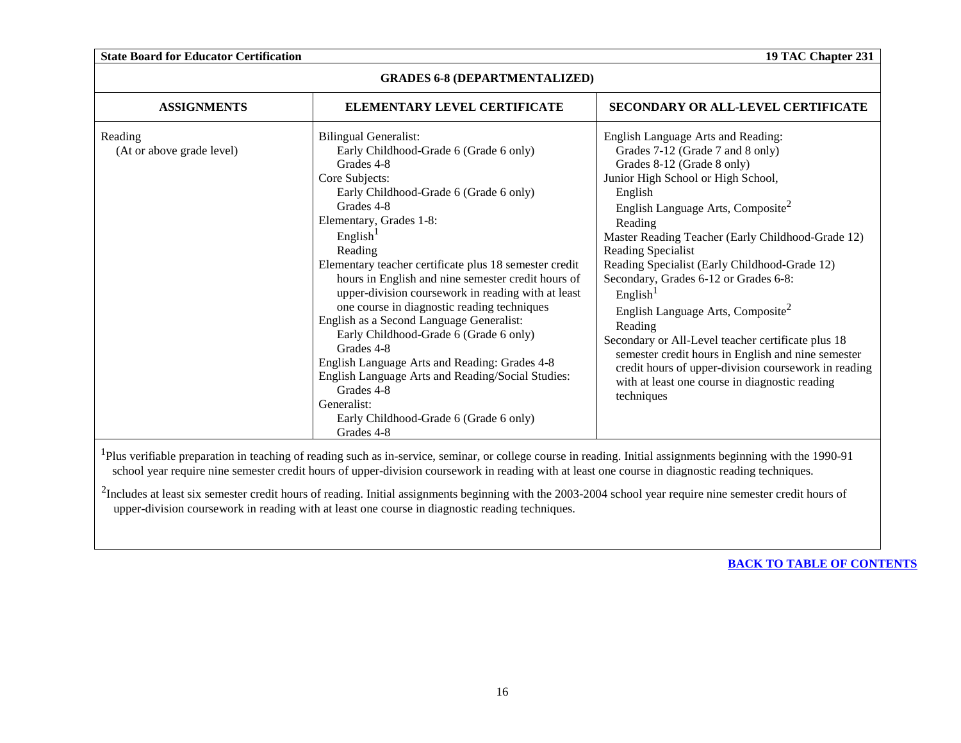| <b>ASSIGNMENTS</b>                   | ELEMENTARY LEVEL CERTIFICATE                                                                                                                                                                                                                                                                                                                                                                                                                                                                                                                                                                                                                                                                                                                     | SECONDARY OR ALL-LEVEL CERTIFICATE                                                                                                                                                                                                                                                                                                                                                                                                                                                                                                                                                                                                                                                                             |
|--------------------------------------|--------------------------------------------------------------------------------------------------------------------------------------------------------------------------------------------------------------------------------------------------------------------------------------------------------------------------------------------------------------------------------------------------------------------------------------------------------------------------------------------------------------------------------------------------------------------------------------------------------------------------------------------------------------------------------------------------------------------------------------------------|----------------------------------------------------------------------------------------------------------------------------------------------------------------------------------------------------------------------------------------------------------------------------------------------------------------------------------------------------------------------------------------------------------------------------------------------------------------------------------------------------------------------------------------------------------------------------------------------------------------------------------------------------------------------------------------------------------------|
| Reading<br>(At or above grade level) | <b>Bilingual Generalist:</b><br>Early Childhood-Grade 6 (Grade 6 only)<br>Grades 4-8<br>Core Subjects:<br>Early Childhood-Grade 6 (Grade 6 only)<br>Grades 4-8<br>Elementary, Grades 1-8:<br>English <sup>1</sup><br>Reading<br>Elementary teacher certificate plus 18 semester credit<br>hours in English and nine semester credit hours of<br>upper-division coursework in reading with at least<br>one course in diagnostic reading techniques<br>English as a Second Language Generalist:<br>Early Childhood-Grade 6 (Grade 6 only)<br>Grades 4-8<br>English Language Arts and Reading: Grades 4-8<br>English Language Arts and Reading/Social Studies:<br>Grades 4-8<br>Generalist:<br>Early Childhood-Grade 6 (Grade 6 only)<br>Grades 4-8 | English Language Arts and Reading:<br>Grades 7-12 (Grade 7 and 8 only)<br>Grades 8-12 (Grade 8 only)<br>Junior High School or High School,<br>English<br>English Language Arts, Composite <sup>2</sup><br>Reading<br>Master Reading Teacher (Early Childhood-Grade 12)<br>Reading Specialist<br>Reading Specialist (Early Childhood-Grade 12)<br>Secondary, Grades 6-12 or Grades 6-8:<br>English <sup>1</sup><br>English Language Arts, Composite <sup>2</sup><br>Reading<br>Secondary or All-Level teacher certificate plus 18<br>semester credit hours in English and nine semester<br>credit hours of upper-division coursework in reading<br>with at least one course in diagnostic reading<br>techniques |

<sup>1</sup>Plus verifiable preparation in teaching of reading such as in-service, seminar, or college course in reading. Initial assignments beginning with the 1990-91 school year require nine semester credit hours of upper-division coursework in reading with at least one course in diagnostic reading techniques.

 $2$ Includes at least six semester credit hours of reading. Initial assignments beginning with the 2003-2004 school year require nine semester credit hours of upper-division coursework in reading with at least one course in diagnostic reading techniques.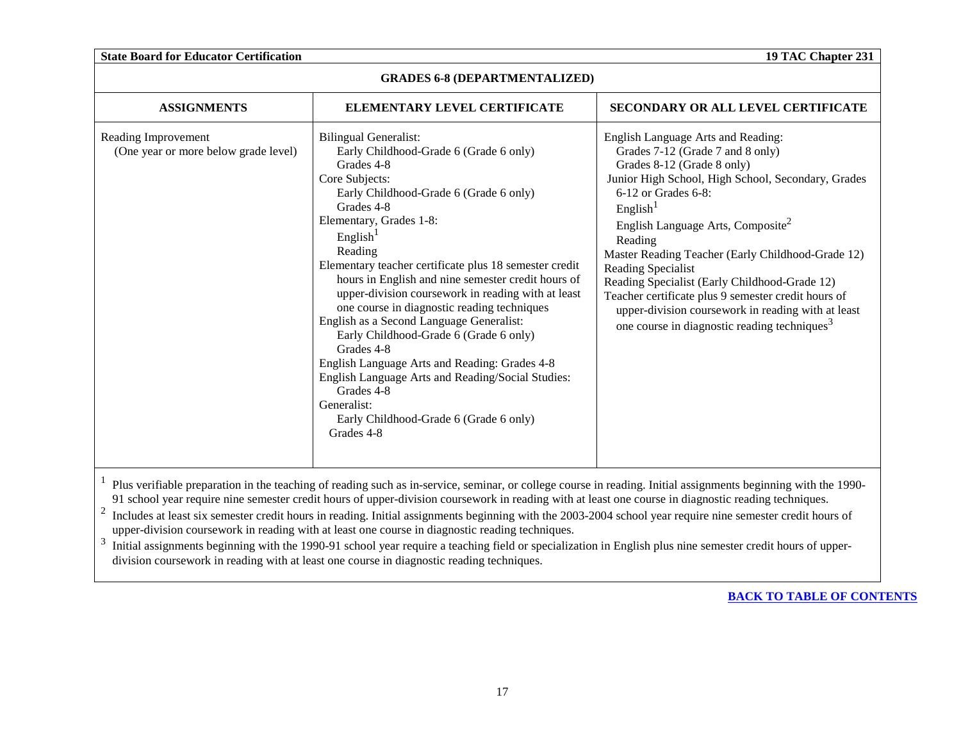| <b>GRADES 6-8 (DEPARTMENTALIZED)</b>                        |                                                                                                                                                                                                                                                                                                                                                                                                                                                                                                                                                                                                                                                                                                                                                  |                                                                                                                                                                                                                                                                                                                                                                                                                                                                                                                                                                            |
|-------------------------------------------------------------|--------------------------------------------------------------------------------------------------------------------------------------------------------------------------------------------------------------------------------------------------------------------------------------------------------------------------------------------------------------------------------------------------------------------------------------------------------------------------------------------------------------------------------------------------------------------------------------------------------------------------------------------------------------------------------------------------------------------------------------------------|----------------------------------------------------------------------------------------------------------------------------------------------------------------------------------------------------------------------------------------------------------------------------------------------------------------------------------------------------------------------------------------------------------------------------------------------------------------------------------------------------------------------------------------------------------------------------|
| <b>ASSIGNMENTS</b>                                          | ELEMENTARY LEVEL CERTIFICATE                                                                                                                                                                                                                                                                                                                                                                                                                                                                                                                                                                                                                                                                                                                     | <b>SECONDARY OR ALL LEVEL CERTIFICATE</b>                                                                                                                                                                                                                                                                                                                                                                                                                                                                                                                                  |
| Reading Improvement<br>(One year or more below grade level) | <b>Bilingual Generalist:</b><br>Early Childhood-Grade 6 (Grade 6 only)<br>Grades 4-8<br>Core Subjects:<br>Early Childhood-Grade 6 (Grade 6 only)<br>Grades 4-8<br>Elementary, Grades 1-8:<br>English <sup>1</sup><br>Reading<br>Elementary teacher certificate plus 18 semester credit<br>hours in English and nine semester credit hours of<br>upper-division coursework in reading with at least<br>one course in diagnostic reading techniques<br>English as a Second Language Generalist:<br>Early Childhood-Grade 6 (Grade 6 only)<br>Grades 4-8<br>English Language Arts and Reading: Grades 4-8<br>English Language Arts and Reading/Social Studies:<br>Grades 4-8<br>Generalist:<br>Early Childhood-Grade 6 (Grade 6 only)<br>Grades 4-8 | English Language Arts and Reading:<br>Grades 7-12 (Grade 7 and 8 only)<br>Grades 8-12 (Grade 8 only)<br>Junior High School, High School, Secondary, Grades<br>6-12 or Grades 6-8:<br>English <sup>1</sup><br>English Language Arts, Composite <sup>2</sup><br>Reading<br>Master Reading Teacher (Early Childhood-Grade 12)<br>Reading Specialist<br>Reading Specialist (Early Childhood-Grade 12)<br>Teacher certificate plus 9 semester credit hours of<br>upper-division coursework in reading with at least<br>one course in diagnostic reading techniques <sup>3</sup> |

<sup>1</sup> Plus verifiable preparation in the teaching of reading such as in-service, seminar, or college course in reading. Initial assignments beginning with the 1990-91 school year require nine semester credit hours of upper-division coursework in reading with at least one course in diagnostic reading techniques.

<sup>2</sup> Includes at least six semester credit hours in reading. Initial assignments beginning with the 2003-2004 school year require nine semester credit hours of upper-division coursework in reading with at least one course in diagnostic reading techniques.

<sup>3</sup> Initial assignments beginning with the 1990-91 school year require a teaching field or specialization in English plus nine semester credit hours of upperdivision coursework in reading with at least one course in diagnostic reading techniques.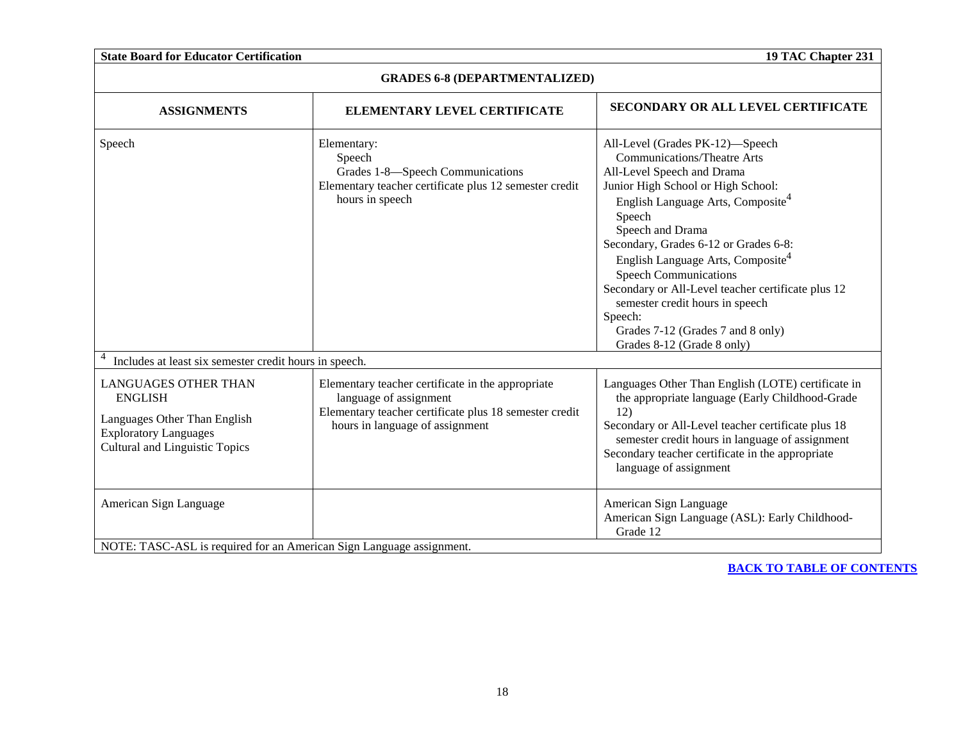| <b>State Board for Educator Certification</b>                                                                                                          |                                                                                                                                                                          | 19 TAC Chapter 231                                                                                                                                                                                                                                                                                                                                                                                                                                                                                                        |
|--------------------------------------------------------------------------------------------------------------------------------------------------------|--------------------------------------------------------------------------------------------------------------------------------------------------------------------------|---------------------------------------------------------------------------------------------------------------------------------------------------------------------------------------------------------------------------------------------------------------------------------------------------------------------------------------------------------------------------------------------------------------------------------------------------------------------------------------------------------------------------|
| <b>GRADES 6-8 (DEPARTMENTALIZED)</b>                                                                                                                   |                                                                                                                                                                          |                                                                                                                                                                                                                                                                                                                                                                                                                                                                                                                           |
| <b>ASSIGNMENTS</b>                                                                                                                                     | ELEMENTARY LEVEL CERTIFICATE                                                                                                                                             | <b>SECONDARY OR ALL LEVEL CERTIFICATE</b>                                                                                                                                                                                                                                                                                                                                                                                                                                                                                 |
| Speech                                                                                                                                                 | Elementary:<br>Speech<br>Grades 1-8—Speech Communications<br>Elementary teacher certificate plus 12 semester credit<br>hours in speech                                   | All-Level (Grades PK-12)-Speech<br><b>Communications/Theatre Arts</b><br>All-Level Speech and Drama<br>Junior High School or High School:<br>English Language Arts, Composite <sup>4</sup><br>Speech<br>Speech and Drama<br>Secondary, Grades 6-12 or Grades 6-8:<br>English Language Arts, Composite <sup>4</sup><br><b>Speech Communications</b><br>Secondary or All-Level teacher certificate plus 12<br>semester credit hours in speech<br>Speech:<br>Grades 7-12 (Grades 7 and 8 only)<br>Grades 8-12 (Grade 8 only) |
| Includes at least six semester credit hours in speech.                                                                                                 |                                                                                                                                                                          |                                                                                                                                                                                                                                                                                                                                                                                                                                                                                                                           |
| <b>LANGUAGES OTHER THAN</b><br><b>ENGLISH</b><br>Languages Other Than English<br><b>Exploratory Languages</b><br><b>Cultural and Linguistic Topics</b> | Elementary teacher certificate in the appropriate<br>language of assignment<br>Elementary teacher certificate plus 18 semester credit<br>hours in language of assignment | Languages Other Than English (LOTE) certificate in<br>the appropriate language (Early Childhood-Grade<br>12)<br>Secondary or All-Level teacher certificate plus 18<br>semester credit hours in language of assignment<br>Secondary teacher certificate in the appropriate<br>language of assignment                                                                                                                                                                                                                       |
| American Sign Language                                                                                                                                 |                                                                                                                                                                          | American Sign Language<br>American Sign Language (ASL): Early Childhood-<br>Grade 12                                                                                                                                                                                                                                                                                                                                                                                                                                      |
|                                                                                                                                                        | NOTE: TASC-ASL is required for an American Sign Language assignment.                                                                                                     |                                                                                                                                                                                                                                                                                                                                                                                                                                                                                                                           |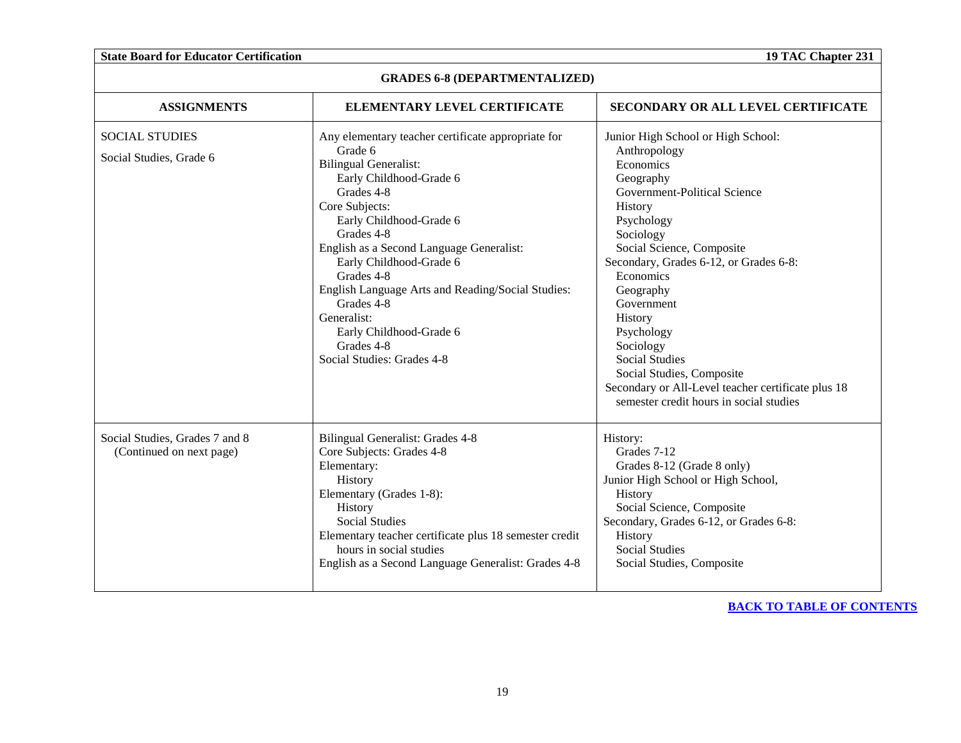| <b>GRADES 6-8 (DEPARTMENTALIZED)</b>                       |                                                                                                                                                                                                                                                                                                                                                                                                                                                 |                                                                                                                                                                                                                                                                                                                                                                                                                                                                |
|------------------------------------------------------------|-------------------------------------------------------------------------------------------------------------------------------------------------------------------------------------------------------------------------------------------------------------------------------------------------------------------------------------------------------------------------------------------------------------------------------------------------|----------------------------------------------------------------------------------------------------------------------------------------------------------------------------------------------------------------------------------------------------------------------------------------------------------------------------------------------------------------------------------------------------------------------------------------------------------------|
| <b>ASSIGNMENTS</b>                                         | ELEMENTARY LEVEL CERTIFICATE                                                                                                                                                                                                                                                                                                                                                                                                                    | <b>SECONDARY OR ALL LEVEL CERTIFICATE</b>                                                                                                                                                                                                                                                                                                                                                                                                                      |
| <b>SOCIAL STUDIES</b><br>Social Studies, Grade 6           | Any elementary teacher certificate appropriate for<br>Grade 6<br><b>Bilingual Generalist:</b><br>Early Childhood-Grade 6<br>Grades 4-8<br>Core Subjects:<br>Early Childhood-Grade 6<br>Grades 4-8<br>English as a Second Language Generalist:<br>Early Childhood-Grade 6<br>Grades 4-8<br>English Language Arts and Reading/Social Studies:<br>Grades 4-8<br>Generalist:<br>Early Childhood-Grade 6<br>Grades 4-8<br>Social Studies: Grades 4-8 | Junior High School or High School:<br>Anthropology<br>Economics<br>Geography<br>Government-Political Science<br>History<br>Psychology<br>Sociology<br>Social Science, Composite<br>Secondary, Grades 6-12, or Grades 6-8:<br>Economics<br>Geography<br>Government<br>History<br>Psychology<br>Sociology<br><b>Social Studies</b><br>Social Studies, Composite<br>Secondary or All-Level teacher certificate plus 18<br>semester credit hours in social studies |
| Social Studies, Grades 7 and 8<br>(Continued on next page) | Bilingual Generalist: Grades 4-8<br>Core Subjects: Grades 4-8<br>Elementary:<br>History<br>Elementary (Grades 1-8):<br>History<br><b>Social Studies</b><br>Elementary teacher certificate plus 18 semester credit<br>hours in social studies<br>English as a Second Language Generalist: Grades 4-8                                                                                                                                             | History:<br>Grades 7-12<br>Grades 8-12 (Grade 8 only)<br>Junior High School or High School,<br>History<br>Social Science, Composite<br>Secondary, Grades 6-12, or Grades 6-8:<br>History<br><b>Social Studies</b><br>Social Studies, Composite                                                                                                                                                                                                                 |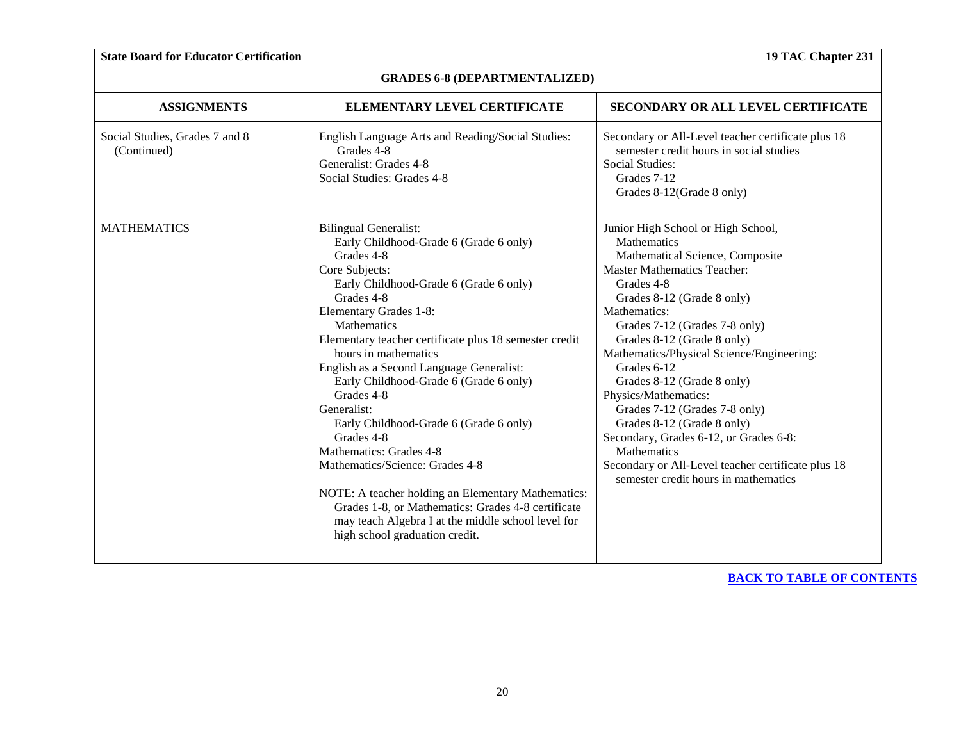| <b>GRADES 6-8 (DEPARTMENTALIZED)</b>          |                                                                                                                                                                                                                                                                                                                                                                                                                                                                                                                                                                                                                                                                                                                                        |                                                                                                                                                                                                                                                                                                                                                                                                                                                                                                                                                                                                      |
|-----------------------------------------------|----------------------------------------------------------------------------------------------------------------------------------------------------------------------------------------------------------------------------------------------------------------------------------------------------------------------------------------------------------------------------------------------------------------------------------------------------------------------------------------------------------------------------------------------------------------------------------------------------------------------------------------------------------------------------------------------------------------------------------------|------------------------------------------------------------------------------------------------------------------------------------------------------------------------------------------------------------------------------------------------------------------------------------------------------------------------------------------------------------------------------------------------------------------------------------------------------------------------------------------------------------------------------------------------------------------------------------------------------|
| <b>ASSIGNMENTS</b>                            | ELEMENTARY LEVEL CERTIFICATE                                                                                                                                                                                                                                                                                                                                                                                                                                                                                                                                                                                                                                                                                                           | SECONDARY OR ALL LEVEL CERTIFICATE                                                                                                                                                                                                                                                                                                                                                                                                                                                                                                                                                                   |
| Social Studies, Grades 7 and 8<br>(Continued) | English Language Arts and Reading/Social Studies:<br>Grades 4-8<br>Generalist: Grades 4-8<br>Social Studies: Grades 4-8                                                                                                                                                                                                                                                                                                                                                                                                                                                                                                                                                                                                                | Secondary or All-Level teacher certificate plus 18<br>semester credit hours in social studies<br>Social Studies:<br>Grades 7-12<br>Grades 8-12(Grade 8 only)                                                                                                                                                                                                                                                                                                                                                                                                                                         |
| <b>MATHEMATICS</b>                            | <b>Bilingual Generalist:</b><br>Early Childhood-Grade 6 (Grade 6 only)<br>Grades 4-8<br>Core Subjects:<br>Early Childhood-Grade 6 (Grade 6 only)<br>Grades 4-8<br>Elementary Grades 1-8:<br>Mathematics<br>Elementary teacher certificate plus 18 semester credit<br>hours in mathematics<br>English as a Second Language Generalist:<br>Early Childhood-Grade 6 (Grade 6 only)<br>Grades 4-8<br>Generalist:<br>Early Childhood-Grade 6 (Grade 6 only)<br>Grades 4-8<br>Mathematics: Grades 4-8<br>Mathematics/Science: Grades 4-8<br>NOTE: A teacher holding an Elementary Mathematics:<br>Grades 1-8, or Mathematics: Grades 4-8 certificate<br>may teach Algebra I at the middle school level for<br>high school graduation credit. | Junior High School or High School,<br><b>Mathematics</b><br>Mathematical Science, Composite<br><b>Master Mathematics Teacher:</b><br>Grades 4-8<br>Grades 8-12 (Grade 8 only)<br>Mathematics:<br>Grades 7-12 (Grades 7-8 only)<br>Grades 8-12 (Grade 8 only)<br>Mathematics/Physical Science/Engineering:<br>Grades 6-12<br>Grades 8-12 (Grade 8 only)<br>Physics/Mathematics:<br>Grades 7-12 (Grades 7-8 only)<br>Grades 8-12 (Grade 8 only)<br>Secondary, Grades 6-12, or Grades 6-8:<br>Mathematics<br>Secondary or All-Level teacher certificate plus 18<br>semester credit hours in mathematics |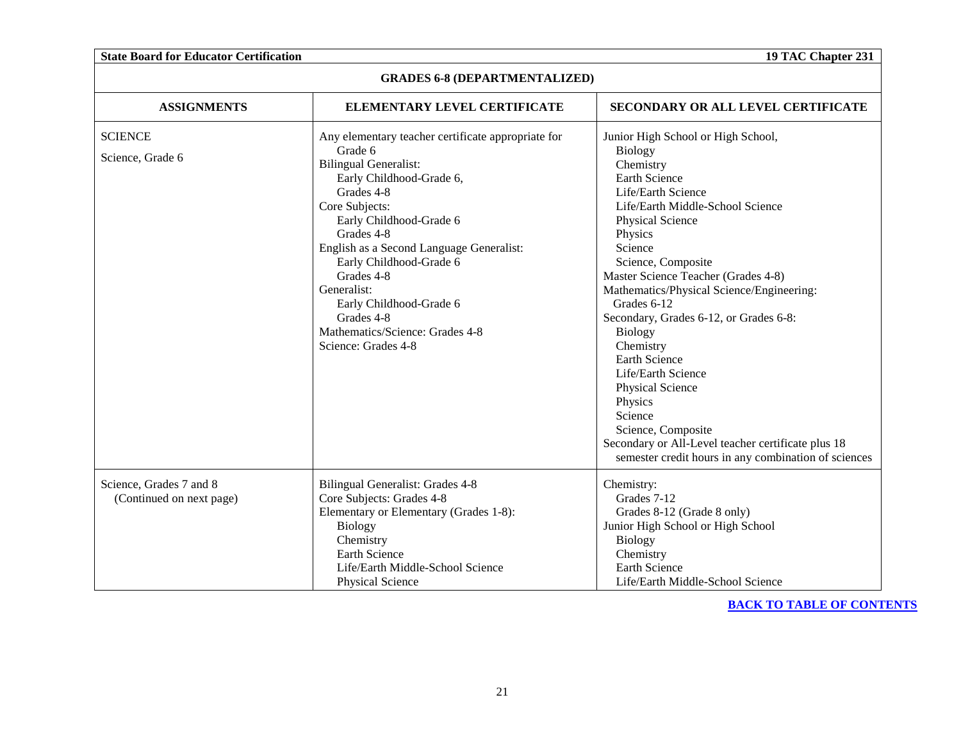| <b>GRADES 6-8 (DEPARTMENTALIZED)</b>                |                                                                                                                                                                                                                                                                                                                                                                                                           |                                                                                                                                                                                                                                                                                                                                                                                                                                                                                                                                                                                                                             |
|-----------------------------------------------------|-----------------------------------------------------------------------------------------------------------------------------------------------------------------------------------------------------------------------------------------------------------------------------------------------------------------------------------------------------------------------------------------------------------|-----------------------------------------------------------------------------------------------------------------------------------------------------------------------------------------------------------------------------------------------------------------------------------------------------------------------------------------------------------------------------------------------------------------------------------------------------------------------------------------------------------------------------------------------------------------------------------------------------------------------------|
| <b>ASSIGNMENTS</b>                                  | ELEMENTARY LEVEL CERTIFICATE                                                                                                                                                                                                                                                                                                                                                                              | <b>SECONDARY OR ALL LEVEL CERTIFICATE</b>                                                                                                                                                                                                                                                                                                                                                                                                                                                                                                                                                                                   |
| <b>SCIENCE</b><br>Science, Grade 6                  | Any elementary teacher certificate appropriate for<br>Grade 6<br><b>Bilingual Generalist:</b><br>Early Childhood-Grade 6,<br>Grades 4-8<br>Core Subjects:<br>Early Childhood-Grade 6<br>Grades 4-8<br>English as a Second Language Generalist:<br>Early Childhood-Grade 6<br>Grades 4-8<br>Generalist:<br>Early Childhood-Grade 6<br>Grades 4-8<br>Mathematics/Science: Grades 4-8<br>Science: Grades 4-8 | Junior High School or High School,<br>Biology<br>Chemistry<br><b>Earth Science</b><br>Life/Earth Science<br>Life/Earth Middle-School Science<br>Physical Science<br>Physics<br>Science<br>Science, Composite<br>Master Science Teacher (Grades 4-8)<br>Mathematics/Physical Science/Engineering:<br>Grades 6-12<br>Secondary, Grades 6-12, or Grades 6-8:<br><b>Biology</b><br>Chemistry<br><b>Earth Science</b><br>Life/Earth Science<br><b>Physical Science</b><br>Physics<br>Science<br>Science, Composite<br>Secondary or All-Level teacher certificate plus 18<br>semester credit hours in any combination of sciences |
| Science, Grades 7 and 8<br>(Continued on next page) | <b>Bilingual Generalist: Grades 4-8</b><br>Core Subjects: Grades 4-8<br>Elementary or Elementary (Grades 1-8):<br><b>Biology</b><br>Chemistry<br>Earth Science<br>Life/Earth Middle-School Science<br><b>Physical Science</b>                                                                                                                                                                             | Chemistry:<br>Grades 7-12<br>Grades 8-12 (Grade 8 only)<br>Junior High School or High School<br><b>Biology</b><br>Chemistry<br>Earth Science<br>Life/Earth Middle-School Science                                                                                                                                                                                                                                                                                                                                                                                                                                            |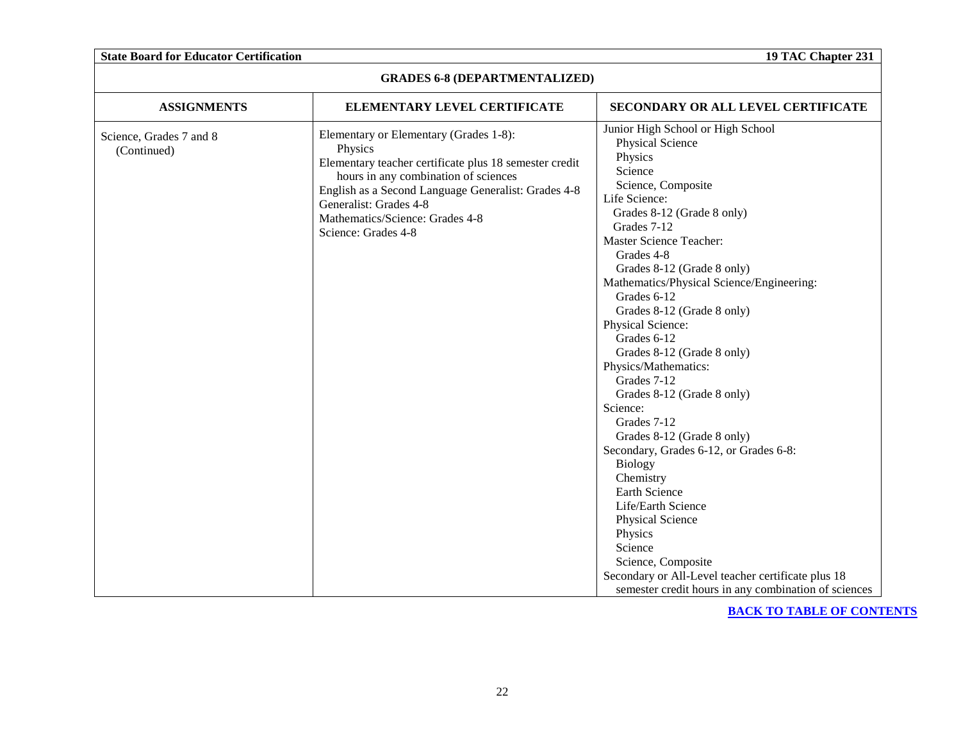| <b>GRADES 6-8 (DEPARTMENTALIZED)</b>   |                                                                                                                                                                                                                                                                                                |                                                                                                                                                                                                                                                                                                                                                                                                                                                                                                                                                                                                                                                                                                                                                                                                                                       |
|----------------------------------------|------------------------------------------------------------------------------------------------------------------------------------------------------------------------------------------------------------------------------------------------------------------------------------------------|---------------------------------------------------------------------------------------------------------------------------------------------------------------------------------------------------------------------------------------------------------------------------------------------------------------------------------------------------------------------------------------------------------------------------------------------------------------------------------------------------------------------------------------------------------------------------------------------------------------------------------------------------------------------------------------------------------------------------------------------------------------------------------------------------------------------------------------|
| <b>ASSIGNMENTS</b>                     | ELEMENTARY LEVEL CERTIFICATE                                                                                                                                                                                                                                                                   | SECONDARY OR ALL LEVEL CERTIFICATE                                                                                                                                                                                                                                                                                                                                                                                                                                                                                                                                                                                                                                                                                                                                                                                                    |
| Science, Grades 7 and 8<br>(Continued) | Elementary or Elementary (Grades 1-8):<br>Physics<br>Elementary teacher certificate plus 18 semester credit<br>hours in any combination of sciences<br>English as a Second Language Generalist: Grades 4-8<br>Generalist: Grades 4-8<br>Mathematics/Science: Grades 4-8<br>Science: Grades 4-8 | Junior High School or High School<br>Physical Science<br>Physics<br>Science<br>Science, Composite<br>Life Science:<br>Grades 8-12 (Grade 8 only)<br>Grades 7-12<br><b>Master Science Teacher:</b><br>Grades 4-8<br>Grades 8-12 (Grade 8 only)<br>Mathematics/Physical Science/Engineering:<br>Grades 6-12<br>Grades 8-12 (Grade 8 only)<br>Physical Science:<br>Grades 6-12<br>Grades 8-12 (Grade 8 only)<br>Physics/Mathematics:<br>Grades 7-12<br>Grades 8-12 (Grade 8 only)<br>Science:<br>Grades 7-12<br>Grades 8-12 (Grade 8 only)<br>Secondary, Grades 6-12, or Grades 6-8:<br><b>Biology</b><br>Chemistry<br>Earth Science<br>Life/Earth Science<br>Physical Science<br>Physics<br>Science<br>Science, Composite<br>Secondary or All-Level teacher certificate plus 18<br>semester credit hours in any combination of sciences |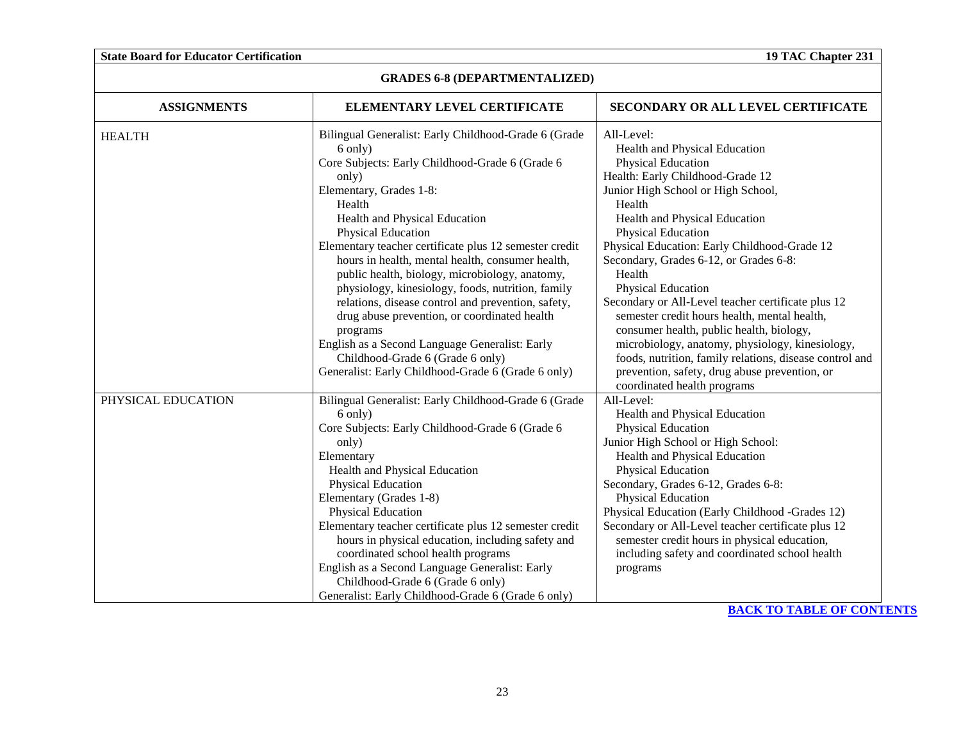| <b>GRADES 6-8 (DEPARTMENTALIZED)</b> |                                                                                                                                                                                                                                                                                                                                                                                                                                                                                                                                                                                                                                                                                                            |                                                                                                                                                                                                                                                                                                                                                                                                                                                                                                                                                                                                                                                                                               |
|--------------------------------------|------------------------------------------------------------------------------------------------------------------------------------------------------------------------------------------------------------------------------------------------------------------------------------------------------------------------------------------------------------------------------------------------------------------------------------------------------------------------------------------------------------------------------------------------------------------------------------------------------------------------------------------------------------------------------------------------------------|-----------------------------------------------------------------------------------------------------------------------------------------------------------------------------------------------------------------------------------------------------------------------------------------------------------------------------------------------------------------------------------------------------------------------------------------------------------------------------------------------------------------------------------------------------------------------------------------------------------------------------------------------------------------------------------------------|
| <b>ASSIGNMENTS</b>                   | ELEMENTARY LEVEL CERTIFICATE                                                                                                                                                                                                                                                                                                                                                                                                                                                                                                                                                                                                                                                                               | SECONDARY OR ALL LEVEL CERTIFICATE                                                                                                                                                                                                                                                                                                                                                                                                                                                                                                                                                                                                                                                            |
| <b>HEALTH</b>                        | Bilingual Generalist: Early Childhood-Grade 6 (Grade<br>6 only)<br>Core Subjects: Early Childhood-Grade 6 (Grade 6<br>only)<br>Elementary, Grades 1-8:<br>Health<br>Health and Physical Education<br>Physical Education<br>Elementary teacher certificate plus 12 semester credit<br>hours in health, mental health, consumer health,<br>public health, biology, microbiology, anatomy,<br>physiology, kinesiology, foods, nutrition, family<br>relations, disease control and prevention, safety,<br>drug abuse prevention, or coordinated health<br>programs<br>English as a Second Language Generalist: Early<br>Childhood-Grade 6 (Grade 6 only)<br>Generalist: Early Childhood-Grade 6 (Grade 6 only) | All-Level:<br>Health and Physical Education<br>Physical Education<br>Health: Early Childhood-Grade 12<br>Junior High School or High School,<br>Health<br>Health and Physical Education<br><b>Physical Education</b><br>Physical Education: Early Childhood-Grade 12<br>Secondary, Grades 6-12, or Grades 6-8:<br>Health<br>Physical Education<br>Secondary or All-Level teacher certificate plus 12<br>semester credit hours health, mental health,<br>consumer health, public health, biology,<br>microbiology, anatomy, physiology, kinesiology,<br>foods, nutrition, family relations, disease control and<br>prevention, safety, drug abuse prevention, or<br>coordinated health programs |
| PHYSICAL EDUCATION                   | Bilingual Generalist: Early Childhood-Grade 6 (Grade<br>6 only)<br>Core Subjects: Early Childhood-Grade 6 (Grade 6<br>only)<br>Elementary<br>Health and Physical Education<br>Physical Education<br>Elementary (Grades 1-8)<br>Physical Education<br>Elementary teacher certificate plus 12 semester credit<br>hours in physical education, including safety and<br>coordinated school health programs<br>English as a Second Language Generalist: Early<br>Childhood-Grade 6 (Grade 6 only)<br>Generalist: Early Childhood-Grade 6 (Grade 6 only)                                                                                                                                                         | All-Level:<br>Health and Physical Education<br><b>Physical Education</b><br>Junior High School or High School:<br>Health and Physical Education<br>Physical Education<br>Secondary, Grades 6-12, Grades 6-8:<br>Physical Education<br>Physical Education (Early Childhood -Grades 12)<br>Secondary or All-Level teacher certificate plus 12<br>semester credit hours in physical education,<br>including safety and coordinated school health<br>programs                                                                                                                                                                                                                                     |

**GRADES 6-8 (DEPARTMENTALIZED)**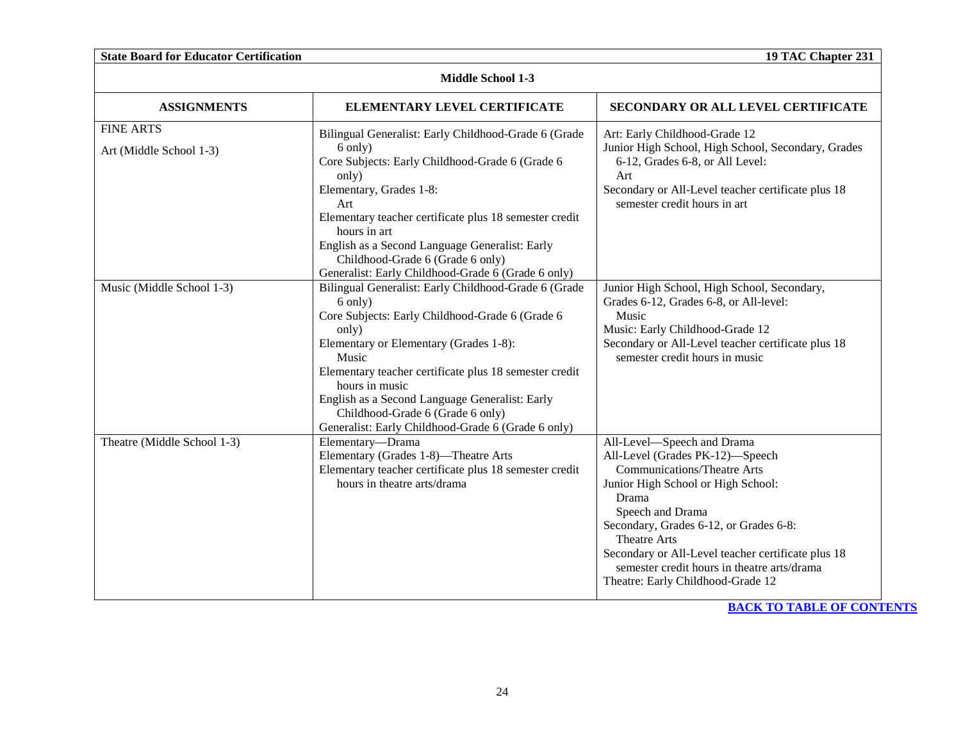| <b>State Board for Educator Certification</b> |                                                                                                                                                                                                                                                                                                                                                                                                        | 19 TAC Chapter 231                                                                                                                                                                                                                                                                                                                                                                |
|-----------------------------------------------|--------------------------------------------------------------------------------------------------------------------------------------------------------------------------------------------------------------------------------------------------------------------------------------------------------------------------------------------------------------------------------------------------------|-----------------------------------------------------------------------------------------------------------------------------------------------------------------------------------------------------------------------------------------------------------------------------------------------------------------------------------------------------------------------------------|
|                                               | <b>Middle School 1-3</b>                                                                                                                                                                                                                                                                                                                                                                               |                                                                                                                                                                                                                                                                                                                                                                                   |
| <b>ASSIGNMENTS</b>                            | ELEMENTARY LEVEL CERTIFICATE                                                                                                                                                                                                                                                                                                                                                                           | SECONDARY OR ALL LEVEL CERTIFICATE                                                                                                                                                                                                                                                                                                                                                |
| <b>FINE ARTS</b><br>Art (Middle School 1-3)   | Bilingual Generalist: Early Childhood-Grade 6 (Grade<br>6 only)<br>Core Subjects: Early Childhood-Grade 6 (Grade 6<br>only)<br>Elementary, Grades 1-8:<br>Art<br>Elementary teacher certificate plus 18 semester credit<br>hours in art<br>English as a Second Language Generalist: Early<br>Childhood-Grade 6 (Grade 6 only)<br>Generalist: Early Childhood-Grade 6 (Grade 6 only)                    | Art: Early Childhood-Grade 12<br>Junior High School, High School, Secondary, Grades<br>6-12, Grades 6-8, or All Level:<br>Art<br>Secondary or All-Level teacher certificate plus 18<br>semester credit hours in art                                                                                                                                                               |
| Music (Middle School 1-3)                     | Bilingual Generalist: Early Childhood-Grade 6 (Grade<br>6 only)<br>Core Subjects: Early Childhood-Grade 6 (Grade 6<br>only)<br>Elementary or Elementary (Grades 1-8):<br>Music<br>Elementary teacher certificate plus 18 semester credit<br>hours in music<br>English as a Second Language Generalist: Early<br>Childhood-Grade 6 (Grade 6 only)<br>Generalist: Early Childhood-Grade 6 (Grade 6 only) | Junior High School, High School, Secondary,<br>Grades 6-12, Grades 6-8, or All-level:<br>Music<br>Music: Early Childhood-Grade 12<br>Secondary or All-Level teacher certificate plus 18<br>semester credit hours in music                                                                                                                                                         |
| Theatre (Middle School 1-3)                   | Elementary-Drama<br>Elementary (Grades 1-8)-Theatre Arts<br>Elementary teacher certificate plus 18 semester credit<br>hours in theatre arts/drama                                                                                                                                                                                                                                                      | All-Level-Speech and Drama<br>All-Level (Grades PK-12)-Speech<br><b>Communications/Theatre Arts</b><br>Junior High School or High School:<br>Drama<br>Speech and Drama<br>Secondary, Grades 6-12, or Grades 6-8:<br><b>Theatre Arts</b><br>Secondary or All-Level teacher certificate plus 18<br>semester credit hours in theatre arts/drama<br>Theatre: Early Childhood-Grade 12 |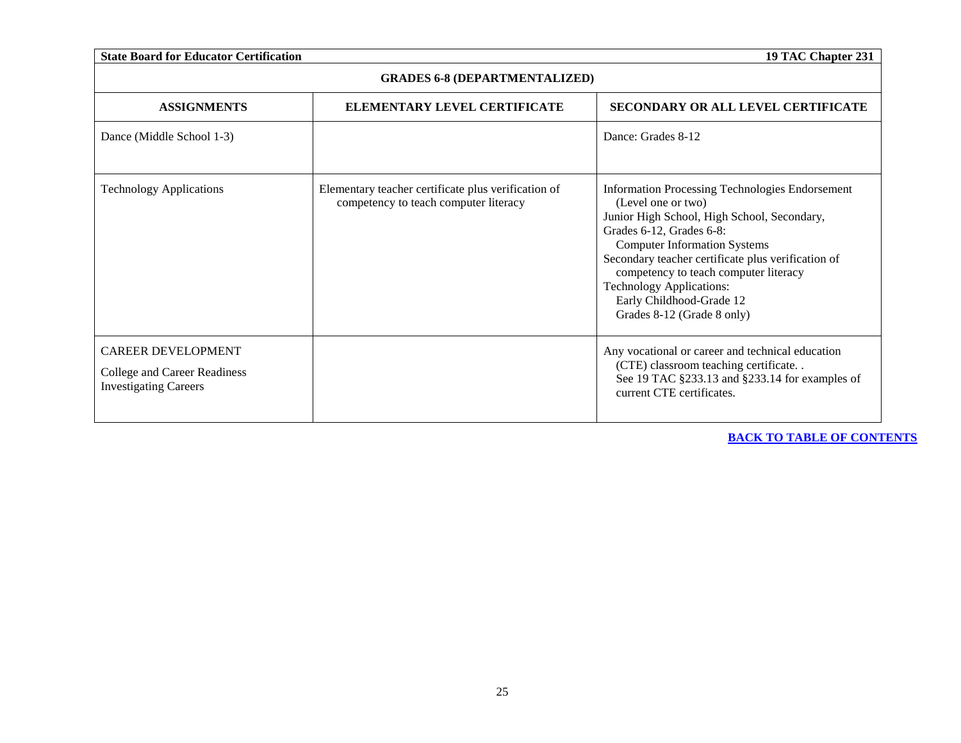| <b>State Board for Educator Certification</b>                                             |                                                                                              | 19 TAC Chapter 231                                                                                                                                                                                                                                                                                                                                                                         |
|-------------------------------------------------------------------------------------------|----------------------------------------------------------------------------------------------|--------------------------------------------------------------------------------------------------------------------------------------------------------------------------------------------------------------------------------------------------------------------------------------------------------------------------------------------------------------------------------------------|
| <b>GRADES 6-8 (DEPARTMENTALIZED)</b>                                                      |                                                                                              |                                                                                                                                                                                                                                                                                                                                                                                            |
| <b>ASSIGNMENTS</b>                                                                        | ELEMENTARY LEVEL CERTIFICATE                                                                 | <b>SECONDARY OR ALL LEVEL CERTIFICATE</b>                                                                                                                                                                                                                                                                                                                                                  |
| Dance (Middle School 1-3)                                                                 |                                                                                              | Dance: Grades 8-12                                                                                                                                                                                                                                                                                                                                                                         |
| <b>Technology Applications</b>                                                            | Elementary teacher certificate plus verification of<br>competency to teach computer literacy | <b>Information Processing Technologies Endorsement</b><br>(Level one or two)<br>Junior High School, High School, Secondary,<br>Grades 6-12, Grades 6-8:<br><b>Computer Information Systems</b><br>Secondary teacher certificate plus verification of<br>competency to teach computer literacy<br><b>Technology Applications:</b><br>Early Childhood-Grade 12<br>Grades 8-12 (Grade 8 only) |
| <b>CAREER DEVELOPMENT</b><br>College and Career Readiness<br><b>Investigating Careers</b> |                                                                                              | Any vocational or career and technical education<br>(CTE) classroom teaching certificate<br>See 19 TAC §233.13 and §233.14 for examples of<br>current CTE certificates.                                                                                                                                                                                                                    |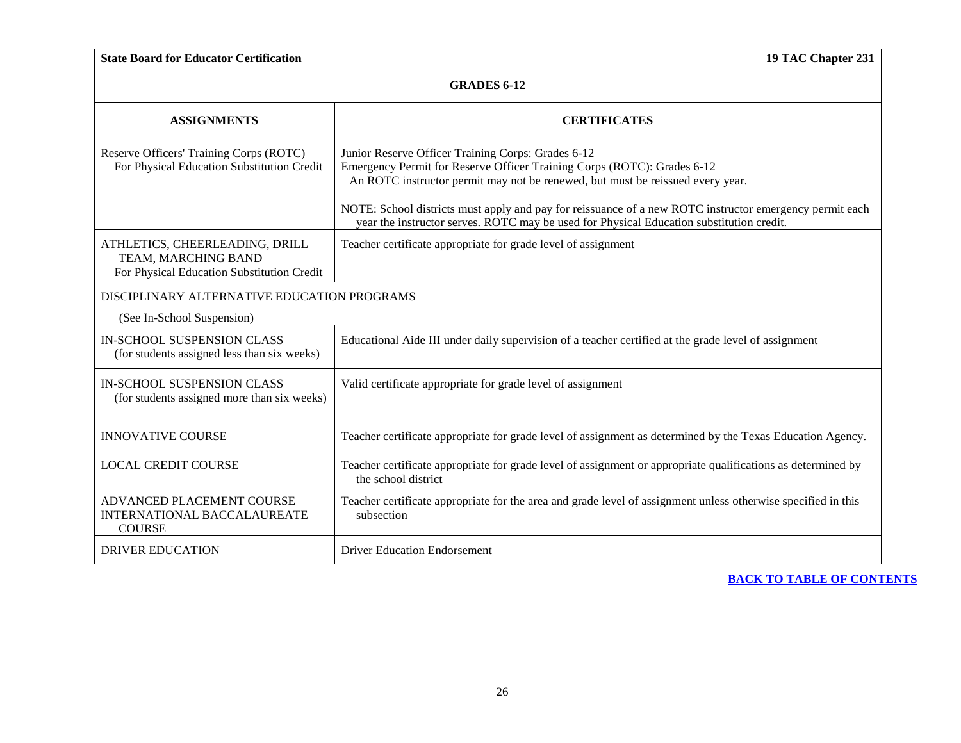<span id="page-25-0"></span>

| <b>GRADES 6-12</b>                                                                                  |                                                                                                                                                                                                                                                                                                                                                                                                                        |  |
|-----------------------------------------------------------------------------------------------------|------------------------------------------------------------------------------------------------------------------------------------------------------------------------------------------------------------------------------------------------------------------------------------------------------------------------------------------------------------------------------------------------------------------------|--|
| <b>ASSIGNMENTS</b>                                                                                  | <b>CERTIFICATES</b>                                                                                                                                                                                                                                                                                                                                                                                                    |  |
| Reserve Officers' Training Corps (ROTC)<br>For Physical Education Substitution Credit               | Junior Reserve Officer Training Corps: Grades 6-12<br>Emergency Permit for Reserve Officer Training Corps (ROTC): Grades 6-12<br>An ROTC instructor permit may not be renewed, but must be reissued every year.<br>NOTE: School districts must apply and pay for reissuance of a new ROTC instructor emergency permit each<br>year the instructor serves. ROTC may be used for Physical Education substitution credit. |  |
| ATHLETICS, CHEERLEADING, DRILL<br>TEAM, MARCHING BAND<br>For Physical Education Substitution Credit | Teacher certificate appropriate for grade level of assignment                                                                                                                                                                                                                                                                                                                                                          |  |
| DISCIPLINARY ALTERNATIVE EDUCATION PROGRAMS                                                         |                                                                                                                                                                                                                                                                                                                                                                                                                        |  |
| (See In-School Suspension)                                                                          |                                                                                                                                                                                                                                                                                                                                                                                                                        |  |
| <b>IN-SCHOOL SUSPENSION CLASS</b><br>(for students assigned less than six weeks)                    | Educational Aide III under daily supervision of a teacher certified at the grade level of assignment                                                                                                                                                                                                                                                                                                                   |  |
| <b>IN-SCHOOL SUSPENSION CLASS</b><br>(for students assigned more than six weeks)                    | Valid certificate appropriate for grade level of assignment                                                                                                                                                                                                                                                                                                                                                            |  |
| <b>INNOVATIVE COURSE</b>                                                                            | Teacher certificate appropriate for grade level of assignment as determined by the Texas Education Agency.                                                                                                                                                                                                                                                                                                             |  |
| <b>LOCAL CREDIT COURSE</b>                                                                          | Teacher certificate appropriate for grade level of assignment or appropriate qualifications as determined by<br>the school district                                                                                                                                                                                                                                                                                    |  |
| ADVANCED PLACEMENT COURSE<br><b>INTERNATIONAL BACCALAUREATE</b><br><b>COURSE</b>                    | Teacher certificate appropriate for the area and grade level of assignment unless otherwise specified in this<br>subsection                                                                                                                                                                                                                                                                                            |  |
| <b>DRIVER EDUCATION</b>                                                                             | <b>Driver Education Endorsement</b>                                                                                                                                                                                                                                                                                                                                                                                    |  |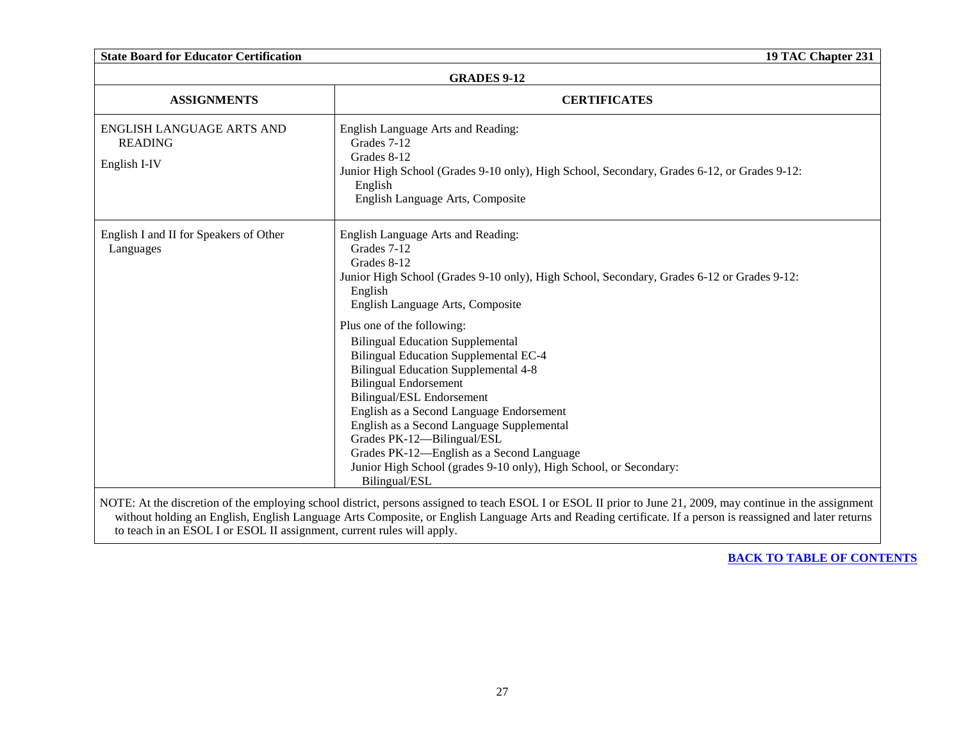<span id="page-26-0"></span>

| <b>State Board for Educator Certification</b>                          | 19 TAC Chapter 231                                                                                                                                                                                                                                                                                                                                                                                                                                                                          |
|------------------------------------------------------------------------|---------------------------------------------------------------------------------------------------------------------------------------------------------------------------------------------------------------------------------------------------------------------------------------------------------------------------------------------------------------------------------------------------------------------------------------------------------------------------------------------|
| <b>GRADES 9-12</b>                                                     |                                                                                                                                                                                                                                                                                                                                                                                                                                                                                             |
| <b>ASSIGNMENTS</b>                                                     | <b>CERTIFICATES</b>                                                                                                                                                                                                                                                                                                                                                                                                                                                                         |
| ENGLISH LANGUAGE ARTS AND<br><b>READING</b><br>English I-IV            | English Language Arts and Reading:<br>Grades 7-12<br>Grades 8-12<br>Junior High School (Grades 9-10 only), High School, Secondary, Grades 6-12, or Grades 9-12:<br>English<br>English Language Arts, Composite                                                                                                                                                                                                                                                                              |
| English I and II for Speakers of Other<br>Languages                    | English Language Arts and Reading:<br>Grades 7-12<br>Grades 8-12<br>Junior High School (Grades 9-10 only), High School, Secondary, Grades 6-12 or Grades 9-12:<br>English<br>English Language Arts, Composite                                                                                                                                                                                                                                                                               |
|                                                                        | Plus one of the following:<br><b>Bilingual Education Supplemental</b><br><b>Bilingual Education Supplemental EC-4</b><br><b>Bilingual Education Supplemental 4-8</b><br><b>Bilingual Endorsement</b><br>Bilingual/ESL Endorsement<br>English as a Second Language Endorsement<br>English as a Second Language Supplemental<br>Grades PK-12-Bilingual/ESL<br>Grades PK-12—English as a Second Language<br>Junior High School (grades 9-10 only), High School, or Secondary:<br>Bilingual/ESL |
| to teach in an ESOL I or ESOL II assignment, current rules will apply. | NOTE: At the discretion of the employing school district, persons assigned to teach ESOL I or ESOL II prior to June 21, 2009, may continue in the assignment<br>without holding an English, English Language Arts Composite, or English Language Arts and Reading certificate. If a person is reassigned and later returns                                                                                                                                                                  |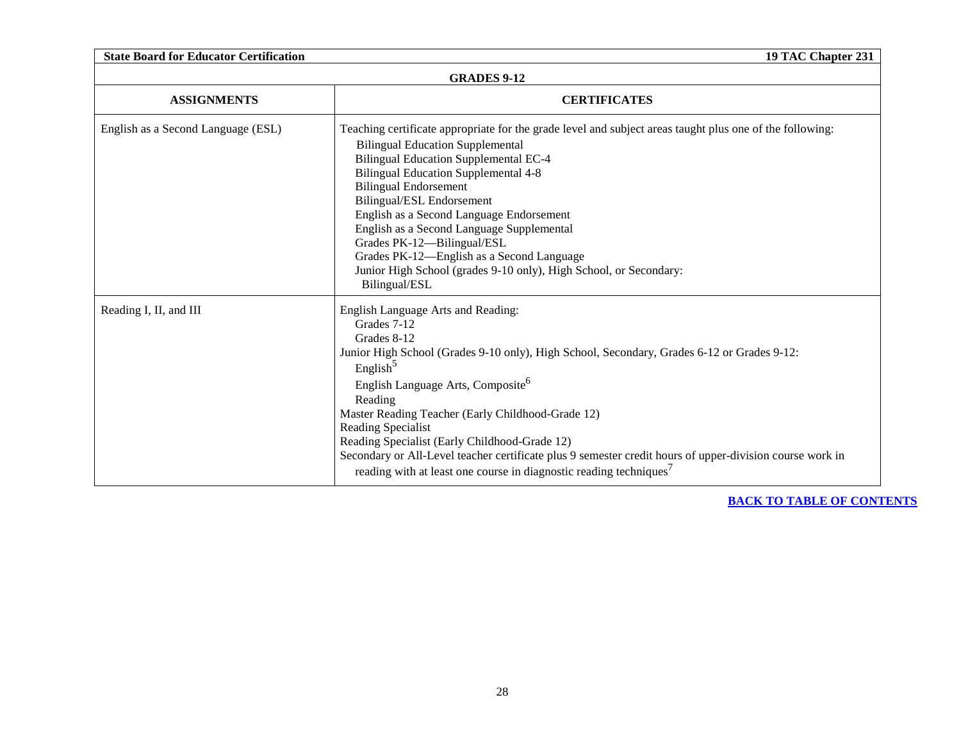| <b>State Board for Educator Certification</b><br>19 TAC Chapter 231 |                                                                                                                                                                                                                                                                                                                                                                                                                                                                                                                                                                              |
|---------------------------------------------------------------------|------------------------------------------------------------------------------------------------------------------------------------------------------------------------------------------------------------------------------------------------------------------------------------------------------------------------------------------------------------------------------------------------------------------------------------------------------------------------------------------------------------------------------------------------------------------------------|
| <b>GRADES 9-12</b>                                                  |                                                                                                                                                                                                                                                                                                                                                                                                                                                                                                                                                                              |
| <b>ASSIGNMENTS</b>                                                  | <b>CERTIFICATES</b>                                                                                                                                                                                                                                                                                                                                                                                                                                                                                                                                                          |
| English as a Second Language (ESL)                                  | Teaching certificate appropriate for the grade level and subject areas taught plus one of the following:<br><b>Bilingual Education Supplemental</b><br><b>Bilingual Education Supplemental EC-4</b><br><b>Bilingual Education Supplemental 4-8</b><br><b>Bilingual Endorsement</b><br>Bilingual/ESL Endorsement<br>English as a Second Language Endorsement<br>English as a Second Language Supplemental<br>Grades PK-12-Bilingual/ESL<br>Grades PK-12-English as a Second Language<br>Junior High School (grades 9-10 only), High School, or Secondary:<br>Bilingual/ESL    |
| Reading I, II, and III                                              | English Language Arts and Reading:<br>Grades 7-12<br>Grades 8-12<br>Junior High School (Grades 9-10 only), High School, Secondary, Grades 6-12 or Grades 9-12:<br>English <sup>5</sup><br>English Language Arts, Composite <sup>6</sup><br>Reading<br>Master Reading Teacher (Early Childhood-Grade 12)<br>Reading Specialist<br>Reading Specialist (Early Childhood-Grade 12)<br>Secondary or All-Level teacher certificate plus 9 semester credit hours of upper-division course work in<br>reading with at least one course in diagnostic reading techniques <sup>7</sup> |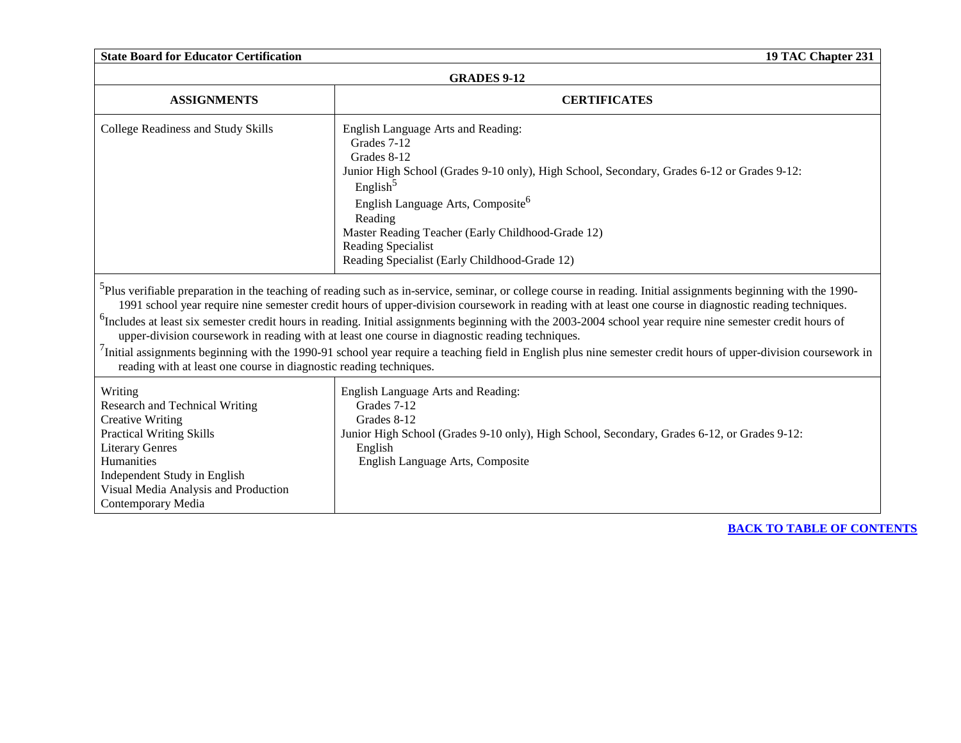| <b>State Board for Educator Certification</b><br>19 TAC Chapter 231                                                                                                                                                                           |                                                                                                                                                                                                                                                                                                                                                                                                                                                                                                                                                                                                                                                                                                                         |  |
|-----------------------------------------------------------------------------------------------------------------------------------------------------------------------------------------------------------------------------------------------|-------------------------------------------------------------------------------------------------------------------------------------------------------------------------------------------------------------------------------------------------------------------------------------------------------------------------------------------------------------------------------------------------------------------------------------------------------------------------------------------------------------------------------------------------------------------------------------------------------------------------------------------------------------------------------------------------------------------------|--|
| <b>GRADES 9-12</b>                                                                                                                                                                                                                            |                                                                                                                                                                                                                                                                                                                                                                                                                                                                                                                                                                                                                                                                                                                         |  |
| <b>ASSIGNMENTS</b>                                                                                                                                                                                                                            | <b>CERTIFICATES</b>                                                                                                                                                                                                                                                                                                                                                                                                                                                                                                                                                                                                                                                                                                     |  |
| College Readiness and Study Skills                                                                                                                                                                                                            | English Language Arts and Reading:<br>Grades 7-12<br>Grades 8-12<br>Junior High School (Grades 9-10 only), High School, Secondary, Grades 6-12 or Grades 9-12:<br>English <sup>5</sup><br>English Language Arts, Composite <sup>6</sup><br>Reading<br>Master Reading Teacher (Early Childhood-Grade 12)<br>Reading Specialist<br>Reading Specialist (Early Childhood-Grade 12)<br><sup>5</sup> Plus verifiable preparation in the teaching of reading such as in-service, seminar, or college course in reading. Initial assignments beginning with the 1990-<br>1991 school year require nine semester credit hours of upper-division coursework in reading with at least one course in diagnostic reading techniques. |  |
| reading with at least one course in diagnostic reading techniques.                                                                                                                                                                            | <sup>6</sup> Includes at least six semester credit hours in reading. Initial assignments beginning with the 2003-2004 school year require nine semester credit hours of<br>upper-division coursework in reading with at least one course in diagnostic reading techniques.<br>Initial assignments beginning with the 1990-91 school year require a teaching field in English plus nine semester credit hours of upper-division coursework in                                                                                                                                                                                                                                                                            |  |
| Writing<br>Research and Technical Writing<br><b>Creative Writing</b><br><b>Practical Writing Skills</b><br><b>Literary Genres</b><br>Humanities<br>Independent Study in English<br>Visual Media Analysis and Production<br>Contemporary Media | English Language Arts and Reading:<br>Grades 7-12<br>Grades 8-12<br>Junior High School (Grades 9-10 only), High School, Secondary, Grades 6-12, or Grades 9-12:<br>English<br>English Language Arts, Composite                                                                                                                                                                                                                                                                                                                                                                                                                                                                                                          |  |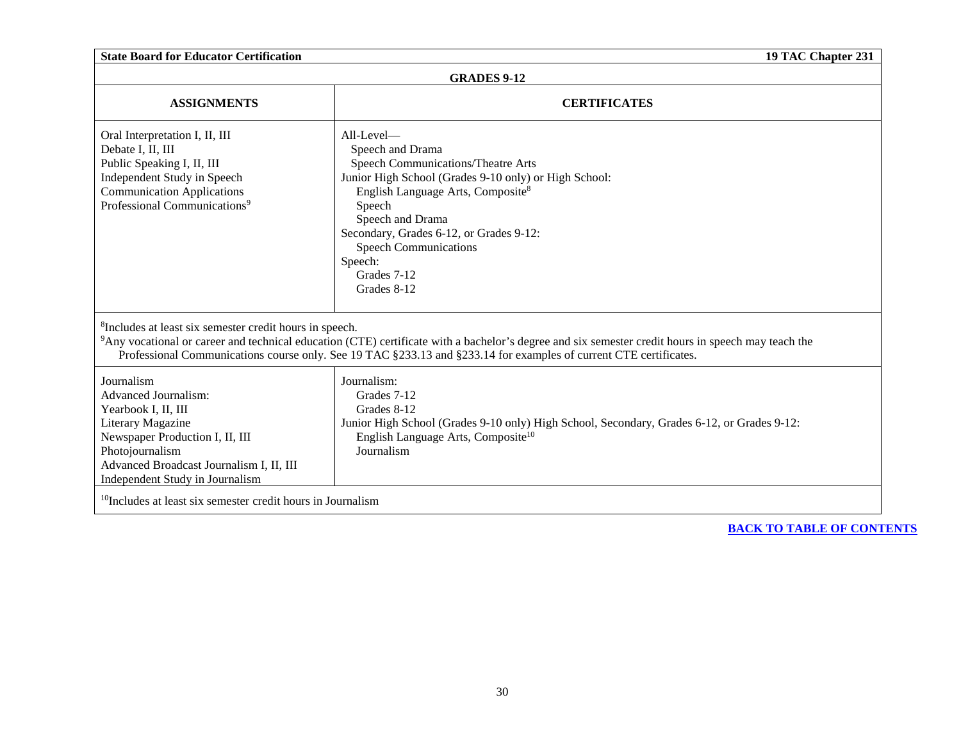| <b>State Board for Educator Certification</b>                                                                                                                                                                              | 19 TAC Chapter 231                                                                                                                                                                                                                                                                                                                  |
|----------------------------------------------------------------------------------------------------------------------------------------------------------------------------------------------------------------------------|-------------------------------------------------------------------------------------------------------------------------------------------------------------------------------------------------------------------------------------------------------------------------------------------------------------------------------------|
| <b>GRADES 9-12</b>                                                                                                                                                                                                         |                                                                                                                                                                                                                                                                                                                                     |
| <b>ASSIGNMENTS</b>                                                                                                                                                                                                         | <b>CERTIFICATES</b>                                                                                                                                                                                                                                                                                                                 |
| Oral Interpretation I, II, III<br>Debate I, II, III<br>Public Speaking I, II, III<br>Independent Study in Speech<br><b>Communication Applications</b><br>Professional Communications <sup>9</sup>                          | $All-Level$ —<br>Speech and Drama<br>Speech Communications/Theatre Arts<br>Junior High School (Grades 9-10 only) or High School:<br>English Language Arts, Composite <sup>8</sup><br>Speech<br>Speech and Drama<br>Secondary, Grades 6-12, or Grades 9-12:<br><b>Speech Communications</b><br>Speech:<br>Grades 7-12<br>Grades 8-12 |
| <sup>8</sup> Includes at least six semester credit hours in speech.                                                                                                                                                        | <sup>9</sup> Any vocational or career and technical education (CTE) certificate with a bachelor's degree and six semester credit hours in speech may teach the<br>Professional Communications course only. See 19 TAC §233.13 and §233.14 for examples of current CTE certificates.                                                 |
| Journalism<br><b>Advanced Journalism:</b><br>Yearbook I, II, III<br>Literary Magazine<br>Newspaper Production I, II, III<br>Photojournalism<br>Advanced Broadcast Journalism I, II, III<br>Independent Study in Journalism | Journalism:<br>Grades 7-12<br>Grades 8-12<br>Junior High School (Grades 9-10 only) High School, Secondary, Grades 6-12, or Grades 9-12:<br>English Language Arts, Composite <sup>10</sup><br>Journalism                                                                                                                             |
| $10$ Includes at least six semester credit hours in Journalism                                                                                                                                                             |                                                                                                                                                                                                                                                                                                                                     |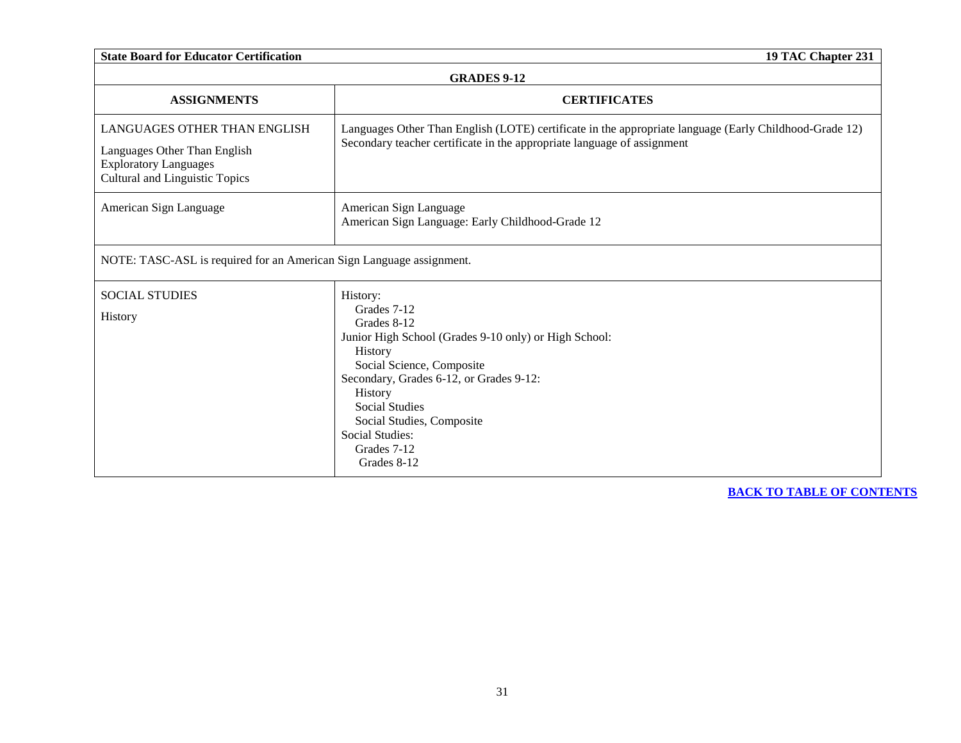| <b>State Board for Educator Certification</b><br>19 TAC Chapter 231                                                                   |                                                                                                                                                                                                                                                                                                 |
|---------------------------------------------------------------------------------------------------------------------------------------|-------------------------------------------------------------------------------------------------------------------------------------------------------------------------------------------------------------------------------------------------------------------------------------------------|
| <b>GRADES 9-12</b>                                                                                                                    |                                                                                                                                                                                                                                                                                                 |
| <b>ASSIGNMENTS</b>                                                                                                                    | <b>CERTIFICATES</b>                                                                                                                                                                                                                                                                             |
| LANGUAGES OTHER THAN ENGLISH<br>Languages Other Than English<br><b>Exploratory Languages</b><br><b>Cultural and Linguistic Topics</b> | Languages Other Than English (LOTE) certificate in the appropriate language (Early Childhood-Grade 12)<br>Secondary teacher certificate in the appropriate language of assignment                                                                                                               |
| American Sign Language                                                                                                                | American Sign Language<br>American Sign Language: Early Childhood-Grade 12                                                                                                                                                                                                                      |
| NOTE: TASC-ASL is required for an American Sign Language assignment.                                                                  |                                                                                                                                                                                                                                                                                                 |
| <b>SOCIAL STUDIES</b>                                                                                                                 | History:                                                                                                                                                                                                                                                                                        |
| History                                                                                                                               | Grades 7-12<br>Grades 8-12<br>Junior High School (Grades 9-10 only) or High School:<br>History<br>Social Science, Composite<br>Secondary, Grades 6-12, or Grades 9-12:<br>History<br><b>Social Studies</b><br>Social Studies, Composite<br><b>Social Studies:</b><br>Grades 7-12<br>Grades 8-12 |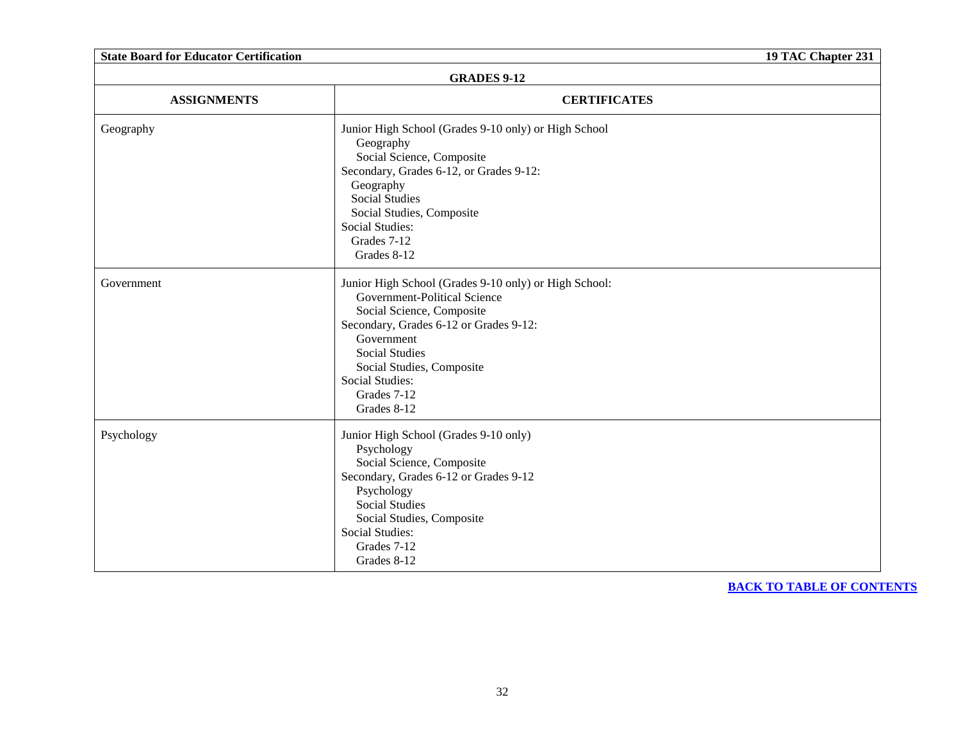| <b>State Board for Educator Certification</b> |                                                                                                                                                                                                                                                                                          | 19 TAC Chapter 231 |
|-----------------------------------------------|------------------------------------------------------------------------------------------------------------------------------------------------------------------------------------------------------------------------------------------------------------------------------------------|--------------------|
| <b>GRADES 9-12</b>                            |                                                                                                                                                                                                                                                                                          |                    |
| <b>ASSIGNMENTS</b>                            | <b>CERTIFICATES</b>                                                                                                                                                                                                                                                                      |                    |
| Geography                                     | Junior High School (Grades 9-10 only) or High School<br>Geography<br>Social Science, Composite<br>Secondary, Grades 6-12, or Grades 9-12:<br>Geography<br><b>Social Studies</b><br>Social Studies, Composite<br><b>Social Studies:</b><br>Grades 7-12<br>Grades 8-12                     |                    |
| Government                                    | Junior High School (Grades 9-10 only) or High School:<br>Government-Political Science<br>Social Science, Composite<br>Secondary, Grades 6-12 or Grades 9-12:<br>Government<br><b>Social Studies</b><br>Social Studies, Composite<br><b>Social Studies:</b><br>Grades 7-12<br>Grades 8-12 |                    |
| Psychology                                    | Junior High School (Grades 9-10 only)<br>Psychology<br>Social Science, Composite<br>Secondary, Grades 6-12 or Grades 9-12<br>Psychology<br><b>Social Studies</b><br>Social Studies, Composite<br>Social Studies:<br>Grades 7-12<br>Grades 8-12                                           |                    |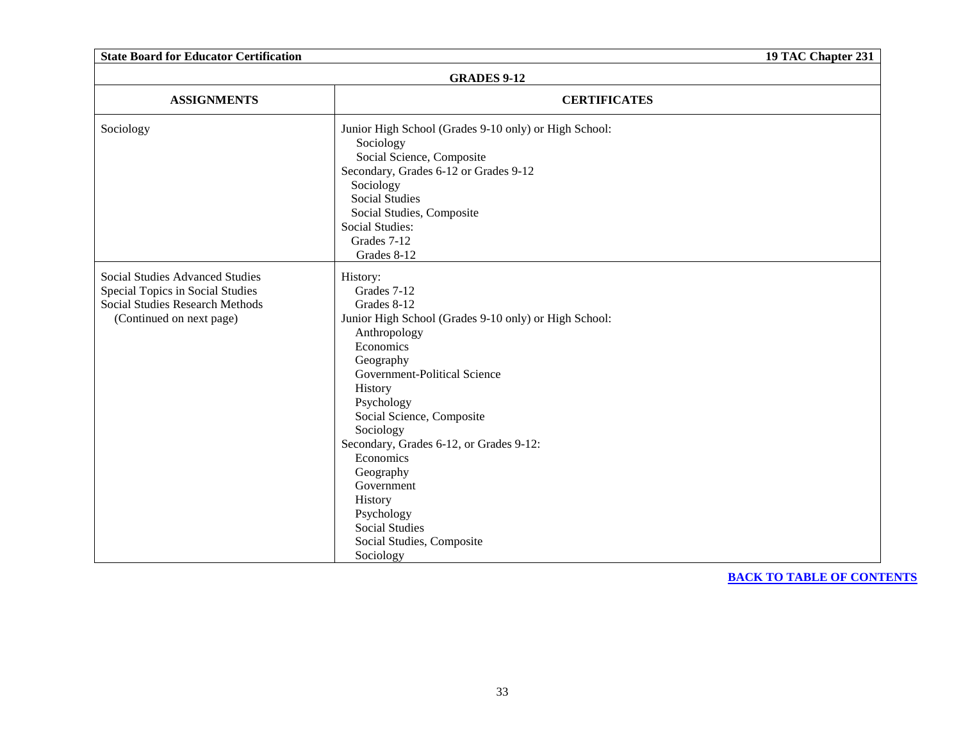| <b>State Board for Educator Certification</b>                                                                                                    |                                                                                                                                                                                                                                                                                                                                                                                                                             | 19 TAC Chapter 231 |
|--------------------------------------------------------------------------------------------------------------------------------------------------|-----------------------------------------------------------------------------------------------------------------------------------------------------------------------------------------------------------------------------------------------------------------------------------------------------------------------------------------------------------------------------------------------------------------------------|--------------------|
|                                                                                                                                                  | <b>GRADES 9-12</b>                                                                                                                                                                                                                                                                                                                                                                                                          |                    |
| <b>ASSIGNMENTS</b>                                                                                                                               | <b>CERTIFICATES</b>                                                                                                                                                                                                                                                                                                                                                                                                         |                    |
| Sociology                                                                                                                                        | Junior High School (Grades 9-10 only) or High School:<br>Sociology<br>Social Science, Composite<br>Secondary, Grades 6-12 or Grades 9-12<br>Sociology<br><b>Social Studies</b><br>Social Studies, Composite<br><b>Social Studies:</b><br>Grades 7-12<br>Grades 8-12                                                                                                                                                         |                    |
| <b>Social Studies Advanced Studies</b><br>Special Topics in Social Studies<br><b>Social Studies Research Methods</b><br>(Continued on next page) | History:<br>Grades 7-12<br>Grades 8-12<br>Junior High School (Grades 9-10 only) or High School:<br>Anthropology<br>Economics<br>Geography<br>Government-Political Science<br>History<br>Psychology<br>Social Science, Composite<br>Sociology<br>Secondary, Grades 6-12, or Grades 9-12:<br>Economics<br>Geography<br>Government<br>History<br>Psychology<br><b>Social Studies</b><br>Social Studies, Composite<br>Sociology |                    |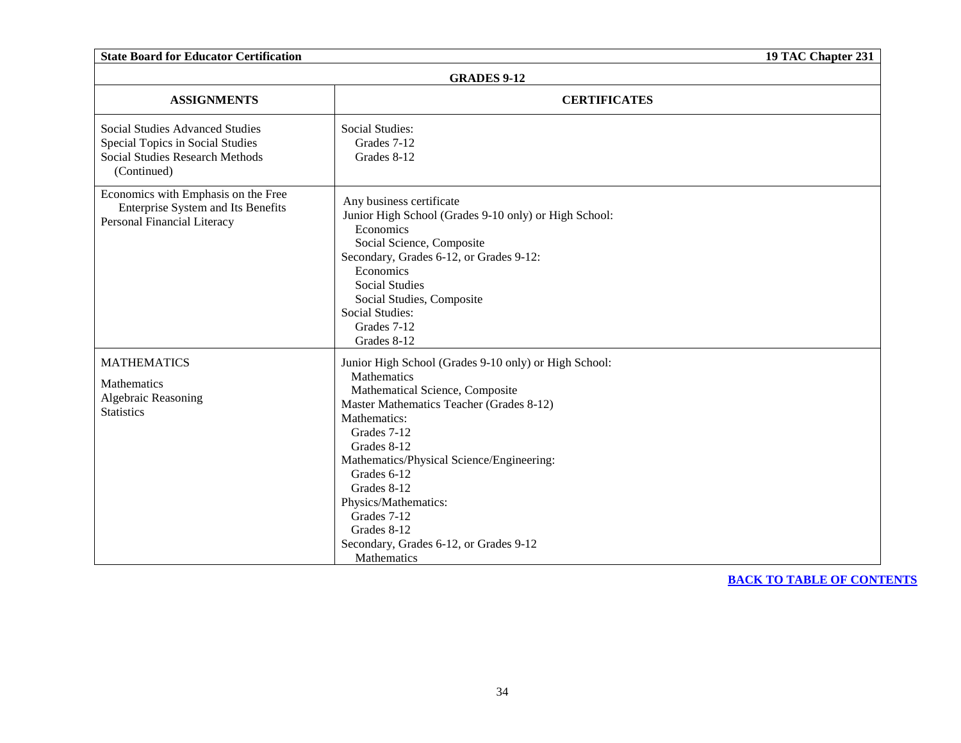| <b>State Board for Educator Certification</b>                                                                                       |                                                                                                                                                                                                                                                                                                                                                                                             | 19 TAC Chapter 231 |  |
|-------------------------------------------------------------------------------------------------------------------------------------|---------------------------------------------------------------------------------------------------------------------------------------------------------------------------------------------------------------------------------------------------------------------------------------------------------------------------------------------------------------------------------------------|--------------------|--|
|                                                                                                                                     | <b>GRADES 9-12</b>                                                                                                                                                                                                                                                                                                                                                                          |                    |  |
| <b>ASSIGNMENTS</b>                                                                                                                  | <b>CERTIFICATES</b>                                                                                                                                                                                                                                                                                                                                                                         |                    |  |
| <b>Social Studies Advanced Studies</b><br>Special Topics in Social Studies<br><b>Social Studies Research Methods</b><br>(Continued) | <b>Social Studies:</b><br>Grades 7-12<br>Grades 8-12                                                                                                                                                                                                                                                                                                                                        |                    |  |
| Economics with Emphasis on the Free<br>Enterprise System and Its Benefits<br>Personal Financial Literacy                            | Any business certificate<br>Junior High School (Grades 9-10 only) or High School:<br>Economics<br>Social Science, Composite<br>Secondary, Grades 6-12, or Grades 9-12:<br>Economics<br><b>Social Studies</b><br>Social Studies, Composite<br>Social Studies:<br>Grades 7-12<br>Grades 8-12                                                                                                  |                    |  |
| <b>MATHEMATICS</b><br><b>Mathematics</b><br>Algebraic Reasoning<br><b>Statistics</b>                                                | Junior High School (Grades 9-10 only) or High School:<br>Mathematics<br>Mathematical Science, Composite<br>Master Mathematics Teacher (Grades 8-12)<br>Mathematics:<br>Grades 7-12<br>Grades 8-12<br>Mathematics/Physical Science/Engineering:<br>Grades 6-12<br>Grades 8-12<br>Physics/Mathematics:<br>Grades 7-12<br>Grades 8-12<br>Secondary, Grades 6-12, or Grades 9-12<br>Mathematics |                    |  |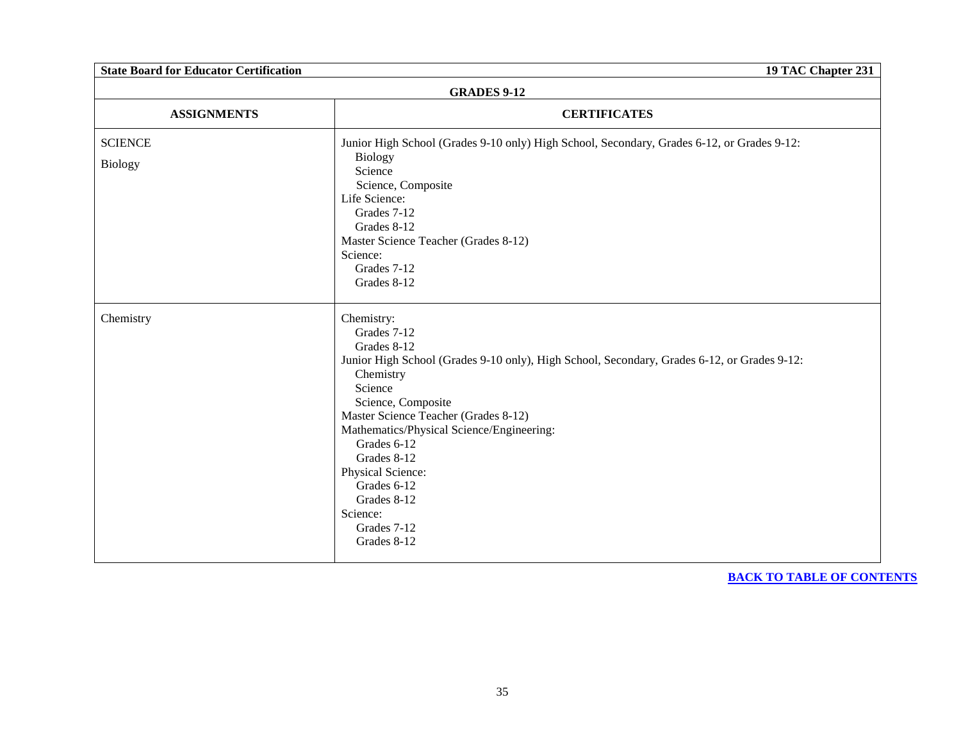| <b>State Board for Educator Certification</b><br>19 TAC Chapter 231 |                                                                                                                                                                                                                                                                                                                                                                                                       |  |
|---------------------------------------------------------------------|-------------------------------------------------------------------------------------------------------------------------------------------------------------------------------------------------------------------------------------------------------------------------------------------------------------------------------------------------------------------------------------------------------|--|
| <b>GRADES 9-12</b>                                                  |                                                                                                                                                                                                                                                                                                                                                                                                       |  |
| <b>ASSIGNMENTS</b>                                                  | <b>CERTIFICATES</b>                                                                                                                                                                                                                                                                                                                                                                                   |  |
| <b>SCIENCE</b>                                                      | Junior High School (Grades 9-10 only) High School, Secondary, Grades 6-12, or Grades 9-12:                                                                                                                                                                                                                                                                                                            |  |
| <b>Biology</b>                                                      | <b>Biology</b><br>Science<br>Science, Composite<br>Life Science:<br>Grades 7-12<br>Grades 8-12<br>Master Science Teacher (Grades 8-12)<br>Science:<br>Grades 7-12<br>Grades 8-12                                                                                                                                                                                                                      |  |
| Chemistry                                                           | Chemistry:<br>Grades 7-12<br>Grades 8-12<br>Junior High School (Grades 9-10 only), High School, Secondary, Grades 6-12, or Grades 9-12:<br>Chemistry<br>Science<br>Science, Composite<br>Master Science Teacher (Grades 8-12)<br>Mathematics/Physical Science/Engineering:<br>Grades 6-12<br>Grades 8-12<br>Physical Science:<br>Grades 6-12<br>Grades 8-12<br>Science:<br>Grades 7-12<br>Grades 8-12 |  |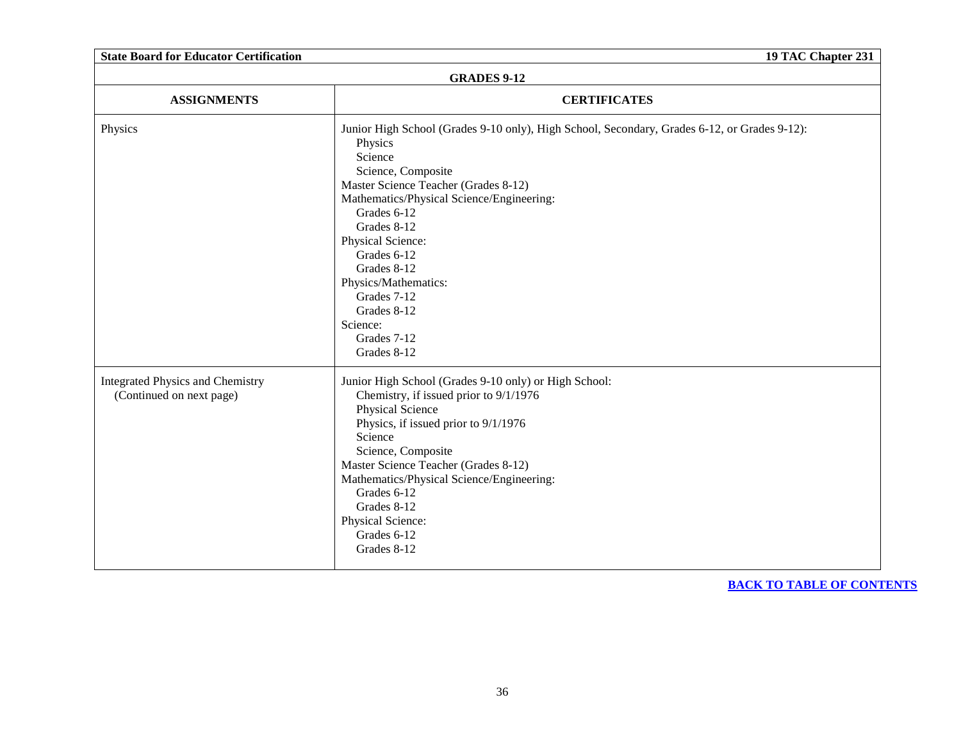| <b>State Board for Educator Certification</b>                       | 19 TAC Chapter 231                                                                                                                                                                                                                                                                                                                                                                                             |
|---------------------------------------------------------------------|----------------------------------------------------------------------------------------------------------------------------------------------------------------------------------------------------------------------------------------------------------------------------------------------------------------------------------------------------------------------------------------------------------------|
| <b>GRADES 9-12</b>                                                  |                                                                                                                                                                                                                                                                                                                                                                                                                |
| <b>ASSIGNMENTS</b>                                                  | <b>CERTIFICATES</b>                                                                                                                                                                                                                                                                                                                                                                                            |
| Physics                                                             | Junior High School (Grades 9-10 only), High School, Secondary, Grades 6-12, or Grades 9-12):<br>Physics<br>Science<br>Science, Composite<br>Master Science Teacher (Grades 8-12)<br>Mathematics/Physical Science/Engineering:<br>Grades 6-12<br>Grades 8-12<br>Physical Science:<br>Grades 6-12<br>Grades 8-12<br>Physics/Mathematics:<br>Grades 7-12<br>Grades 8-12<br>Science:<br>Grades 7-12<br>Grades 8-12 |
| <b>Integrated Physics and Chemistry</b><br>(Continued on next page) | Junior High School (Grades 9-10 only) or High School:<br>Chemistry, if issued prior to 9/1/1976<br>Physical Science<br>Physics, if issued prior to 9/1/1976<br>Science<br>Science, Composite<br>Master Science Teacher (Grades 8-12)<br>Mathematics/Physical Science/Engineering:<br>Grades 6-12<br>Grades 8-12<br>Physical Science:<br>Grades 6-12<br>Grades 8-12                                             |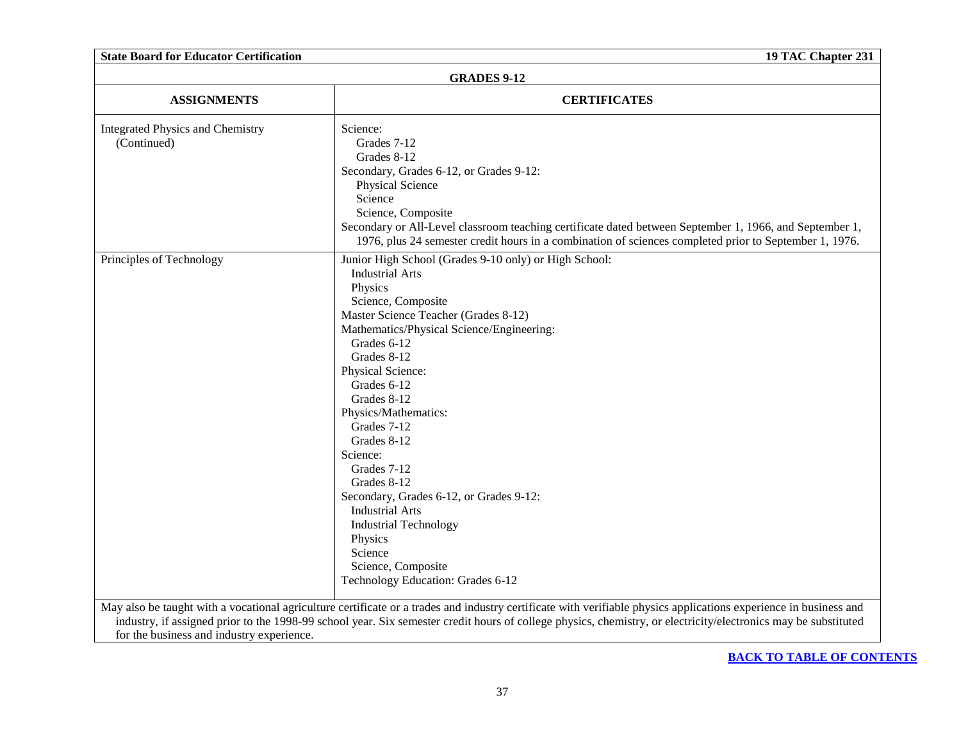| <b>State Board for Educator Certification</b>          | 19 TAC Chapter 231                                                                                                                                                                                                                                                                                                                                                                                                                                                                                                                                                           |
|--------------------------------------------------------|------------------------------------------------------------------------------------------------------------------------------------------------------------------------------------------------------------------------------------------------------------------------------------------------------------------------------------------------------------------------------------------------------------------------------------------------------------------------------------------------------------------------------------------------------------------------------|
|                                                        | <b>GRADES 9-12</b>                                                                                                                                                                                                                                                                                                                                                                                                                                                                                                                                                           |
| <b>ASSIGNMENTS</b>                                     | <b>CERTIFICATES</b>                                                                                                                                                                                                                                                                                                                                                                                                                                                                                                                                                          |
| <b>Integrated Physics and Chemistry</b><br>(Continued) | Science:<br>Grades 7-12<br>Grades 8-12<br>Secondary, Grades 6-12, or Grades 9-12:<br><b>Physical Science</b><br>Science<br>Science, Composite<br>Secondary or All-Level classroom teaching certificate dated between September 1, 1966, and September 1,<br>1976, plus 24 semester credit hours in a combination of sciences completed prior to September 1, 1976.                                                                                                                                                                                                           |
| Principles of Technology                               | Junior High School (Grades 9-10 only) or High School:<br><b>Industrial Arts</b><br>Physics<br>Science, Composite<br>Master Science Teacher (Grades 8-12)<br>Mathematics/Physical Science/Engineering:<br>Grades 6-12<br>Grades 8-12<br>Physical Science:<br>Grades 6-12<br>Grades 8-12<br>Physics/Mathematics:<br>Grades 7-12<br>Grades 8-12<br>Science:<br>Grades 7-12<br>Grades 8-12<br>Secondary, Grades 6-12, or Grades 9-12:<br><b>Industrial Arts</b><br><b>Industrial Technology</b><br>Physics<br>Science<br>Science, Composite<br>Technology Education: Grades 6-12 |
| for the business and industry experience.              | May also be taught with a vocational agriculture certificate or a trades and industry certificate with verifiable physics applications experience in business and<br>industry, if assigned prior to the 1998-99 school year. Six semester credit hours of college physics, chemistry, or electricity/electronics may be substituted                                                                                                                                                                                                                                          |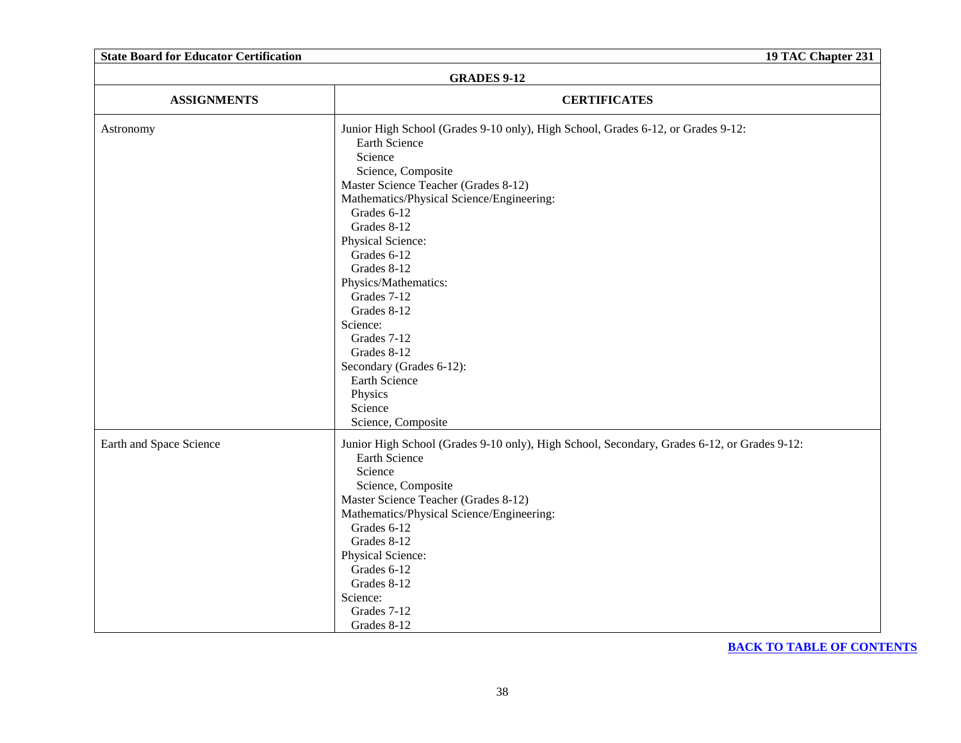| <b>State Board for Educator Certification</b> |                                                                                                                                                                                                                                                                                                                                                                                                                                                                                                   | 19 TAC Chapter 231 |
|-----------------------------------------------|---------------------------------------------------------------------------------------------------------------------------------------------------------------------------------------------------------------------------------------------------------------------------------------------------------------------------------------------------------------------------------------------------------------------------------------------------------------------------------------------------|--------------------|
|                                               | <b>GRADES 9-12</b>                                                                                                                                                                                                                                                                                                                                                                                                                                                                                |                    |
| <b>ASSIGNMENTS</b>                            | <b>CERTIFICATES</b>                                                                                                                                                                                                                                                                                                                                                                                                                                                                               |                    |
| Astronomy                                     | Junior High School (Grades 9-10 only), High School, Grades 6-12, or Grades 9-12:<br>Earth Science<br>Science<br>Science, Composite<br>Master Science Teacher (Grades 8-12)<br>Mathematics/Physical Science/Engineering:<br>Grades 6-12<br>Grades 8-12<br>Physical Science:<br>Grades 6-12<br>Grades 8-12<br>Physics/Mathematics:<br>Grades 7-12<br>Grades 8-12<br>Science:<br>Grades 7-12<br>Grades 8-12<br>Secondary (Grades 6-12):<br>Earth Science<br>Physics<br>Science<br>Science, Composite |                    |
| Earth and Space Science                       | Junior High School (Grades 9-10 only), High School, Secondary, Grades 6-12, or Grades 9-12:<br>Earth Science<br>Science<br>Science, Composite<br>Master Science Teacher (Grades 8-12)<br>Mathematics/Physical Science/Engineering:<br>Grades 6-12<br>Grades 8-12<br>Physical Science:<br>Grades 6-12<br>Grades 8-12<br>Science:<br>Grades 7-12<br>Grades 8-12                                                                                                                                     |                    |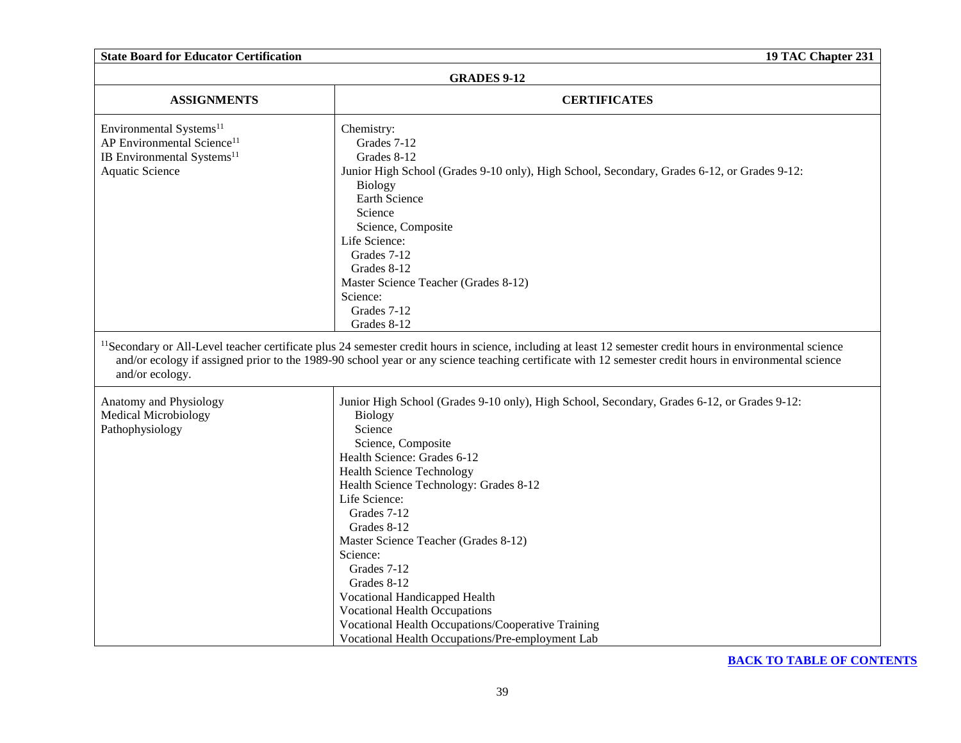| <b>State Board for Educator Certification</b>                                                                                              | 19 TAC Chapter 231                                                                                                                                                                                                                                                                                                                                                                                                                                                                                                                                                                                                                                                                                                                                                                                         |
|--------------------------------------------------------------------------------------------------------------------------------------------|------------------------------------------------------------------------------------------------------------------------------------------------------------------------------------------------------------------------------------------------------------------------------------------------------------------------------------------------------------------------------------------------------------------------------------------------------------------------------------------------------------------------------------------------------------------------------------------------------------------------------------------------------------------------------------------------------------------------------------------------------------------------------------------------------------|
|                                                                                                                                            | <b>GRADES 9-12</b>                                                                                                                                                                                                                                                                                                                                                                                                                                                                                                                                                                                                                                                                                                                                                                                         |
| <b>ASSIGNMENTS</b>                                                                                                                         | <b>CERTIFICATES</b>                                                                                                                                                                                                                                                                                                                                                                                                                                                                                                                                                                                                                                                                                                                                                                                        |
| Environmental Systems <sup>11</sup><br>AP Environmental Science <sup>11</sup><br>IB Environmental Systems <sup>11</sup><br>Aquatic Science | Chemistry:<br>Grades 7-12<br>Grades 8-12<br>Junior High School (Grades 9-10 only), High School, Secondary, Grades 6-12, or Grades 9-12:<br>Biology<br>Earth Science<br>Science<br>Science, Composite<br>Life Science:<br>Grades 7-12<br>Grades 8-12<br>Master Science Teacher (Grades 8-12)<br>Science:<br>Grades 7-12<br>Grades 8-12                                                                                                                                                                                                                                                                                                                                                                                                                                                                      |
| and/or ecology.<br>Anatomy and Physiology<br><b>Medical Microbiology</b><br>Pathophysiology                                                | <sup>11</sup> Secondary or All-Level teacher certificate plus 24 semester credit hours in science, including at least 12 semester credit hours in environmental science<br>and/or ecology if assigned prior to the 1989-90 school year or any science teaching certificate with 12 semester credit hours in environmental science<br>Junior High School (Grades 9-10 only), High School, Secondary, Grades 6-12, or Grades 9-12:<br><b>Biology</b><br>Science<br>Science, Composite<br>Health Science: Grades 6-12<br><b>Health Science Technology</b><br>Health Science Technology: Grades 8-12<br>Life Science:<br>Grades 7-12<br>Grades 8-12<br>Master Science Teacher (Grades 8-12)<br>Science:<br>Grades 7-12<br>Grades 8-12<br>Vocational Handicapped Health<br><b>Vocational Health Occupations</b> |
|                                                                                                                                            | Vocational Health Occupations/Cooperative Training<br>Vocational Health Occupations/Pre-employment Lab                                                                                                                                                                                                                                                                                                                                                                                                                                                                                                                                                                                                                                                                                                     |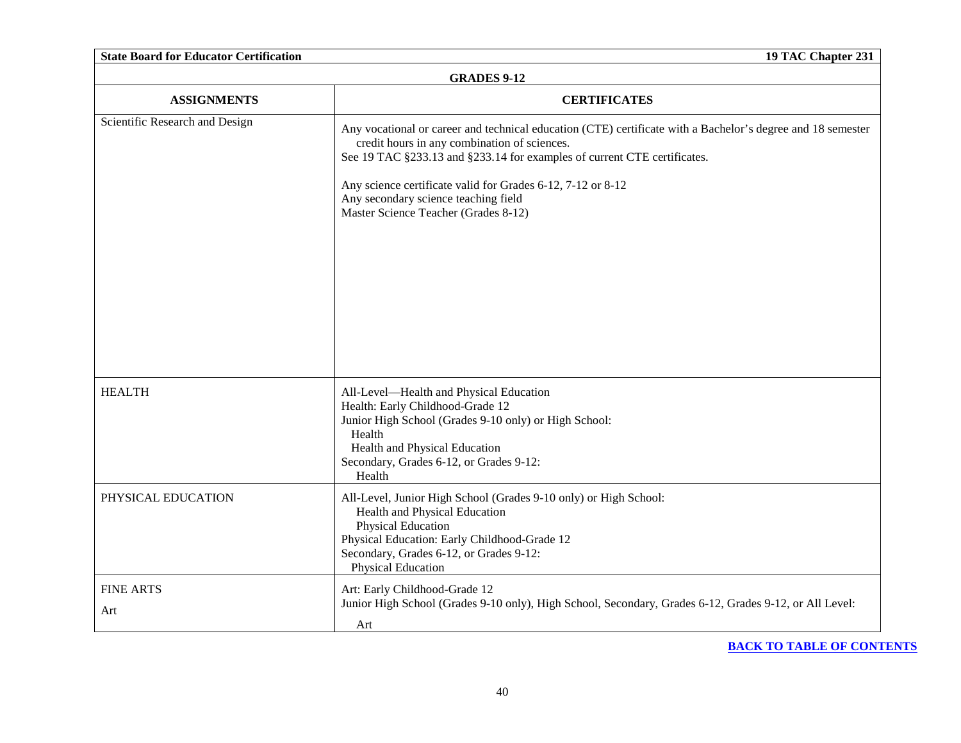| <b>State Board for Educator Certification</b> | 19 TAC Chapter 231                                                                                                                                                                                                                                                                                                                                                                     |
|-----------------------------------------------|----------------------------------------------------------------------------------------------------------------------------------------------------------------------------------------------------------------------------------------------------------------------------------------------------------------------------------------------------------------------------------------|
| <b>GRADES 9-12</b>                            |                                                                                                                                                                                                                                                                                                                                                                                        |
| <b>ASSIGNMENTS</b>                            | <b>CERTIFICATES</b>                                                                                                                                                                                                                                                                                                                                                                    |
| Scientific Research and Design                | Any vocational or career and technical education (CTE) certificate with a Bachelor's degree and 18 semester<br>credit hours in any combination of sciences.<br>See 19 TAC §233.13 and §233.14 for examples of current CTE certificates.<br>Any science certificate valid for Grades 6-12, 7-12 or 8-12<br>Any secondary science teaching field<br>Master Science Teacher (Grades 8-12) |
| <b>HEALTH</b>                                 | All-Level-Health and Physical Education<br>Health: Early Childhood-Grade 12<br>Junior High School (Grades 9-10 only) or High School:<br>Health<br>Health and Physical Education<br>Secondary, Grades 6-12, or Grades 9-12:<br>Health                                                                                                                                                   |
| PHYSICAL EDUCATION                            | All-Level, Junior High School (Grades 9-10 only) or High School:<br>Health and Physical Education<br>Physical Education<br>Physical Education: Early Childhood-Grade 12<br>Secondary, Grades 6-12, or Grades 9-12:<br><b>Physical Education</b>                                                                                                                                        |
| <b>FINE ARTS</b><br>Art                       | Art: Early Childhood-Grade 12<br>Junior High School (Grades 9-10 only), High School, Secondary, Grades 6-12, Grades 9-12, or All Level:<br>Art                                                                                                                                                                                                                                         |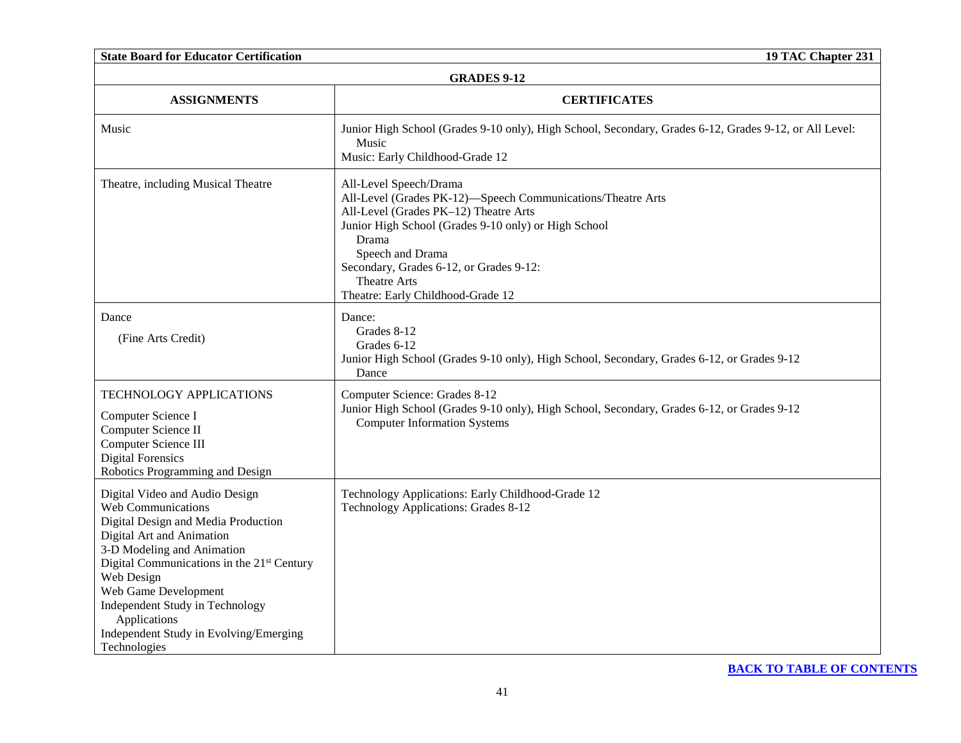| <b>State Board for Educator Certification</b>                                                                                                                                                                                                                                                                                                           | 19 TAC Chapter 231                                                                                                                                                                                                                                                                                                  |  |
|---------------------------------------------------------------------------------------------------------------------------------------------------------------------------------------------------------------------------------------------------------------------------------------------------------------------------------------------------------|---------------------------------------------------------------------------------------------------------------------------------------------------------------------------------------------------------------------------------------------------------------------------------------------------------------------|--|
| <b>GRADES 9-12</b>                                                                                                                                                                                                                                                                                                                                      |                                                                                                                                                                                                                                                                                                                     |  |
| <b>ASSIGNMENTS</b>                                                                                                                                                                                                                                                                                                                                      | <b>CERTIFICATES</b>                                                                                                                                                                                                                                                                                                 |  |
| Music                                                                                                                                                                                                                                                                                                                                                   | Junior High School (Grades 9-10 only), High School, Secondary, Grades 6-12, Grades 9-12, or All Level:<br>Music<br>Music: Early Childhood-Grade 12                                                                                                                                                                  |  |
| Theatre, including Musical Theatre                                                                                                                                                                                                                                                                                                                      | All-Level Speech/Drama<br>All-Level (Grades PK-12)-Speech Communications/Theatre Arts<br>All-Level (Grades PK-12) Theatre Arts<br>Junior High School (Grades 9-10 only) or High School<br>Drama<br>Speech and Drama<br>Secondary, Grades 6-12, or Grades 9-12:<br>Theatre Arts<br>Theatre: Early Childhood-Grade 12 |  |
| Dance<br>(Fine Arts Credit)                                                                                                                                                                                                                                                                                                                             | Dance:<br>Grades 8-12<br>Grades 6-12<br>Junior High School (Grades 9-10 only), High School, Secondary, Grades 6-12, or Grades 9-12<br>Dance                                                                                                                                                                         |  |
| TECHNOLOGY APPLICATIONS<br>Computer Science I<br>Computer Science II<br>Computer Science III<br><b>Digital Forensics</b><br>Robotics Programming and Design                                                                                                                                                                                             | Computer Science: Grades 8-12<br>Junior High School (Grades 9-10 only), High School, Secondary, Grades 6-12, or Grades 9-12<br><b>Computer Information Systems</b>                                                                                                                                                  |  |
| Digital Video and Audio Design<br>Web Communications<br>Digital Design and Media Production<br>Digital Art and Animation<br>3-D Modeling and Animation<br>Digital Communications in the 21st Century<br>Web Design<br>Web Game Development<br>Independent Study in Technology<br>Applications<br>Independent Study in Evolving/Emerging<br>Technologies | Technology Applications: Early Childhood-Grade 12<br>Technology Applications: Grades 8-12                                                                                                                                                                                                                           |  |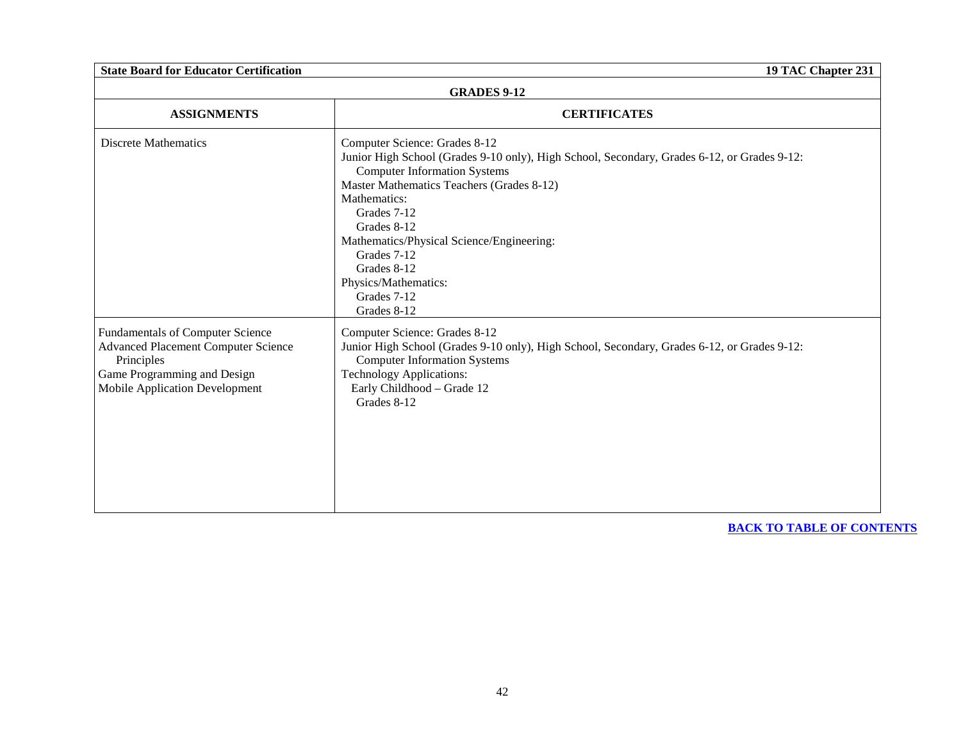| <b>GRADES 9-12</b>                                                                                                                                            |                                                                                                                                                                                                                                                                                                                                                                                                 |
|---------------------------------------------------------------------------------------------------------------------------------------------------------------|-------------------------------------------------------------------------------------------------------------------------------------------------------------------------------------------------------------------------------------------------------------------------------------------------------------------------------------------------------------------------------------------------|
| <b>ASSIGNMENTS</b>                                                                                                                                            | <b>CERTIFICATES</b>                                                                                                                                                                                                                                                                                                                                                                             |
| <b>Discrete Mathematics</b>                                                                                                                                   | Computer Science: Grades 8-12<br>Junior High School (Grades 9-10 only), High School, Secondary, Grades 6-12, or Grades 9-12:<br><b>Computer Information Systems</b><br>Master Mathematics Teachers (Grades 8-12)<br>Mathematics:<br>Grades 7-12<br>Grades 8-12<br>Mathematics/Physical Science/Engineering:<br>Grades 7-12<br>Grades 8-12<br>Physics/Mathematics:<br>Grades 7-12<br>Grades 8-12 |
| <b>Fundamentals of Computer Science</b><br>Advanced Placement Computer Science<br>Principles<br>Game Programming and Design<br>Mobile Application Development | Computer Science: Grades 8-12<br>Junior High School (Grades 9-10 only), High School, Secondary, Grades 6-12, or Grades 9-12:<br><b>Computer Information Systems</b><br><b>Technology Applications:</b><br>Early Childhood - Grade 12<br>Grades 8-12                                                                                                                                             |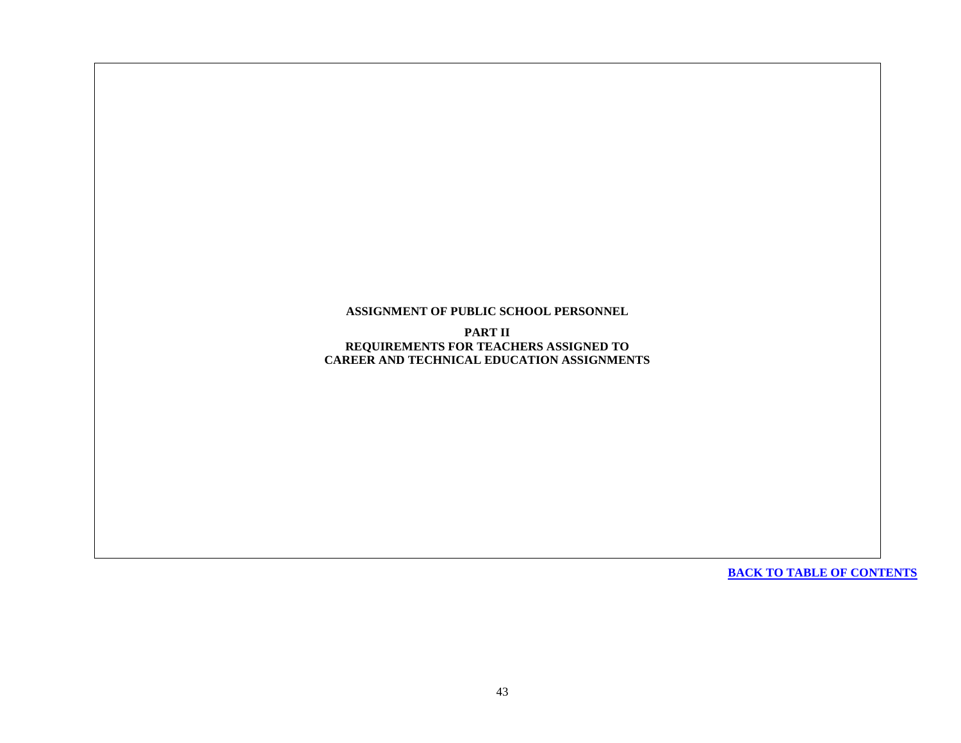**ASSIGNMENT OF PUBLIC SCHOOL PERSONNEL**

**PART II REQUIREMENTS FOR TEACHERS ASSIGNED TO CAREER AND TECHNICAL EDUCATION ASSIGNMENTS**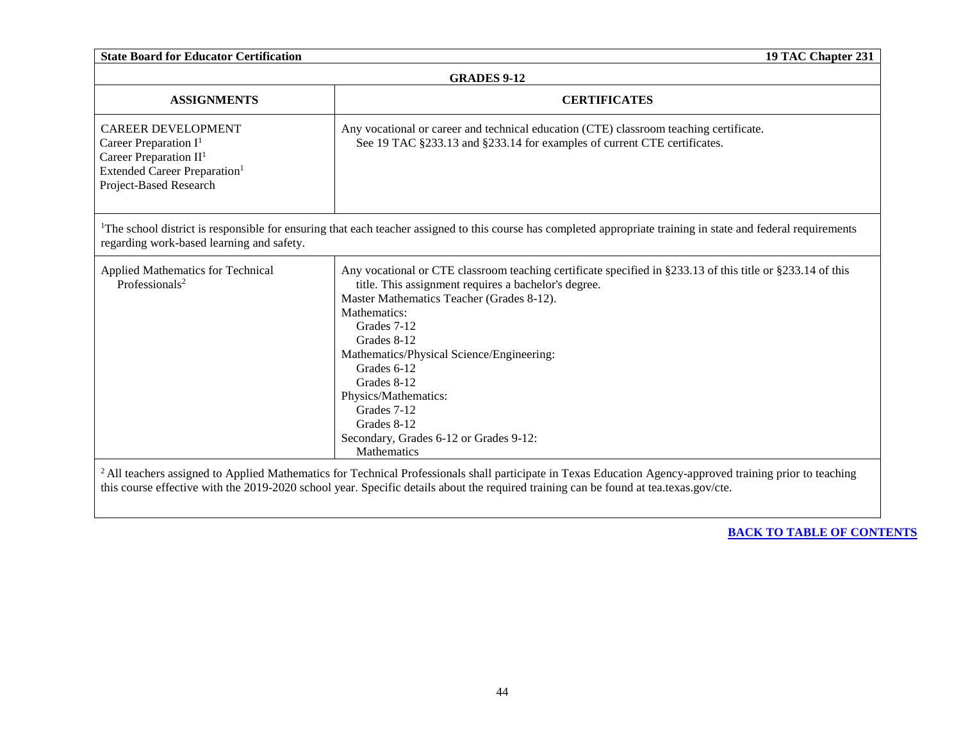|                                                                                                                                                         | <b>GRADES 9-12</b>                                                                                                                                                                                                                                                                                                                                                                                                                                             |  |
|---------------------------------------------------------------------------------------------------------------------------------------------------------|----------------------------------------------------------------------------------------------------------------------------------------------------------------------------------------------------------------------------------------------------------------------------------------------------------------------------------------------------------------------------------------------------------------------------------------------------------------|--|
| <b>ASSIGNMENTS</b>                                                                                                                                      | <b>CERTIFICATES</b>                                                                                                                                                                                                                                                                                                                                                                                                                                            |  |
| <b>CAREER DEVELOPMENT</b><br>Career Preparation $I^1$<br>Career Preparation $II1$<br>Extended Career Preparation <sup>1</sup><br>Project-Based Research | Any vocational or career and technical education (CTE) classroom teaching certificate.<br>See 19 TAC §233.13 and §233.14 for examples of current CTE certificates.                                                                                                                                                                                                                                                                                             |  |
| regarding work-based learning and safety.                                                                                                               | <sup>1</sup> The school district is responsible for ensuring that each teacher assigned to this course has completed appropriate training in state and federal requirements                                                                                                                                                                                                                                                                                    |  |
| Applied Mathematics for Technical<br>Professionals <sup>2</sup>                                                                                         | Any vocational or CTE classroom teaching certificate specified in §233.13 of this title or §233.14 of this<br>title. This assignment requires a bachelor's degree.<br>Master Mathematics Teacher (Grades 8-12).<br>Mathematics:<br>Grades 7-12<br>Grades 8-12<br>Mathematics/Physical Science/Engineering:<br>Grades 6-12<br>Grades 8-12<br>Physics/Mathematics:<br>Grades 7-12<br>Grades 8-12<br>Secondary, Grades 6-12 or Grades 9-12:<br><b>Mathematics</b> |  |

this course effective with the 2019-2020 school year. Specific details about the required training can be found at tea.texas.gov/cte.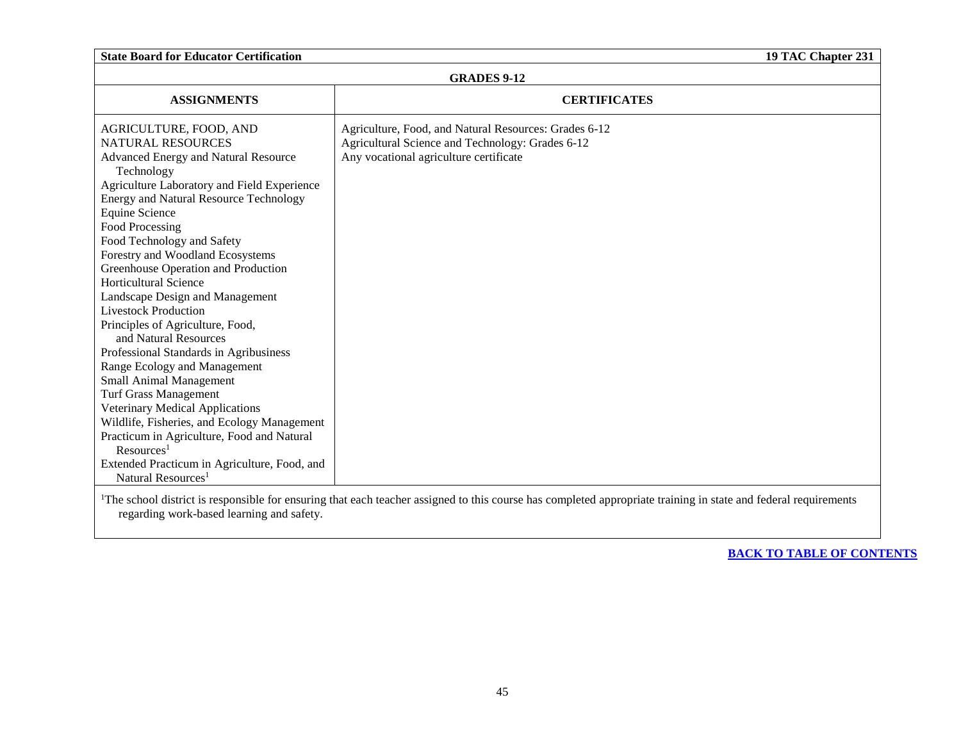| <b>GRADES 9-12</b>                                                                                                                                                                                                                                                                                                                                                                                                                                                                                                                                                                |                                                                                                                                                     |  |
|-----------------------------------------------------------------------------------------------------------------------------------------------------------------------------------------------------------------------------------------------------------------------------------------------------------------------------------------------------------------------------------------------------------------------------------------------------------------------------------------------------------------------------------------------------------------------------------|-----------------------------------------------------------------------------------------------------------------------------------------------------|--|
| <b>ASSIGNMENTS</b>                                                                                                                                                                                                                                                                                                                                                                                                                                                                                                                                                                | <b>CERTIFICATES</b>                                                                                                                                 |  |
| AGRICULTURE, FOOD, AND<br><b>NATURAL RESOURCES</b><br>Advanced Energy and Natural Resource<br>Technology<br>Agriculture Laboratory and Field Experience<br>Energy and Natural Resource Technology<br>Equine Science<br>Food Processing<br>Food Technology and Safety<br>Forestry and Woodland Ecosystems<br>Greenhouse Operation and Production<br>Horticultural Science<br>Landscape Design and Management<br><b>Livestock Production</b><br>Principles of Agriculture, Food,<br>and Natural Resources<br>Professional Standards in Agribusiness<br>Range Ecology and Management | Agriculture, Food, and Natural Resources: Grades 6-12<br>Agricultural Science and Technology: Grades 6-12<br>Any vocational agriculture certificate |  |
| Small Animal Management<br><b>Turf Grass Management</b><br>Veterinary Medical Applications                                                                                                                                                                                                                                                                                                                                                                                                                                                                                        |                                                                                                                                                     |  |
| Wildlife, Fisheries, and Ecology Management<br>Practicum in Agriculture, Food and Natural<br>Resources <sup>1</sup>                                                                                                                                                                                                                                                                                                                                                                                                                                                               |                                                                                                                                                     |  |
| Extended Practicum in Agriculture, Food, and<br>Natural Resources <sup>1</sup>                                                                                                                                                                                                                                                                                                                                                                                                                                                                                                    |                                                                                                                                                     |  |
| $1 - 1$                                                                                                                                                                                                                                                                                                                                                                                                                                                                                                                                                                           |                                                                                                                                                     |  |

<sup>1</sup>The school district is responsible for ensuring that each teacher assigned to this course has completed appropriate training in state and federal requirements regarding work-based learning and safety.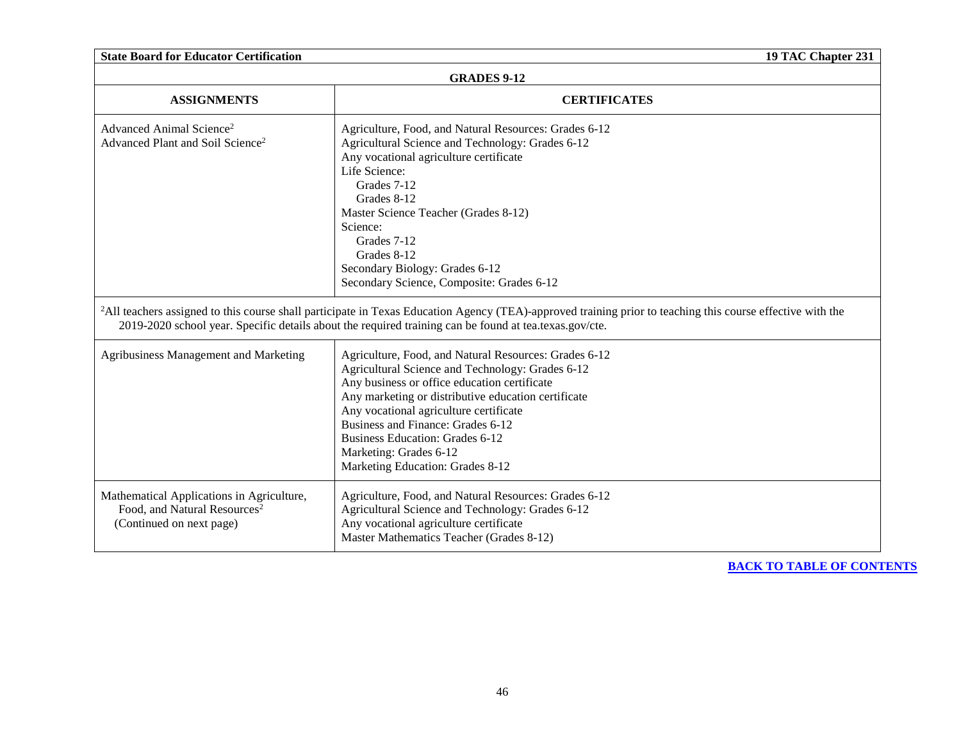| <b>State Board for Educator Certification</b><br>19 TAC Chapter 231                                               |                                                                                                                                                                                                                                                                                                                                                                                                                                                                                                                                                                                                                                                         |  |
|-------------------------------------------------------------------------------------------------------------------|---------------------------------------------------------------------------------------------------------------------------------------------------------------------------------------------------------------------------------------------------------------------------------------------------------------------------------------------------------------------------------------------------------------------------------------------------------------------------------------------------------------------------------------------------------------------------------------------------------------------------------------------------------|--|
|                                                                                                                   | <b>GRADES 9-12</b>                                                                                                                                                                                                                                                                                                                                                                                                                                                                                                                                                                                                                                      |  |
| <b>ASSIGNMENTS</b>                                                                                                | <b>CERTIFICATES</b>                                                                                                                                                                                                                                                                                                                                                                                                                                                                                                                                                                                                                                     |  |
| Advanced Animal Science <sup>2</sup><br>Advanced Plant and Soil Science <sup>2</sup>                              | Agriculture, Food, and Natural Resources: Grades 6-12<br>Agricultural Science and Technology: Grades 6-12<br>Any vocational agriculture certificate<br>Life Science:<br>Grades 7-12<br>Grades 8-12<br>Master Science Teacher (Grades 8-12)<br>Science:<br>Grades 7-12<br>Grades 8-12<br>Secondary Biology: Grades 6-12<br>Secondary Science, Composite: Grades 6-12<br><sup>2</sup> All teachers assigned to this course shall participate in Texas Education Agency (TEA)-approved training prior to teaching this course effective with the<br>2019-2020 school year. Specific details about the required training can be found at tea.texas.gov/cte. |  |
| Agribusiness Management and Marketing                                                                             | Agriculture, Food, and Natural Resources: Grades 6-12<br>Agricultural Science and Technology: Grades 6-12<br>Any business or office education certificate<br>Any marketing or distributive education certificate<br>Any vocational agriculture certificate<br>Business and Finance: Grades 6-12<br><b>Business Education: Grades 6-12</b><br>Marketing: Grades 6-12<br>Marketing Education: Grades 8-12                                                                                                                                                                                                                                                 |  |
| Mathematical Applications in Agriculture,<br>Food, and Natural Resources <sup>2</sup><br>(Continued on next page) | Agriculture, Food, and Natural Resources: Grades 6-12<br>Agricultural Science and Technology: Grades 6-12<br>Any vocational agriculture certificate<br>Master Mathematics Teacher (Grades 8-12)                                                                                                                                                                                                                                                                                                                                                                                                                                                         |  |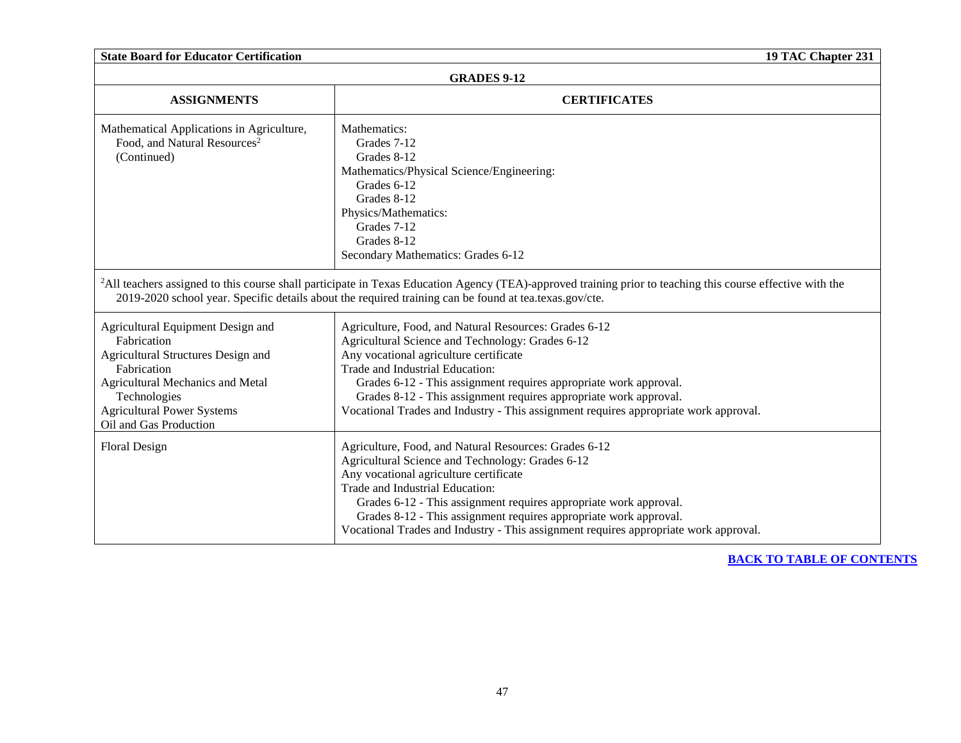| <b>State Board for Educator Certification</b><br>19 TAC Chapter 231                                                                                                                                                      |                                                                                                                                                                                                                                                                                                                                                                                                                          |  |
|--------------------------------------------------------------------------------------------------------------------------------------------------------------------------------------------------------------------------|--------------------------------------------------------------------------------------------------------------------------------------------------------------------------------------------------------------------------------------------------------------------------------------------------------------------------------------------------------------------------------------------------------------------------|--|
|                                                                                                                                                                                                                          | <b>GRADES 9-12</b>                                                                                                                                                                                                                                                                                                                                                                                                       |  |
| <b>ASSIGNMENTS</b>                                                                                                                                                                                                       | <b>CERTIFICATES</b>                                                                                                                                                                                                                                                                                                                                                                                                      |  |
| Mathematical Applications in Agriculture,<br>Food, and Natural Resources <sup>2</sup><br>(Continued)                                                                                                                     | Mathematics:<br>Grades 7-12<br>Grades 8-12<br>Mathematics/Physical Science/Engineering:<br>Grades 6-12<br>Grades 8-12<br>Physics/Mathematics:<br>Grades 7-12<br>Grades 8-12<br>Secondary Mathematics: Grades 6-12                                                                                                                                                                                                        |  |
|                                                                                                                                                                                                                          | <sup>2</sup> All teachers assigned to this course shall participate in Texas Education Agency (TEA)-approved training prior to teaching this course effective with the<br>2019-2020 school year. Specific details about the required training can be found at tea.texas.gov/cte.                                                                                                                                         |  |
| Agricultural Equipment Design and<br>Fabrication<br>Agricultural Structures Design and<br>Fabrication<br>Agricultural Mechanics and Metal<br>Technologies<br><b>Agricultural Power Systems</b><br>Oil and Gas Production | Agriculture, Food, and Natural Resources: Grades 6-12<br>Agricultural Science and Technology: Grades 6-12<br>Any vocational agriculture certificate<br>Trade and Industrial Education:<br>Grades 6-12 - This assignment requires appropriate work approval.<br>Grades 8-12 - This assignment requires appropriate work approval.<br>Vocational Trades and Industry - This assignment requires appropriate work approval. |  |
| <b>Floral Design</b>                                                                                                                                                                                                     | Agriculture, Food, and Natural Resources: Grades 6-12<br>Agricultural Science and Technology: Grades 6-12<br>Any vocational agriculture certificate<br>Trade and Industrial Education:<br>Grades 6-12 - This assignment requires appropriate work approval.<br>Grades 8-12 - This assignment requires appropriate work approval.<br>Vocational Trades and Industry - This assignment requires appropriate work approval. |  |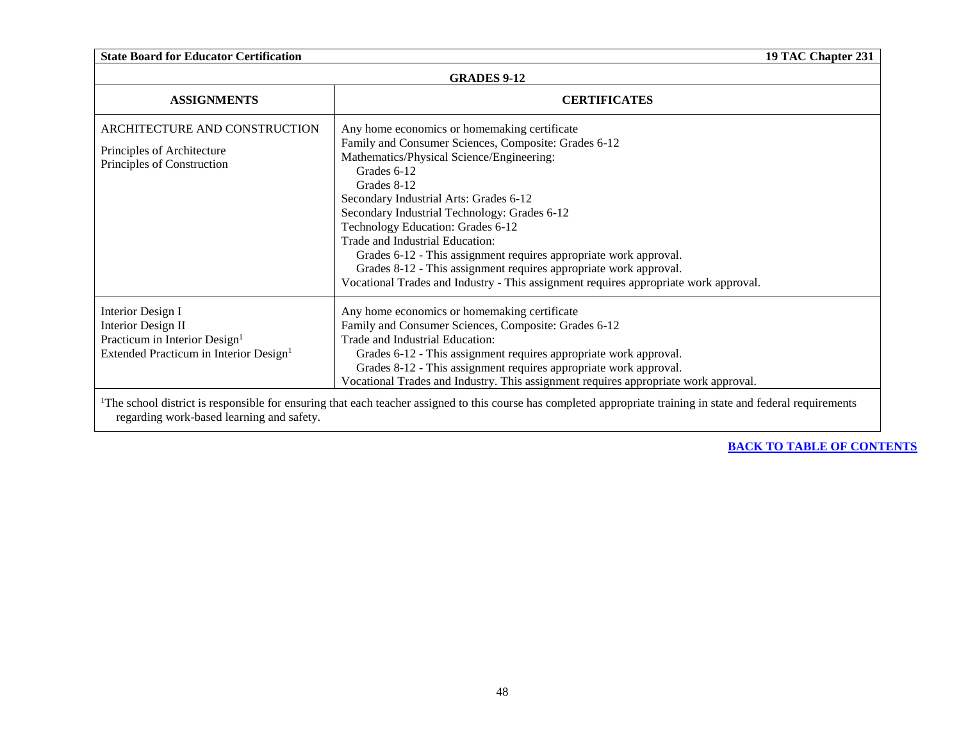| <b>State Board for Educator Certification</b>                                                                                                     | 19 TAC Chapter 231                                                                                                                                                                                                                                                                                                                                                                                                                                                                                                                                                                  |
|---------------------------------------------------------------------------------------------------------------------------------------------------|-------------------------------------------------------------------------------------------------------------------------------------------------------------------------------------------------------------------------------------------------------------------------------------------------------------------------------------------------------------------------------------------------------------------------------------------------------------------------------------------------------------------------------------------------------------------------------------|
|                                                                                                                                                   | <b>GRADES 9-12</b>                                                                                                                                                                                                                                                                                                                                                                                                                                                                                                                                                                  |
| <b>ASSIGNMENTS</b>                                                                                                                                | <b>CERTIFICATES</b>                                                                                                                                                                                                                                                                                                                                                                                                                                                                                                                                                                 |
| ARCHITECTURE AND CONSTRUCTION<br>Principles of Architecture<br>Principles of Construction                                                         | Any home economics or homemaking certificate<br>Family and Consumer Sciences, Composite: Grades 6-12<br>Mathematics/Physical Science/Engineering:<br>Grades 6-12<br>Grades 8-12<br>Secondary Industrial Arts: Grades 6-12<br>Secondary Industrial Technology: Grades 6-12<br>Technology Education: Grades 6-12<br>Trade and Industrial Education:<br>Grades 6-12 - This assignment requires appropriate work approval.<br>Grades 8-12 - This assignment requires appropriate work approval.<br>Vocational Trades and Industry - This assignment requires appropriate work approval. |
| <b>Interior Design I</b><br>Interior Design II<br>Practicum in Interior Design <sup>1</sup><br>Extended Practicum in Interior Design <sup>1</sup> | Any home economics or homemaking certificate<br>Family and Consumer Sciences, Composite: Grades 6-12<br>Trade and Industrial Education:<br>Grades 6-12 - This assignment requires appropriate work approval.<br>Grades 8-12 - This assignment requires appropriate work approval.<br>Vocational Trades and Industry. This assignment requires appropriate work approval.                                                                                                                                                                                                            |
| regarding work-based learning and safety.                                                                                                         | <sup>1</sup> The school district is responsible for ensuring that each teacher assigned to this course has completed appropriate training in state and federal requirements                                                                                                                                                                                                                                                                                                                                                                                                         |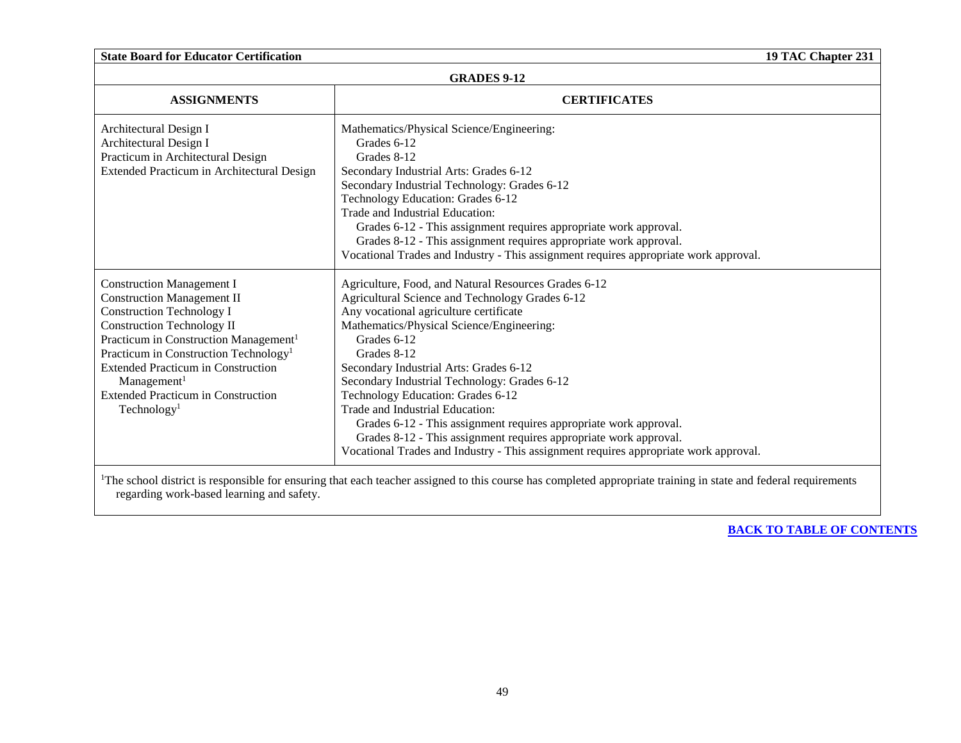| <b>State Board for Educator Certification</b><br>19 TAC Chapter 231                                                                                                                                                                                                                                                                                                                                  |                                                                                                                                                                                                                                                                                                                                                                                                                                                                                                                                                                                                                                  |
|------------------------------------------------------------------------------------------------------------------------------------------------------------------------------------------------------------------------------------------------------------------------------------------------------------------------------------------------------------------------------------------------------|----------------------------------------------------------------------------------------------------------------------------------------------------------------------------------------------------------------------------------------------------------------------------------------------------------------------------------------------------------------------------------------------------------------------------------------------------------------------------------------------------------------------------------------------------------------------------------------------------------------------------------|
|                                                                                                                                                                                                                                                                                                                                                                                                      | <b>GRADES 9-12</b>                                                                                                                                                                                                                                                                                                                                                                                                                                                                                                                                                                                                               |
| <b>ASSIGNMENTS</b>                                                                                                                                                                                                                                                                                                                                                                                   | <b>CERTIFICATES</b>                                                                                                                                                                                                                                                                                                                                                                                                                                                                                                                                                                                                              |
| Architectural Design I<br>Architectural Design I<br>Practicum in Architectural Design<br>Extended Practicum in Architectural Design                                                                                                                                                                                                                                                                  | Mathematics/Physical Science/Engineering:<br>Grades 6-12<br>Grades 8-12<br>Secondary Industrial Arts: Grades 6-12<br>Secondary Industrial Technology: Grades 6-12<br>Technology Education: Grades 6-12<br>Trade and Industrial Education:<br>Grades 6-12 - This assignment requires appropriate work approval.<br>Grades 8-12 - This assignment requires appropriate work approval.<br>Vocational Trades and Industry - This assignment requires appropriate work approval.                                                                                                                                                      |
| <b>Construction Management I</b><br><b>Construction Management II</b><br><b>Construction Technology I</b><br><b>Construction Technology II</b><br>Practicum in Construction Management <sup>1</sup><br>Practicum in Construction Technology <sup>1</sup><br>Extended Practicum in Construction<br>$M$ anagement <sup>1</sup><br><b>Extended Practicum in Construction</b><br>Technology <sup>1</sup> | Agriculture, Food, and Natural Resources Grades 6-12<br>Agricultural Science and Technology Grades 6-12<br>Any vocational agriculture certificate<br>Mathematics/Physical Science/Engineering:<br>Grades 6-12<br>Grades 8-12<br>Secondary Industrial Arts: Grades 6-12<br>Secondary Industrial Technology: Grades 6-12<br>Technology Education: Grades 6-12<br>Trade and Industrial Education:<br>Grades 6-12 - This assignment requires appropriate work approval.<br>Grades 8-12 - This assignment requires appropriate work approval.<br>Vocational Trades and Industry - This assignment requires appropriate work approval. |

<sup>1</sup>The school district is responsible for ensuring that each teacher assigned to this course has completed appropriate training in state and federal requirements regarding work-based learning and safety.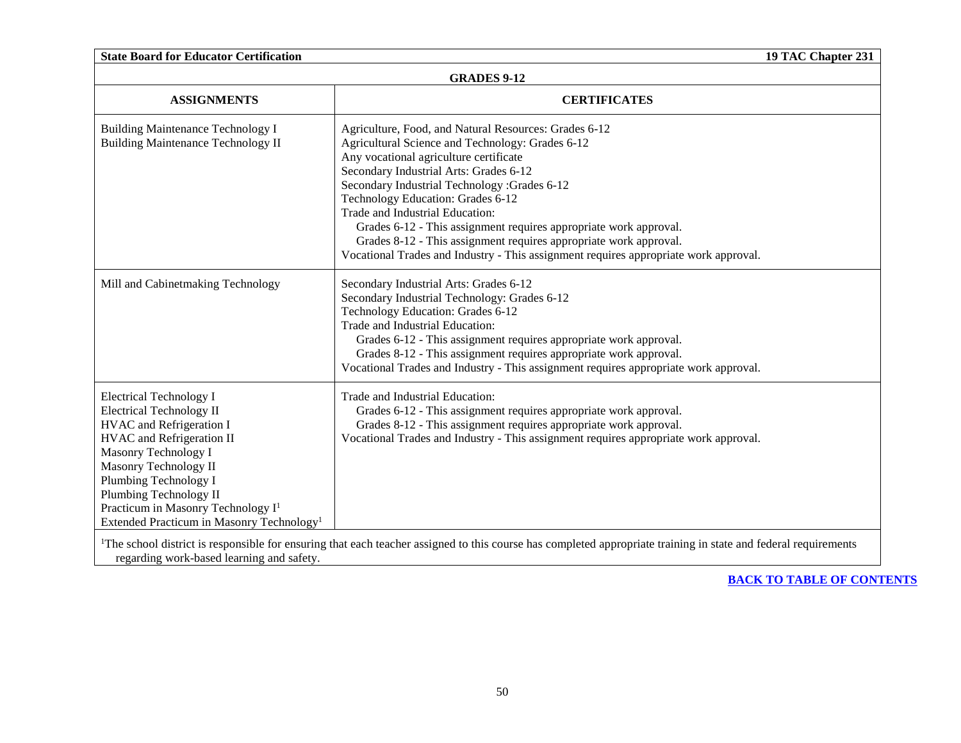| <b>State Board for Educator Certification</b>                                                                                                                                                                                                                                                                                             | 19 TAC Chapter 231                                                                                                                                                                                                                                                                                                                                                                                                                                                                                                                                      |
|-------------------------------------------------------------------------------------------------------------------------------------------------------------------------------------------------------------------------------------------------------------------------------------------------------------------------------------------|---------------------------------------------------------------------------------------------------------------------------------------------------------------------------------------------------------------------------------------------------------------------------------------------------------------------------------------------------------------------------------------------------------------------------------------------------------------------------------------------------------------------------------------------------------|
| <b>GRADES 9-12</b>                                                                                                                                                                                                                                                                                                                        |                                                                                                                                                                                                                                                                                                                                                                                                                                                                                                                                                         |
| <b>ASSIGNMENTS</b>                                                                                                                                                                                                                                                                                                                        | <b>CERTIFICATES</b>                                                                                                                                                                                                                                                                                                                                                                                                                                                                                                                                     |
| <b>Building Maintenance Technology I</b><br><b>Building Maintenance Technology II</b>                                                                                                                                                                                                                                                     | Agriculture, Food, and Natural Resources: Grades 6-12<br>Agricultural Science and Technology: Grades 6-12<br>Any vocational agriculture certificate<br>Secondary Industrial Arts: Grades 6-12<br>Secondary Industrial Technology :Grades 6-12<br>Technology Education: Grades 6-12<br>Trade and Industrial Education:<br>Grades 6-12 - This assignment requires appropriate work approval.<br>Grades 8-12 - This assignment requires appropriate work approval.<br>Vocational Trades and Industry - This assignment requires appropriate work approval. |
| Mill and Cabinetmaking Technology                                                                                                                                                                                                                                                                                                         | Secondary Industrial Arts: Grades 6-12<br>Secondary Industrial Technology: Grades 6-12<br>Technology Education: Grades 6-12<br>Trade and Industrial Education:<br>Grades 6-12 - This assignment requires appropriate work approval.<br>Grades 8-12 - This assignment requires appropriate work approval.<br>Vocational Trades and Industry - This assignment requires appropriate work approval.                                                                                                                                                        |
| <b>Electrical Technology I</b><br><b>Electrical Technology II</b><br>HVAC and Refrigeration I<br>HVAC and Refrigeration II<br>Masonry Technology I<br>Masonry Technology II<br>Plumbing Technology I<br>Plumbing Technology II<br>Practicum in Masonry Technology I <sup>1</sup><br>Extended Practicum in Masonry Technology <sup>1</sup> | Trade and Industrial Education:<br>Grades 6-12 - This assignment requires appropriate work approval.<br>Grades 8-12 - This assignment requires appropriate work approval.<br>Vocational Trades and Industry - This assignment requires appropriate work approval.                                                                                                                                                                                                                                                                                       |

<sup>1</sup>The school district is responsible for ensuring that each teacher assigned to this course has completed appropriate training in state and federal requirements regarding work-based learning and safety.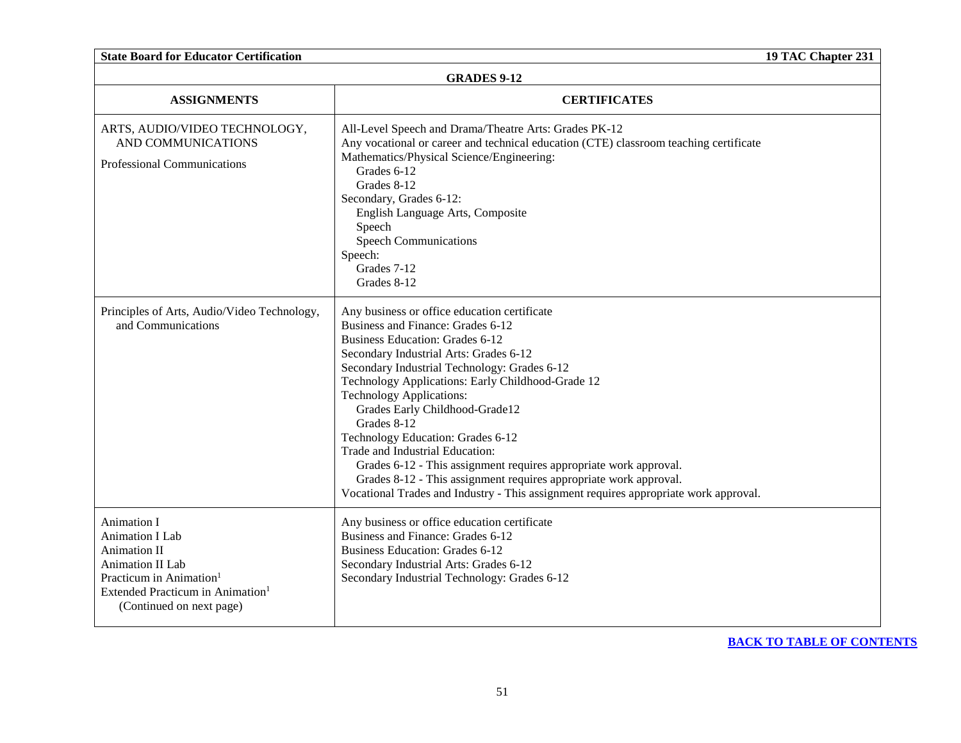| <b>State Board for Educator Certification</b>                                                                                                                                                       | 19 TAC Chapter 231                                                                                                                                                                                                                                                                                                                                                                                                                                                                                                                                                                                                                                                       |  |
|-----------------------------------------------------------------------------------------------------------------------------------------------------------------------------------------------------|--------------------------------------------------------------------------------------------------------------------------------------------------------------------------------------------------------------------------------------------------------------------------------------------------------------------------------------------------------------------------------------------------------------------------------------------------------------------------------------------------------------------------------------------------------------------------------------------------------------------------------------------------------------------------|--|
| <b>GRADES 9-12</b>                                                                                                                                                                                  |                                                                                                                                                                                                                                                                                                                                                                                                                                                                                                                                                                                                                                                                          |  |
| <b>ASSIGNMENTS</b>                                                                                                                                                                                  | <b>CERTIFICATES</b>                                                                                                                                                                                                                                                                                                                                                                                                                                                                                                                                                                                                                                                      |  |
| ARTS, AUDIO/VIDEO TECHNOLOGY,<br>AND COMMUNICATIONS<br>Professional Communications                                                                                                                  | All-Level Speech and Drama/Theatre Arts: Grades PK-12<br>Any vocational or career and technical education (CTE) classroom teaching certificate<br>Mathematics/Physical Science/Engineering:<br>Grades 6-12<br>Grades 8-12<br>Secondary, Grades 6-12:<br>English Language Arts, Composite<br>Speech<br><b>Speech Communications</b><br>Speech:<br>Grades 7-12<br>Grades 8-12                                                                                                                                                                                                                                                                                              |  |
| Principles of Arts, Audio/Video Technology,<br>and Communications                                                                                                                                   | Any business or office education certificate<br>Business and Finance: Grades 6-12<br><b>Business Education: Grades 6-12</b><br>Secondary Industrial Arts: Grades 6-12<br>Secondary Industrial Technology: Grades 6-12<br>Technology Applications: Early Childhood-Grade 12<br><b>Technology Applications:</b><br>Grades Early Childhood-Grade12<br>Grades 8-12<br>Technology Education: Grades 6-12<br>Trade and Industrial Education:<br>Grades 6-12 - This assignment requires appropriate work approval.<br>Grades 8-12 - This assignment requires appropriate work approval.<br>Vocational Trades and Industry - This assignment requires appropriate work approval. |  |
| <b>Animation I</b><br>Animation I Lab<br><b>Animation II</b><br>Animation II Lab<br>Practicum in Animation <sup>1</sup><br>Extended Practicum in Animation <sup>1</sup><br>(Continued on next page) | Any business or office education certificate<br>Business and Finance: Grades 6-12<br><b>Business Education: Grades 6-12</b><br>Secondary Industrial Arts: Grades 6-12<br>Secondary Industrial Technology: Grades 6-12                                                                                                                                                                                                                                                                                                                                                                                                                                                    |  |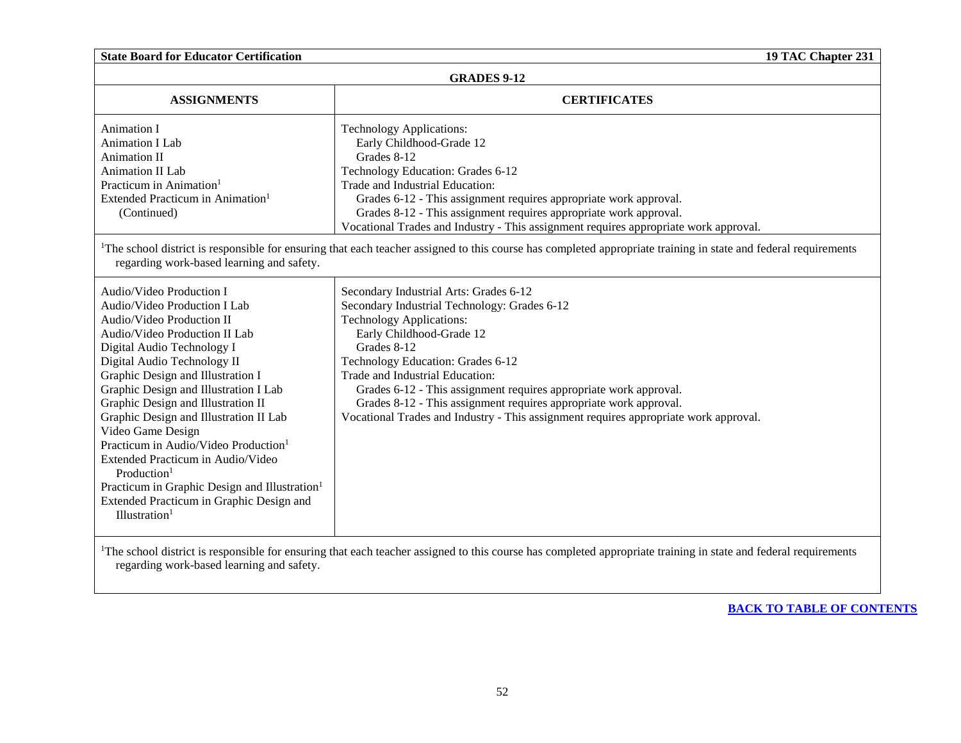| <b>State Board for Educator Certification</b><br>19 TAC Chapter 231                                                                                                                                                                                                                                                                                                                                                                                                                                                                                                                                                              |                                                                                                                                                                                                                                                                                                                                                                                                                                                                                |
|----------------------------------------------------------------------------------------------------------------------------------------------------------------------------------------------------------------------------------------------------------------------------------------------------------------------------------------------------------------------------------------------------------------------------------------------------------------------------------------------------------------------------------------------------------------------------------------------------------------------------------|--------------------------------------------------------------------------------------------------------------------------------------------------------------------------------------------------------------------------------------------------------------------------------------------------------------------------------------------------------------------------------------------------------------------------------------------------------------------------------|
|                                                                                                                                                                                                                                                                                                                                                                                                                                                                                                                                                                                                                                  | <b>GRADES 9-12</b>                                                                                                                                                                                                                                                                                                                                                                                                                                                             |
| <b>ASSIGNMENTS</b>                                                                                                                                                                                                                                                                                                                                                                                                                                                                                                                                                                                                               | <b>CERTIFICATES</b>                                                                                                                                                                                                                                                                                                                                                                                                                                                            |
| <b>Animation I</b><br>Animation I Lab<br>Animation II<br>Animation II Lab<br>Practicum in Animation <sup>1</sup>                                                                                                                                                                                                                                                                                                                                                                                                                                                                                                                 | <b>Technology Applications:</b><br>Early Childhood-Grade 12<br>Grades 8-12<br>Technology Education: Grades 6-12<br>Trade and Industrial Education:                                                                                                                                                                                                                                                                                                                             |
| Extended Practicum in Animation <sup>1</sup><br>(Continued)                                                                                                                                                                                                                                                                                                                                                                                                                                                                                                                                                                      | Grades 6-12 - This assignment requires appropriate work approval.<br>Grades 8-12 - This assignment requires appropriate work approval.<br>Vocational Trades and Industry - This assignment requires appropriate work approval.                                                                                                                                                                                                                                                 |
| regarding work-based learning and safety.                                                                                                                                                                                                                                                                                                                                                                                                                                                                                                                                                                                        | <sup>1</sup> The school district is responsible for ensuring that each teacher assigned to this course has completed appropriate training in state and federal requirements                                                                                                                                                                                                                                                                                                    |
| Audio/Video Production I<br>Audio/Video Production I Lab<br>Audio/Video Production II<br>Audio/Video Production II Lab<br>Digital Audio Technology I<br>Digital Audio Technology II<br>Graphic Design and Illustration I<br>Graphic Design and Illustration I Lab<br>Graphic Design and Illustration II<br>Graphic Design and Illustration II Lab<br>Video Game Design<br>Practicum in Audio/Video Production <sup>1</sup><br>Extended Practicum in Audio/Video<br>Production <sup>1</sup><br>Practicum in Graphic Design and Illustration <sup>1</sup><br>Extended Practicum in Graphic Design and<br>Illustration <sup>1</sup> | Secondary Industrial Arts: Grades 6-12<br>Secondary Industrial Technology: Grades 6-12<br><b>Technology Applications:</b><br>Early Childhood-Grade 12<br>Grades 8-12<br>Technology Education: Grades 6-12<br>Trade and Industrial Education:<br>Grades 6-12 - This assignment requires appropriate work approval.<br>Grades 8-12 - This assignment requires appropriate work approval.<br>Vocational Trades and Industry - This assignment requires appropriate work approval. |

<sup>1</sup>The school district is responsible for ensuring that each teacher assigned to this course has completed appropriate training in state and federal requirements regarding work-based learning and safety.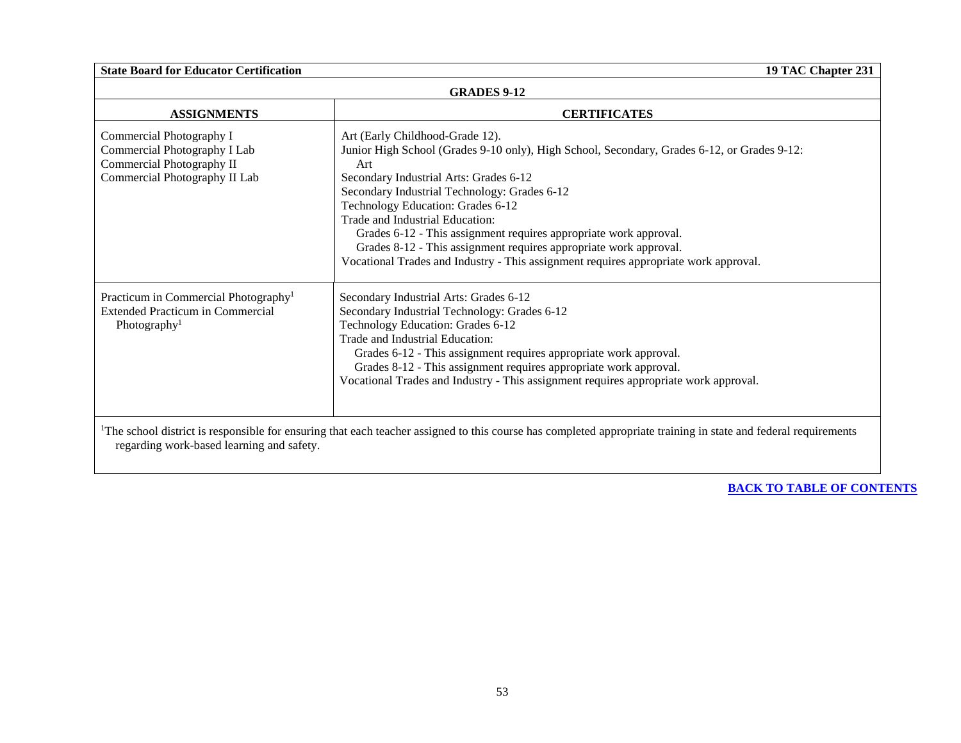| <b>GRADES 9-12</b>                                                                                                      |                                                                                                                                                                                                                                                                                                                                                                                                                                                                                                                                           |  |
|-------------------------------------------------------------------------------------------------------------------------|-------------------------------------------------------------------------------------------------------------------------------------------------------------------------------------------------------------------------------------------------------------------------------------------------------------------------------------------------------------------------------------------------------------------------------------------------------------------------------------------------------------------------------------------|--|
| <b>ASSIGNMENTS</b>                                                                                                      | <b>CERTIFICATES</b>                                                                                                                                                                                                                                                                                                                                                                                                                                                                                                                       |  |
| Commercial Photography I<br>Commercial Photography I Lab<br>Commercial Photography II<br>Commercial Photography II Lab  | Art (Early Childhood-Grade 12).<br>Junior High School (Grades 9-10 only), High School, Secondary, Grades 6-12, or Grades 9-12:<br>Art<br>Secondary Industrial Arts: Grades 6-12<br>Secondary Industrial Technology: Grades 6-12<br>Technology Education: Grades 6-12<br>Trade and Industrial Education:<br>Grades 6-12 - This assignment requires appropriate work approval.<br>Grades 8-12 - This assignment requires appropriate work approval.<br>Vocational Trades and Industry - This assignment requires appropriate work approval. |  |
| Practicum in Commercial Photography <sup>1</sup><br><b>Extended Practicum in Commercial</b><br>Photography <sup>1</sup> | Secondary Industrial Arts: Grades 6-12<br>Secondary Industrial Technology: Grades 6-12<br>Technology Education: Grades 6-12<br>Trade and Industrial Education:<br>Grades 6-12 - This assignment requires appropriate work approval.<br>Grades 8-12 - This assignment requires appropriate work approval.<br>Vocational Trades and Industry - This assignment requires appropriate work approval.                                                                                                                                          |  |
| regarding work-based learning and safety.                                                                               | <sup>1</sup> The school district is responsible for ensuring that each teacher assigned to this course has completed appropriate training in state and federal requirements                                                                                                                                                                                                                                                                                                                                                               |  |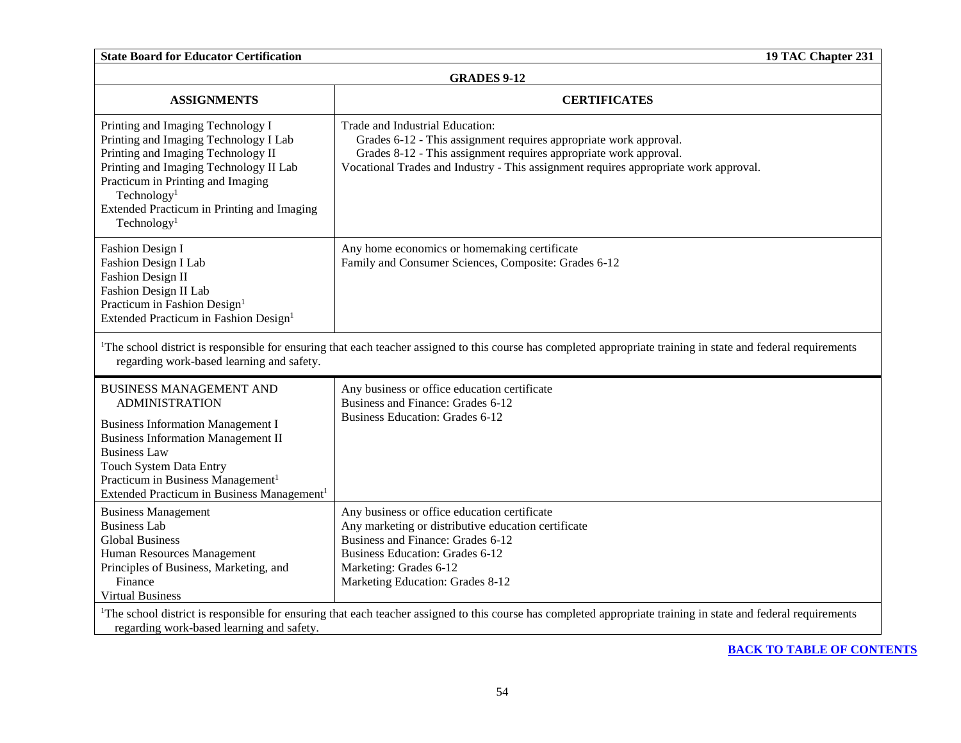| <b>GRADES 9-12</b>                                                                                                                                                                                                                                                                                            |                                                                                                                                                                                                                                                                   |  |
|---------------------------------------------------------------------------------------------------------------------------------------------------------------------------------------------------------------------------------------------------------------------------------------------------------------|-------------------------------------------------------------------------------------------------------------------------------------------------------------------------------------------------------------------------------------------------------------------|--|
| <b>ASSIGNMENTS</b>                                                                                                                                                                                                                                                                                            | <b>CERTIFICATES</b>                                                                                                                                                                                                                                               |  |
| Printing and Imaging Technology I<br>Printing and Imaging Technology I Lab<br>Printing and Imaging Technology II<br>Printing and Imaging Technology II Lab<br>Practicum in Printing and Imaging<br>Technology <sup>1</sup><br>Extended Practicum in Printing and Imaging<br>Technology <sup>1</sup>           | Trade and Industrial Education:<br>Grades 6-12 - This assignment requires appropriate work approval.<br>Grades 8-12 - This assignment requires appropriate work approval.<br>Vocational Trades and Industry - This assignment requires appropriate work approval. |  |
| Fashion Design I<br>Fashion Design I Lab<br><b>Fashion Design II</b><br>Fashion Design II Lab<br>Practicum in Fashion Design <sup>1</sup><br>Extended Practicum in Fashion Design <sup>1</sup>                                                                                                                | Any home economics or homemaking certificate<br>Family and Consumer Sciences, Composite: Grades 6-12                                                                                                                                                              |  |
| <sup>1</sup> The school district is responsible for ensuring that each teacher assigned to this course has completed appropriate training in state and federal requirements<br>regarding work-based learning and safety.                                                                                      |                                                                                                                                                                                                                                                                   |  |
| <b>BUSINESS MANAGEMENT AND</b><br><b>ADMINISTRATION</b><br><b>Business Information Management I</b><br><b>Business Information Management II</b><br><b>Business Law</b><br>Touch System Data Entry<br>Practicum in Business Management <sup>1</sup><br>Extended Practicum in Business Management <sup>1</sup> | Any business or office education certificate<br>Business and Finance: Grades 6-12<br><b>Business Education: Grades 6-12</b>                                                                                                                                       |  |
| <b>Business Management</b><br><b>Business Lab</b><br><b>Global Business</b><br>Human Resources Management<br>Principles of Business, Marketing, and<br>Finance<br><b>Virtual Business</b>                                                                                                                     | Any business or office education certificate<br>Any marketing or distributive education certificate<br>Business and Finance: Grades 6-12<br><b>Business Education: Grades 6-12</b><br>Marketing: Grades 6-12<br>Marketing Education: Grades 8-12                  |  |
| <sup>1</sup> The school district is responsible for ensuring that each teacher assigned to this course has completed appropriate training in state and federal requirements<br>regarding work-based learning and safety.                                                                                      |                                                                                                                                                                                                                                                                   |  |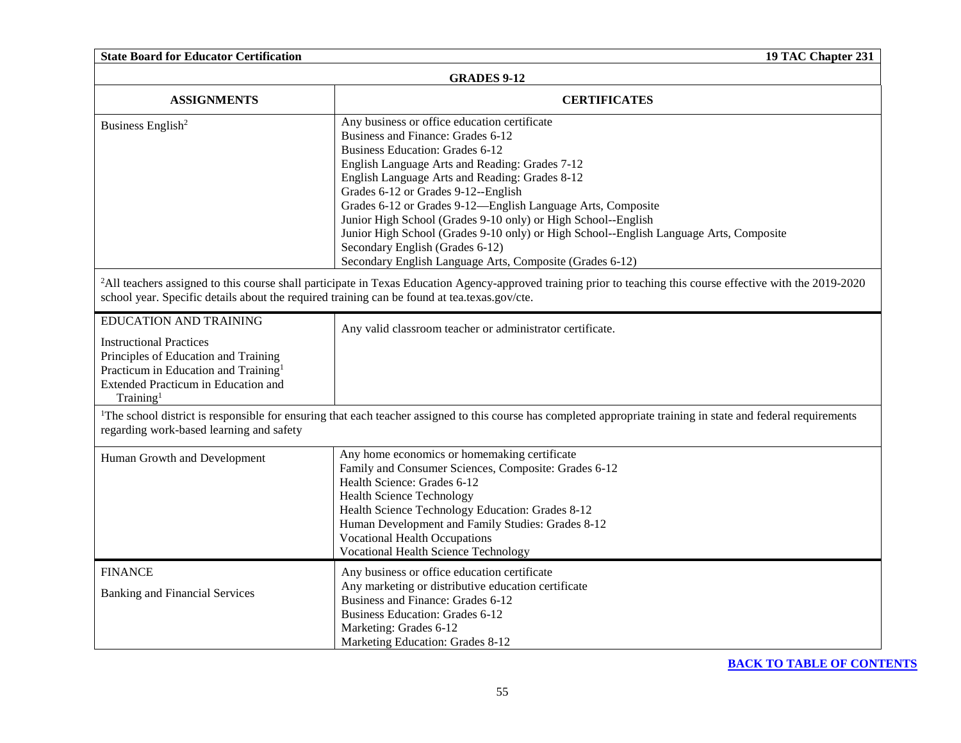| <b>State Board for Educator Certification</b><br>19 TAC Chapter 231                                                                                                                                                         |                                                                                                                                                                                                                                                                                                                                                                                                                                                                                                                                                                                                 |  |
|-----------------------------------------------------------------------------------------------------------------------------------------------------------------------------------------------------------------------------|-------------------------------------------------------------------------------------------------------------------------------------------------------------------------------------------------------------------------------------------------------------------------------------------------------------------------------------------------------------------------------------------------------------------------------------------------------------------------------------------------------------------------------------------------------------------------------------------------|--|
| <b>GRADES 9-12</b>                                                                                                                                                                                                          |                                                                                                                                                                                                                                                                                                                                                                                                                                                                                                                                                                                                 |  |
| <b>ASSIGNMENTS</b>                                                                                                                                                                                                          | <b>CERTIFICATES</b>                                                                                                                                                                                                                                                                                                                                                                                                                                                                                                                                                                             |  |
| Business English <sup>2</sup>                                                                                                                                                                                               | Any business or office education certificate<br>Business and Finance: Grades 6-12<br><b>Business Education: Grades 6-12</b><br>English Language Arts and Reading: Grades 7-12<br>English Language Arts and Reading: Grades 8-12<br>Grades 6-12 or Grades 9-12--English<br>Grades 6-12 or Grades 9-12—English Language Arts, Composite<br>Junior High School (Grades 9-10 only) or High School--English<br>Junior High School (Grades 9-10 only) or High School--English Language Arts, Composite<br>Secondary English (Grades 6-12)<br>Secondary English Language Arts, Composite (Grades 6-12) |  |
| school year. Specific details about the required training can be found at tea.texas.gov/cte.                                                                                                                                | <sup>2</sup> All teachers assigned to this course shall participate in Texas Education Agency-approved training prior to teaching this course effective with the 2019-2020                                                                                                                                                                                                                                                                                                                                                                                                                      |  |
| <b>EDUCATION AND TRAINING</b><br><b>Instructional Practices</b><br>Principles of Education and Training<br>Practicum in Education and Training <sup>1</sup><br>Extended Practicum in Education and<br>Training <sup>1</sup> | Any valid classroom teacher or administrator certificate.                                                                                                                                                                                                                                                                                                                                                                                                                                                                                                                                       |  |
| regarding work-based learning and safety                                                                                                                                                                                    | <sup>1</sup> The school district is responsible for ensuring that each teacher assigned to this course has completed appropriate training in state and federal requirements                                                                                                                                                                                                                                                                                                                                                                                                                     |  |
| Human Growth and Development                                                                                                                                                                                                | Any home economics or homemaking certificate<br>Family and Consumer Sciences, Composite: Grades 6-12<br>Health Science: Grades 6-12<br><b>Health Science Technology</b><br>Health Science Technology Education: Grades 8-12<br>Human Development and Family Studies: Grades 8-12<br><b>Vocational Health Occupations</b><br><b>Vocational Health Science Technology</b>                                                                                                                                                                                                                         |  |
| <b>FINANCE</b><br><b>Banking and Financial Services</b>                                                                                                                                                                     | Any business or office education certificate<br>Any marketing or distributive education certificate<br>Business and Finance: Grades 6-12<br><b>Business Education: Grades 6-12</b><br>Marketing: Grades 6-12<br>Marketing Education: Grades 8-12                                                                                                                                                                                                                                                                                                                                                |  |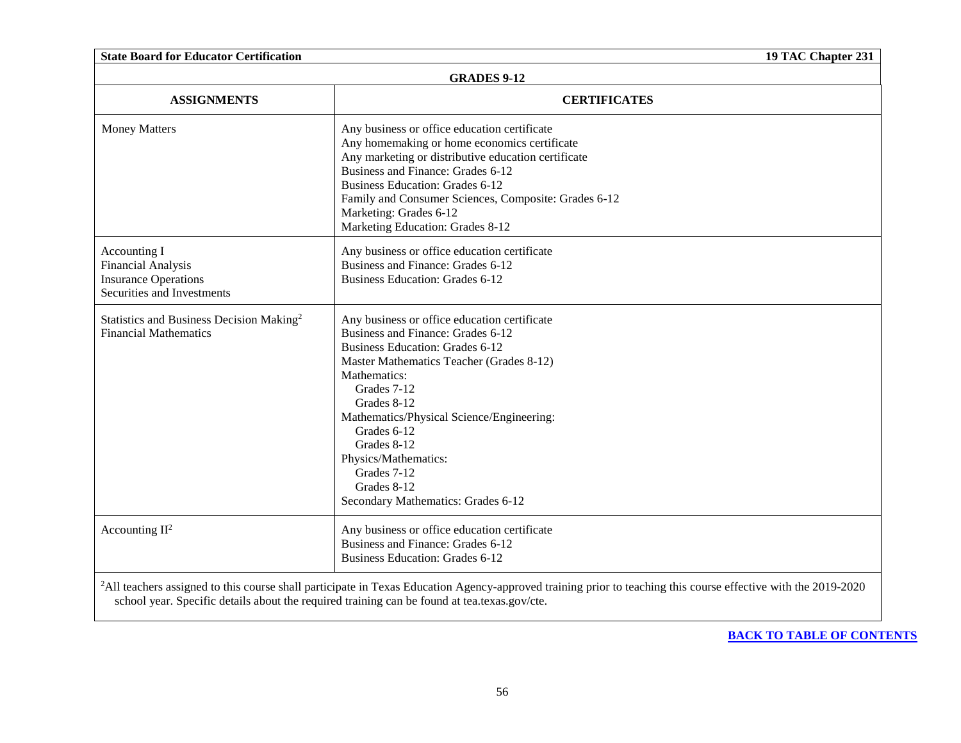| <b>State Board for Educator Certification</b>                                                   | 19 TAC Chapter 231                                                                                                                                                                                                                                                                                                                                                                           |
|-------------------------------------------------------------------------------------------------|----------------------------------------------------------------------------------------------------------------------------------------------------------------------------------------------------------------------------------------------------------------------------------------------------------------------------------------------------------------------------------------------|
| <b>GRADES 9-12</b>                                                                              |                                                                                                                                                                                                                                                                                                                                                                                              |
| <b>ASSIGNMENTS</b>                                                                              | <b>CERTIFICATES</b>                                                                                                                                                                                                                                                                                                                                                                          |
| <b>Money Matters</b>                                                                            | Any business or office education certificate<br>Any homemaking or home economics certificate<br>Any marketing or distributive education certificate<br>Business and Finance: Grades 6-12<br><b>Business Education: Grades 6-12</b><br>Family and Consumer Sciences, Composite: Grades 6-12<br>Marketing: Grades 6-12<br>Marketing Education: Grades 8-12                                     |
| Accounting I<br>Financial Analysis<br><b>Insurance Operations</b><br>Securities and Investments | Any business or office education certificate<br>Business and Finance: Grades 6-12<br><b>Business Education: Grades 6-12</b>                                                                                                                                                                                                                                                                  |
| Statistics and Business Decision Making <sup>2</sup><br><b>Financial Mathematics</b>            | Any business or office education certificate<br>Business and Finance: Grades 6-12<br><b>Business Education: Grades 6-12</b><br>Master Mathematics Teacher (Grades 8-12)<br>Mathematics:<br>Grades 7-12<br>Grades 8-12<br>Mathematics/Physical Science/Engineering:<br>Grades 6-12<br>Grades 8-12<br>Physics/Mathematics:<br>Grades 7-12<br>Grades 8-12<br>Secondary Mathematics: Grades 6-12 |
| Accounting $II^2$                                                                               | Any business or office education certificate<br>Business and Finance: Grades 6-12<br><b>Business Education: Grades 6-12</b>                                                                                                                                                                                                                                                                  |
|                                                                                                 | <sup>2</sup> All teachers assigned to this course shall participate in Texas Education Agency-approved training prior to teaching this course effective with the 2019-2020<br>school year. Specific details about the required training can be found at tea.texas.gov/cte.                                                                                                                   |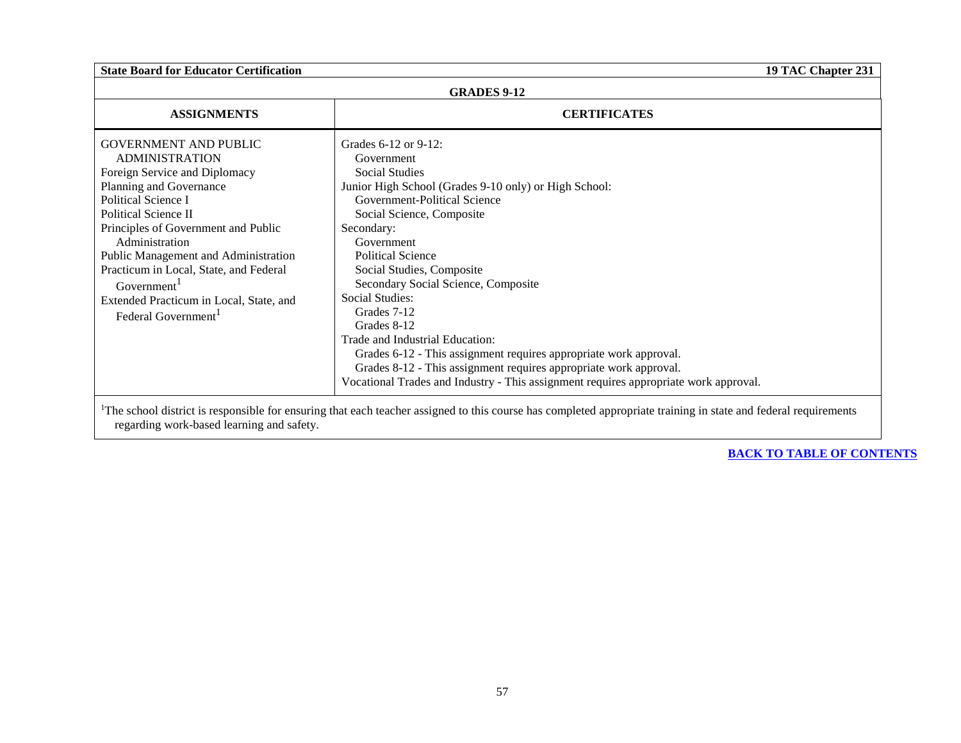## **GRADES 9-12**

| <b>ASSIGNMENTS</b>                                                                                                                                                                                                                                                                                                                                                                                                   | <b>CERTIFICATES</b>                                                                                                                                                                                                                                                                                                                                                                                                                                                                                                                                                                                                                        |
|----------------------------------------------------------------------------------------------------------------------------------------------------------------------------------------------------------------------------------------------------------------------------------------------------------------------------------------------------------------------------------------------------------------------|--------------------------------------------------------------------------------------------------------------------------------------------------------------------------------------------------------------------------------------------------------------------------------------------------------------------------------------------------------------------------------------------------------------------------------------------------------------------------------------------------------------------------------------------------------------------------------------------------------------------------------------------|
| <b>GOVERNMENT AND PUBLIC</b><br><b>ADMINISTRATION</b><br>Foreign Service and Diplomacy<br>Planning and Governance<br>Political Science I<br>Political Science II<br>Principles of Government and Public<br>Administration<br>Public Management and Administration<br>Practicum in Local, State, and Federal<br>Government <sup>1</sup><br>Extended Practicum in Local, State, and<br>Federal Government <sup>1</sup> | Grades 6-12 or 9-12:<br>Government<br><b>Social Studies</b><br>Junior High School (Grades 9-10 only) or High School:<br>Government-Political Science<br>Social Science, Composite<br>Secondary:<br>Government<br><b>Political Science</b><br>Social Studies, Composite<br>Secondary Social Science, Composite<br><b>Social Studies:</b><br>Grades 7-12<br>Grades 8-12<br>Trade and Industrial Education:<br>Grades 6-12 - This assignment requires appropriate work approval.<br>Grades 8-12 - This assignment requires appropriate work approval.<br>Vocational Trades and Industry - This assignment requires appropriate work approval. |

<sup>1</sup>The school district is responsible for ensuring that each teacher assigned to this course has completed appropriate training in state and federal requirements regarding work-based learning and safety.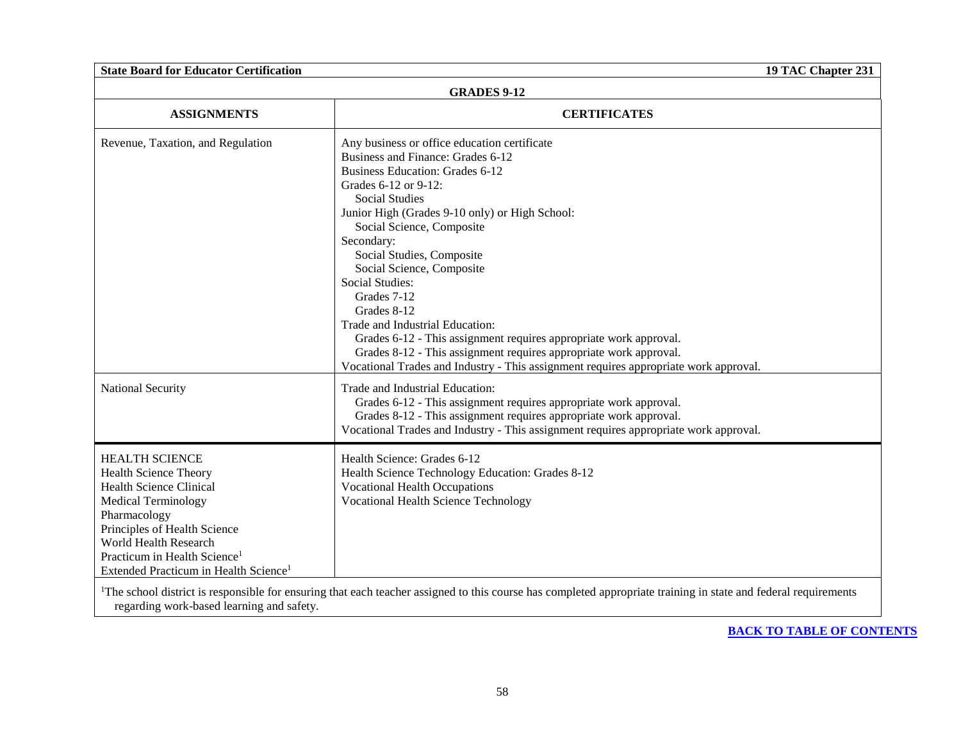regarding work-based learning and safety.

| <b>GRADES 9-12</b>                                                                                                                                                                                                                                                                              |                                                                                                                                                                                                                                                                                                                                                                                                                                                                                                                                                                                                                                                                  |  |
|-------------------------------------------------------------------------------------------------------------------------------------------------------------------------------------------------------------------------------------------------------------------------------------------------|------------------------------------------------------------------------------------------------------------------------------------------------------------------------------------------------------------------------------------------------------------------------------------------------------------------------------------------------------------------------------------------------------------------------------------------------------------------------------------------------------------------------------------------------------------------------------------------------------------------------------------------------------------------|--|
| <b>ASSIGNMENTS</b>                                                                                                                                                                                                                                                                              | <b>CERTIFICATES</b>                                                                                                                                                                                                                                                                                                                                                                                                                                                                                                                                                                                                                                              |  |
| Revenue, Taxation, and Regulation                                                                                                                                                                                                                                                               | Any business or office education certificate<br>Business and Finance: Grades 6-12<br><b>Business Education: Grades 6-12</b><br>Grades 6-12 or 9-12:<br><b>Social Studies</b><br>Junior High (Grades 9-10 only) or High School:<br>Social Science, Composite<br>Secondary:<br>Social Studies, Composite<br>Social Science, Composite<br><b>Social Studies:</b><br>Grades 7-12<br>Grades 8-12<br>Trade and Industrial Education:<br>Grades 6-12 - This assignment requires appropriate work approval.<br>Grades 8-12 - This assignment requires appropriate work approval.<br>Vocational Trades and Industry - This assignment requires appropriate work approval. |  |
| National Security                                                                                                                                                                                                                                                                               | Trade and Industrial Education:<br>Grades 6-12 - This assignment requires appropriate work approval.<br>Grades 8-12 - This assignment requires appropriate work approval.<br>Vocational Trades and Industry - This assignment requires appropriate work approval.                                                                                                                                                                                                                                                                                                                                                                                                |  |
| <b>HEALTH SCIENCE</b><br><b>Health Science Theory</b><br><b>Health Science Clinical</b><br><b>Medical Terminology</b><br>Pharmacology<br>Principles of Health Science<br>World Health Research<br>Practicum in Health Science <sup>1</sup><br>Extended Practicum in Health Science <sup>1</sup> | Health Science: Grades 6-12<br>Health Science Technology Education: Grades 8-12<br><b>Vocational Health Occupations</b><br><b>Vocational Health Science Technology</b>                                                                                                                                                                                                                                                                                                                                                                                                                                                                                           |  |
|                                                                                                                                                                                                                                                                                                 | <sup>1</sup> The school district is responsible for ensuring that each teacher assigned to this course has completed appropriate training in state and federal requirements                                                                                                                                                                                                                                                                                                                                                                                                                                                                                      |  |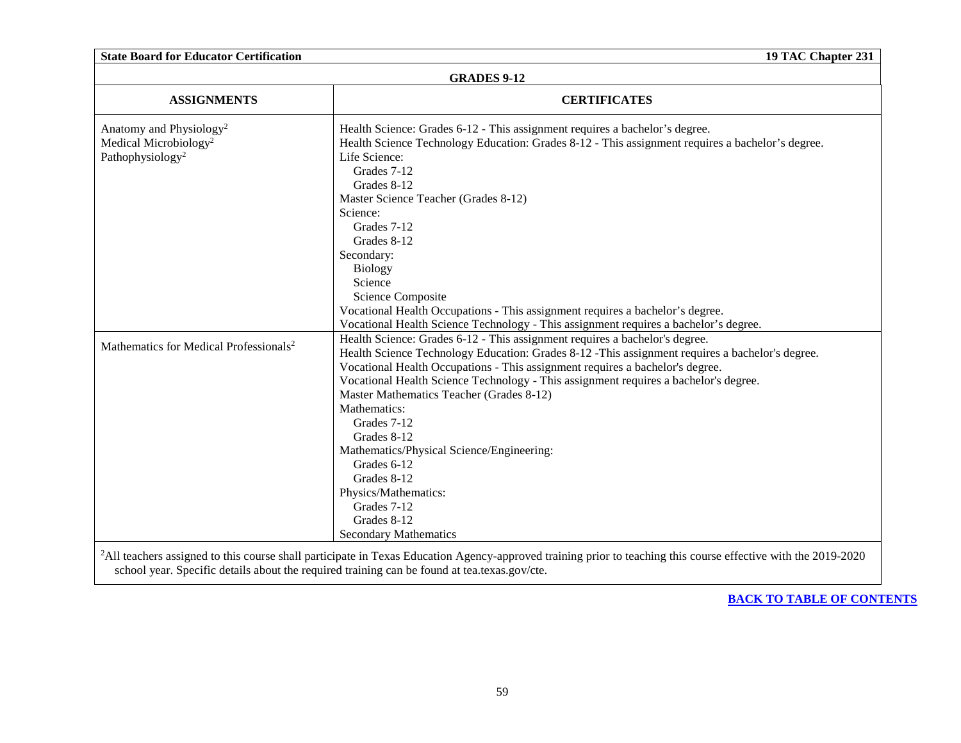| <b>ASSIGNMENTS</b>                                 | <b>CERTIFICATES</b>                                                                              |
|----------------------------------------------------|--------------------------------------------------------------------------------------------------|
| Anatomy and Physiology <sup>2</sup>                | Health Science: Grades 6-12 - This assignment requires a bachelor's degree.                      |
| Medical Microbiology <sup>2</sup>                  | Health Science Technology Education: Grades 8-12 - This assignment requires a bachelor's degree. |
| Pathophysiology <sup>2</sup>                       | Life Science:                                                                                    |
|                                                    | Grades 7-12                                                                                      |
|                                                    | Grades 8-12                                                                                      |
|                                                    | Master Science Teacher (Grades 8-12)                                                             |
|                                                    | Science:                                                                                         |
|                                                    | Grades 7-12                                                                                      |
|                                                    | Grades 8-12                                                                                      |
|                                                    | Secondary:                                                                                       |
|                                                    | <b>Biology</b>                                                                                   |
|                                                    | Science                                                                                          |
|                                                    | Science Composite                                                                                |
|                                                    | Vocational Health Occupations - This assignment requires a bachelor's degree.                    |
|                                                    | Vocational Health Science Technology - This assignment requires a bachelor's degree.             |
|                                                    | Health Science: Grades 6-12 - This assignment requires a bachelor's degree.                      |
| Mathematics for Medical Professionals <sup>2</sup> | Health Science Technology Education: Grades 8-12 -This assignment requires a bachelor's degree.  |
|                                                    | Vocational Health Occupations - This assignment requires a bachelor's degree.                    |
|                                                    | Vocational Health Science Technology - This assignment requires a bachelor's degree.             |
|                                                    | Master Mathematics Teacher (Grades 8-12)                                                         |
|                                                    | Mathematics:                                                                                     |
|                                                    | Grades 7-12                                                                                      |
|                                                    | Grades 8-12                                                                                      |
|                                                    | Mathematics/Physical Science/Engineering:                                                        |
|                                                    | Grades 6-12                                                                                      |
|                                                    | Grades 8-12                                                                                      |
|                                                    | Physics/Mathematics:                                                                             |
|                                                    | Grades 7-12                                                                                      |
|                                                    | Grades 8-12                                                                                      |
|                                                    | <b>Secondary Mathematics</b>                                                                     |

**[BACK TO TABLE OF CONTENTS](#page-0-0)**

school year. Specific details about the required training can be found at tea.texas.gov/cte.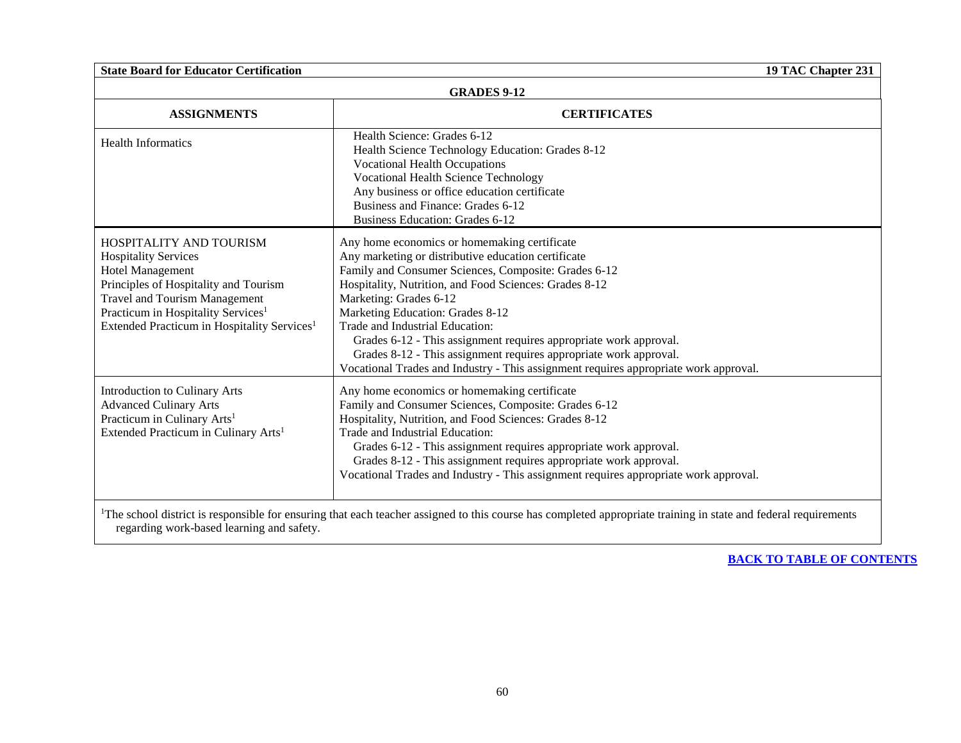| <b>GRADES 9-12</b>                                                                                                                                                                                                                                                              |                                                                                                                                                                                                                                                                                                                                                                                                                                                                                                                                                          |
|---------------------------------------------------------------------------------------------------------------------------------------------------------------------------------------------------------------------------------------------------------------------------------|----------------------------------------------------------------------------------------------------------------------------------------------------------------------------------------------------------------------------------------------------------------------------------------------------------------------------------------------------------------------------------------------------------------------------------------------------------------------------------------------------------------------------------------------------------|
| <b>ASSIGNMENTS</b>                                                                                                                                                                                                                                                              | <b>CERTIFICATES</b>                                                                                                                                                                                                                                                                                                                                                                                                                                                                                                                                      |
| <b>Health Informatics</b>                                                                                                                                                                                                                                                       | Health Science: Grades 6-12<br>Health Science Technology Education: Grades 8-12<br><b>Vocational Health Occupations</b><br><b>Vocational Health Science Technology</b><br>Any business or office education certificate<br>Business and Finance: Grades 6-12<br><b>Business Education: Grades 6-12</b>                                                                                                                                                                                                                                                    |
| <b>HOSPITALITY AND TOURISM</b><br><b>Hospitality Services</b><br>Hotel Management<br>Principles of Hospitality and Tourism<br><b>Travel and Tourism Management</b><br>Practicum in Hospitality Services <sup>1</sup><br>Extended Practicum in Hospitality Services <sup>1</sup> | Any home economics or homemaking certificate<br>Any marketing or distributive education certificate<br>Family and Consumer Sciences, Composite: Grades 6-12<br>Hospitality, Nutrition, and Food Sciences: Grades 8-12<br>Marketing: Grades 6-12<br>Marketing Education: Grades 8-12<br>Trade and Industrial Education:<br>Grades 6-12 - This assignment requires appropriate work approval.<br>Grades 8-12 - This assignment requires appropriate work approval.<br>Vocational Trades and Industry - This assignment requires appropriate work approval. |
| Introduction to Culinary Arts<br><b>Advanced Culinary Arts</b><br>Practicum in Culinary Arts <sup>1</sup><br>Extended Practicum in Culinary Arts <sup>1</sup>                                                                                                                   | Any home economics or homemaking certificate<br>Family and Consumer Sciences, Composite: Grades 6-12<br>Hospitality, Nutrition, and Food Sciences: Grades 8-12<br>Trade and Industrial Education:<br>Grades 6-12 - This assignment requires appropriate work approval.<br>Grades 8-12 - This assignment requires appropriate work approval.<br>Vocational Trades and Industry - This assignment requires appropriate work approval.                                                                                                                      |
|                                                                                                                                                                                                                                                                                 | <sup>1</sup> The school district is responsible for ensuring that each teacher assigned to this course has completed appropriate training in state and federal requirements                                                                                                                                                                                                                                                                                                                                                                              |

regarding work-based learning and safety.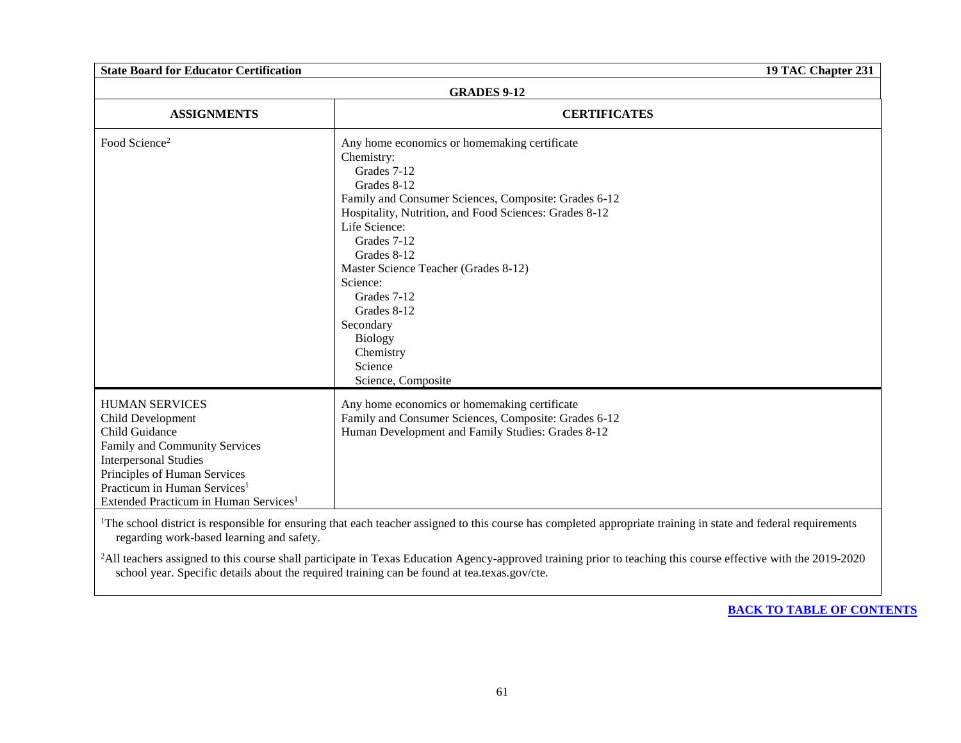| <b>GRADES 9-12</b>                                                                                                                                                                                                                                             |                                                                                                                                                                                                                                                                                                                                                                                                                          |  |
|----------------------------------------------------------------------------------------------------------------------------------------------------------------------------------------------------------------------------------------------------------------|--------------------------------------------------------------------------------------------------------------------------------------------------------------------------------------------------------------------------------------------------------------------------------------------------------------------------------------------------------------------------------------------------------------------------|--|
| <b>ASSIGNMENTS</b>                                                                                                                                                                                                                                             | <b>CERTIFICATES</b>                                                                                                                                                                                                                                                                                                                                                                                                      |  |
| Food Science <sup>2</sup>                                                                                                                                                                                                                                      | Any home economics or homemaking certificate<br>Chemistry:<br>Grades 7-12<br>Grades 8-12<br>Family and Consumer Sciences, Composite: Grades 6-12<br>Hospitality, Nutrition, and Food Sciences: Grades 8-12<br>Life Science:<br>Grades 7-12<br>Grades 8-12<br>Master Science Teacher (Grades 8-12)<br>Science:<br>Grades 7-12<br>Grades 8-12<br>Secondary<br><b>Biology</b><br>Chemistry<br>Science<br>Science, Composite |  |
| <b>HUMAN SERVICES</b><br>Child Development<br>Child Guidance<br>Family and Community Services<br><b>Interpersonal Studies</b><br>Principles of Human Services<br>Practicum in Human Services <sup>1</sup><br>Extended Practicum in Human Services <sup>1</sup> | Any home economics or homemaking certificate<br>Family and Consumer Sciences, Composite: Grades 6-12<br>Human Development and Family Studies: Grades 8-12                                                                                                                                                                                                                                                                |  |

<sup>1</sup>The school district is responsible for ensuring that each teacher assigned to this course has completed appropriate training in state and federal requirements regarding work-based learning and safety.

<sup>2</sup>All teachers assigned to this course shall participate in Texas Education Agency-approved training prior to teaching this course effective with the 2019-2020 school year. Specific details about the required training can be found at tea.texas.gov/cte.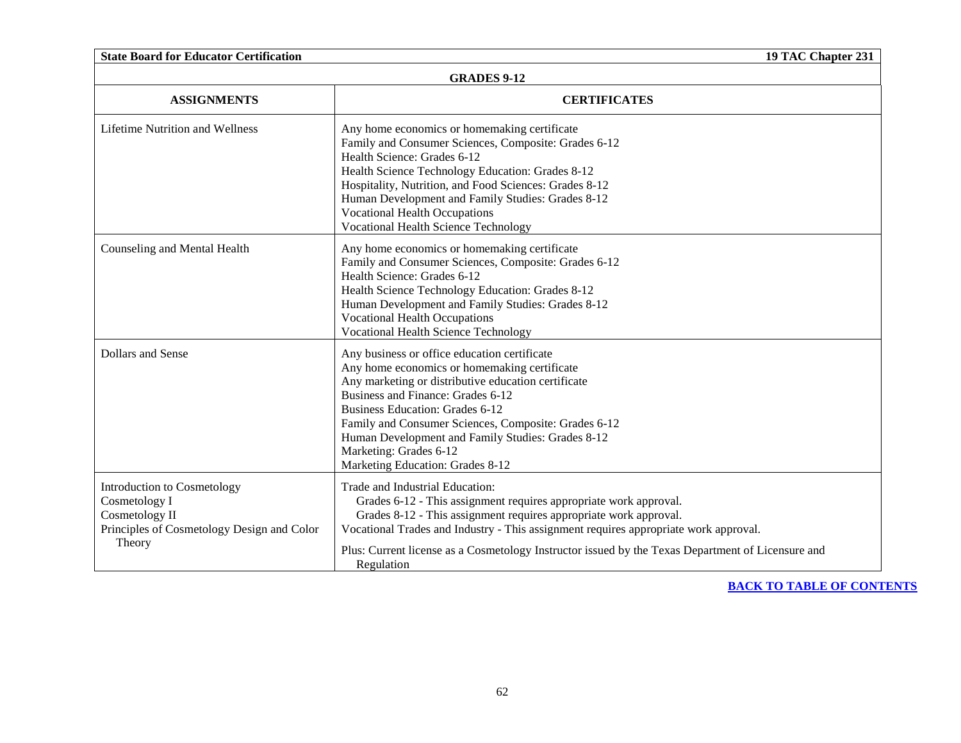| <b>State Board for Educator Certification</b><br>19 TAC Chapter 231                                                    |                                                                                                                                                                                                                                                                                                                                                                                                               |  |
|------------------------------------------------------------------------------------------------------------------------|---------------------------------------------------------------------------------------------------------------------------------------------------------------------------------------------------------------------------------------------------------------------------------------------------------------------------------------------------------------------------------------------------------------|--|
| <b>GRADES 9-12</b>                                                                                                     |                                                                                                                                                                                                                                                                                                                                                                                                               |  |
| <b>ASSIGNMENTS</b>                                                                                                     | <b>CERTIFICATES</b>                                                                                                                                                                                                                                                                                                                                                                                           |  |
| <b>Lifetime Nutrition and Wellness</b>                                                                                 | Any home economics or homemaking certificate<br>Family and Consumer Sciences, Composite: Grades 6-12<br>Health Science: Grades 6-12<br>Health Science Technology Education: Grades 8-12<br>Hospitality, Nutrition, and Food Sciences: Grades 8-12<br>Human Development and Family Studies: Grades 8-12<br><b>Vocational Health Occupations</b><br><b>Vocational Health Science Technology</b>                 |  |
| Counseling and Mental Health                                                                                           | Any home economics or homemaking certificate<br>Family and Consumer Sciences, Composite: Grades 6-12<br>Health Science: Grades 6-12<br>Health Science Technology Education: Grades 8-12<br>Human Development and Family Studies: Grades 8-12<br><b>Vocational Health Occupations</b><br><b>Vocational Health Science Technology</b>                                                                           |  |
| Dollars and Sense                                                                                                      | Any business or office education certificate<br>Any home economics or homemaking certificate<br>Any marketing or distributive education certificate<br>Business and Finance: Grades 6-12<br><b>Business Education: Grades 6-12</b><br>Family and Consumer Sciences, Composite: Grades 6-12<br>Human Development and Family Studies: Grades 8-12<br>Marketing: Grades 6-12<br>Marketing Education: Grades 8-12 |  |
| Introduction to Cosmetology<br>Cosmetology I<br>Cosmetology II<br>Principles of Cosmetology Design and Color<br>Theory | Trade and Industrial Education:<br>Grades 6-12 - This assignment requires appropriate work approval.<br>Grades 8-12 - This assignment requires appropriate work approval.<br>Vocational Trades and Industry - This assignment requires appropriate work approval.<br>Plus: Current license as a Cosmetology Instructor issued by the Texas Department of Licensure and<br>Regulation                          |  |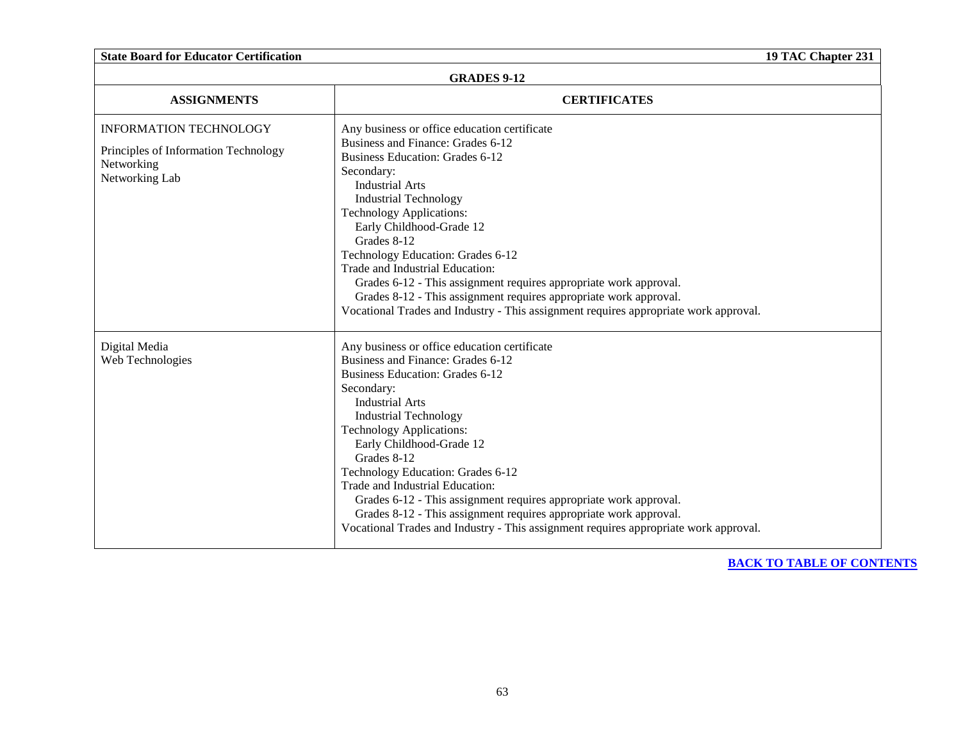| <b>State Board for Educator Certification</b><br>19 TAC Chapter 231                                   |                                                                                                                                                                                                                                                                                                                                                                                                                                                                                                                                                                                             |  |
|-------------------------------------------------------------------------------------------------------|---------------------------------------------------------------------------------------------------------------------------------------------------------------------------------------------------------------------------------------------------------------------------------------------------------------------------------------------------------------------------------------------------------------------------------------------------------------------------------------------------------------------------------------------------------------------------------------------|--|
| <b>GRADES 9-12</b>                                                                                    |                                                                                                                                                                                                                                                                                                                                                                                                                                                                                                                                                                                             |  |
| <b>ASSIGNMENTS</b>                                                                                    | <b>CERTIFICATES</b>                                                                                                                                                                                                                                                                                                                                                                                                                                                                                                                                                                         |  |
| <b>INFORMATION TECHNOLOGY</b><br>Principles of Information Technology<br>Networking<br>Networking Lab | Any business or office education certificate<br>Business and Finance: Grades 6-12<br><b>Business Education: Grades 6-12</b><br>Secondary:<br><b>Industrial Arts</b><br><b>Industrial Technology</b><br><b>Technology Applications:</b><br>Early Childhood-Grade 12<br>Grades 8-12<br>Technology Education: Grades 6-12<br>Trade and Industrial Education:<br>Grades 6-12 - This assignment requires appropriate work approval.<br>Grades 8-12 - This assignment requires appropriate work approval.<br>Vocational Trades and Industry - This assignment requires appropriate work approval. |  |
| Digital Media<br>Web Technologies                                                                     | Any business or office education certificate<br>Business and Finance: Grades 6-12<br><b>Business Education: Grades 6-12</b><br>Secondary:<br><b>Industrial Arts</b><br><b>Industrial Technology</b><br><b>Technology Applications:</b><br>Early Childhood-Grade 12<br>Grades 8-12<br>Technology Education: Grades 6-12<br>Trade and Industrial Education:<br>Grades 6-12 - This assignment requires appropriate work approval.<br>Grades 8-12 - This assignment requires appropriate work approval.<br>Vocational Trades and Industry - This assignment requires appropriate work approval. |  |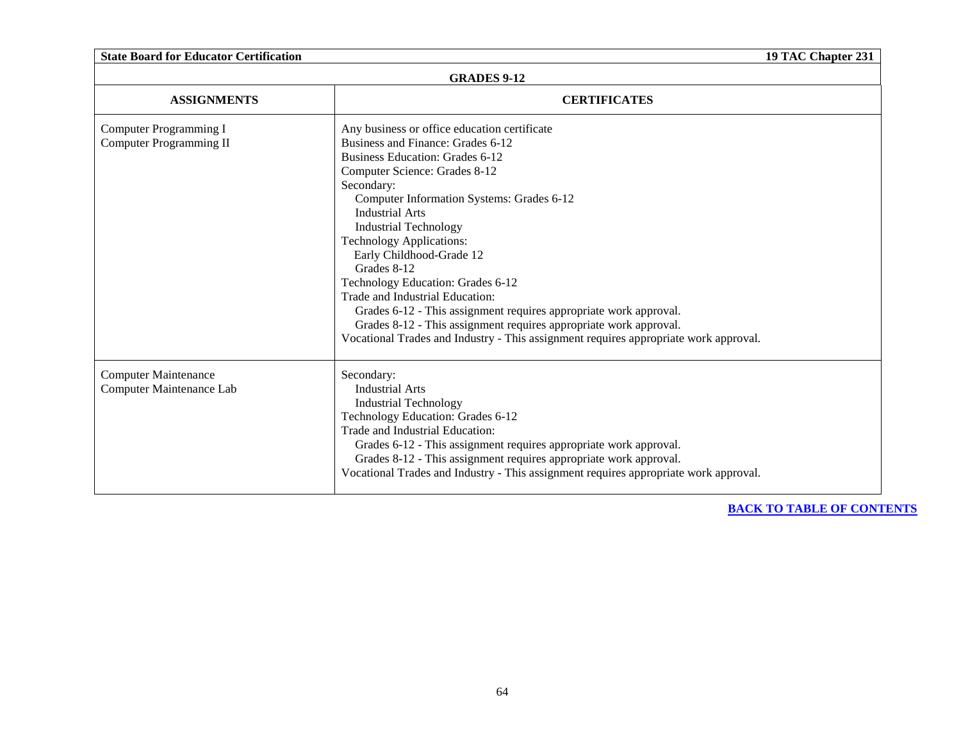| <b>GRADES 9-12</b>                                      |                                                                                                                                                                                                                                                                                                                                                                                                                                                                                                                                                                                                                                                                    |  |
|---------------------------------------------------------|--------------------------------------------------------------------------------------------------------------------------------------------------------------------------------------------------------------------------------------------------------------------------------------------------------------------------------------------------------------------------------------------------------------------------------------------------------------------------------------------------------------------------------------------------------------------------------------------------------------------------------------------------------------------|--|
| <b>ASSIGNMENTS</b>                                      | <b>CERTIFICATES</b>                                                                                                                                                                                                                                                                                                                                                                                                                                                                                                                                                                                                                                                |  |
| Computer Programming I<br>Computer Programming II       | Any business or office education certificate<br>Business and Finance: Grades 6-12<br>Business Education: Grades 6-12<br>Computer Science: Grades 8-12<br>Secondary:<br>Computer Information Systems: Grades 6-12<br><b>Industrial Arts</b><br><b>Industrial Technology</b><br><b>Technology Applications:</b><br>Early Childhood-Grade 12<br>Grades 8-12<br>Technology Education: Grades 6-12<br>Trade and Industrial Education:<br>Grades 6-12 - This assignment requires appropriate work approval.<br>Grades 8-12 - This assignment requires appropriate work approval.<br>Vocational Trades and Industry - This assignment requires appropriate work approval. |  |
| <b>Computer Maintenance</b><br>Computer Maintenance Lab | Secondary:<br><b>Industrial Arts</b><br><b>Industrial Technology</b><br>Technology Education: Grades 6-12<br>Trade and Industrial Education:<br>Grades 6-12 - This assignment requires appropriate work approval.<br>Grades 8-12 - This assignment requires appropriate work approval.<br>Vocational Trades and Industry - This assignment requires appropriate work approval.                                                                                                                                                                                                                                                                                     |  |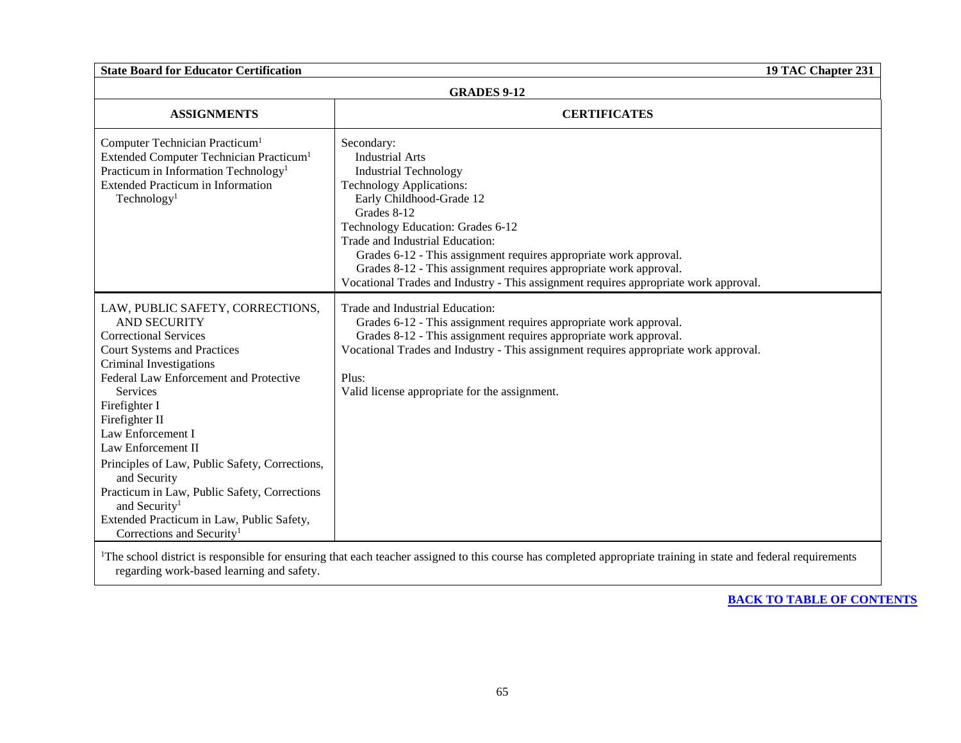| <b>GRADES 9-12</b>                                                                                                                                                                                                                                                                                                                                                                                                                                                                                                                       |                                                                                                                                                                                                                                                                                                                                                                                                                                                              |  |
|------------------------------------------------------------------------------------------------------------------------------------------------------------------------------------------------------------------------------------------------------------------------------------------------------------------------------------------------------------------------------------------------------------------------------------------------------------------------------------------------------------------------------------------|--------------------------------------------------------------------------------------------------------------------------------------------------------------------------------------------------------------------------------------------------------------------------------------------------------------------------------------------------------------------------------------------------------------------------------------------------------------|--|
| <b>ASSIGNMENTS</b>                                                                                                                                                                                                                                                                                                                                                                                                                                                                                                                       | <b>CERTIFICATES</b>                                                                                                                                                                                                                                                                                                                                                                                                                                          |  |
| Computer Technician Practicum <sup>1</sup><br>Extended Computer Technician Practicum <sup>1</sup><br>Practicum in Information Technology <sup>1</sup><br><b>Extended Practicum in Information</b><br>Technology <sup>1</sup>                                                                                                                                                                                                                                                                                                             | Secondary:<br><b>Industrial Arts</b><br><b>Industrial Technology</b><br><b>Technology Applications:</b><br>Early Childhood-Grade 12<br>Grades 8-12<br>Technology Education: Grades 6-12<br>Trade and Industrial Education:<br>Grades 6-12 - This assignment requires appropriate work approval.<br>Grades 8-12 - This assignment requires appropriate work approval.<br>Vocational Trades and Industry - This assignment requires appropriate work approval. |  |
| LAW, PUBLIC SAFETY, CORRECTIONS,<br><b>AND SECURITY</b><br><b>Correctional Services</b><br><b>Court Systems and Practices</b><br>Criminal Investigations<br>Federal Law Enforcement and Protective<br><b>Services</b><br>Firefighter I<br>Firefighter II<br>Law Enforcement I<br>Law Enforcement II<br>Principles of Law, Public Safety, Corrections,<br>and Security<br>Practicum in Law, Public Safety, Corrections<br>and Security <sup>1</sup><br>Extended Practicum in Law, Public Safety,<br>Corrections and Security <sup>1</sup> | Trade and Industrial Education:<br>Grades 6-12 - This assignment requires appropriate work approval.<br>Grades 8-12 - This assignment requires appropriate work approval.<br>Vocational Trades and Industry - This assignment requires appropriate work approval.<br>Plus:<br>Valid license appropriate for the assignment.                                                                                                                                  |  |

<sup>1</sup>The school district is responsible for ensuring that each teacher assigned to this course has completed appropriate training in state and federal requirements regarding work-based learning and safety.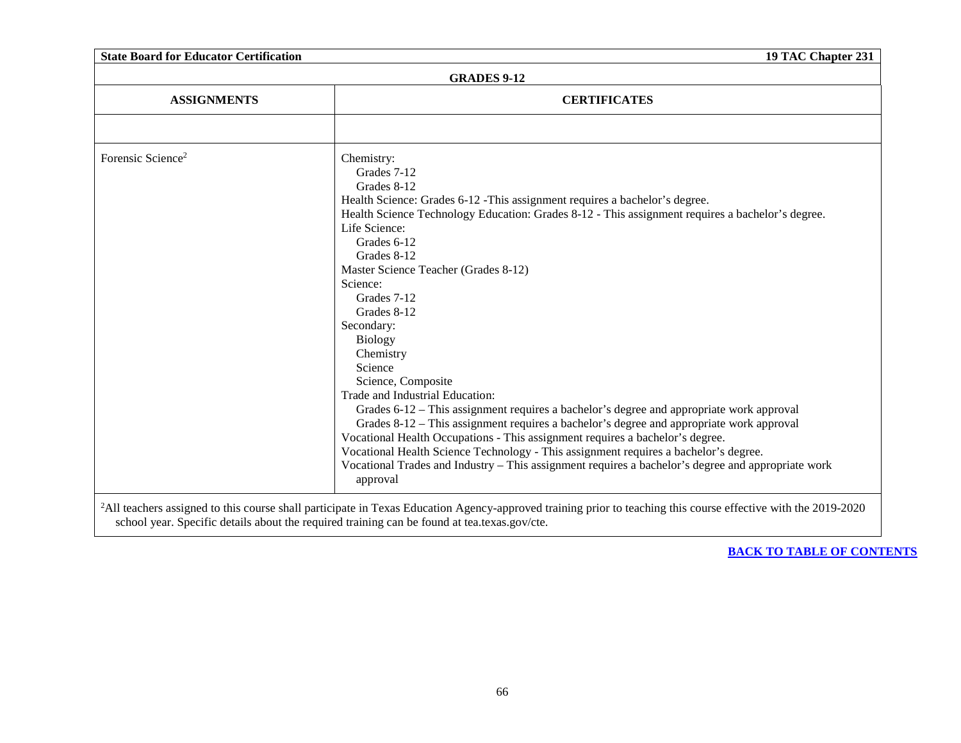|                               | <b>GRADES 9-12</b>                                                                                             |
|-------------------------------|----------------------------------------------------------------------------------------------------------------|
| <b>ASSIGNMENTS</b>            | <b>CERTIFICATES</b>                                                                                            |
|                               |                                                                                                                |
| Forensic Science <sup>2</sup> | Chemistry:                                                                                                     |
|                               | Grades 7-12                                                                                                    |
|                               | Grades 8-12                                                                                                    |
|                               | Health Science: Grades 6-12 - This assignment requires a bachelor's degree.                                    |
|                               | Health Science Technology Education: Grades 8-12 - This assignment requires a bachelor's degree.               |
|                               | Life Science:                                                                                                  |
|                               | Grades 6-12                                                                                                    |
|                               | Grades 8-12                                                                                                    |
|                               | Master Science Teacher (Grades 8-12)                                                                           |
|                               | Science:                                                                                                       |
|                               | Grades 7-12                                                                                                    |
|                               | Grades 8-12                                                                                                    |
|                               | Secondary:                                                                                                     |
|                               | <b>Biology</b>                                                                                                 |
|                               | Chemistry                                                                                                      |
|                               | Science                                                                                                        |
|                               | Science, Composite                                                                                             |
|                               | Trade and Industrial Education:                                                                                |
|                               | Grades 6-12 – This assignment requires a bachelor's degree and appropriate work approval                       |
|                               | Grades 8-12 – This assignment requires a bachelor's degree and appropriate work approval                       |
|                               | Vocational Health Occupations - This assignment requires a bachelor's degree.                                  |
|                               | Vocational Health Science Technology - This assignment requires a bachelor's degree.                           |
|                               | Vocational Trades and Industry – This assignment requires a bachelor's degree and appropriate work<br>approval |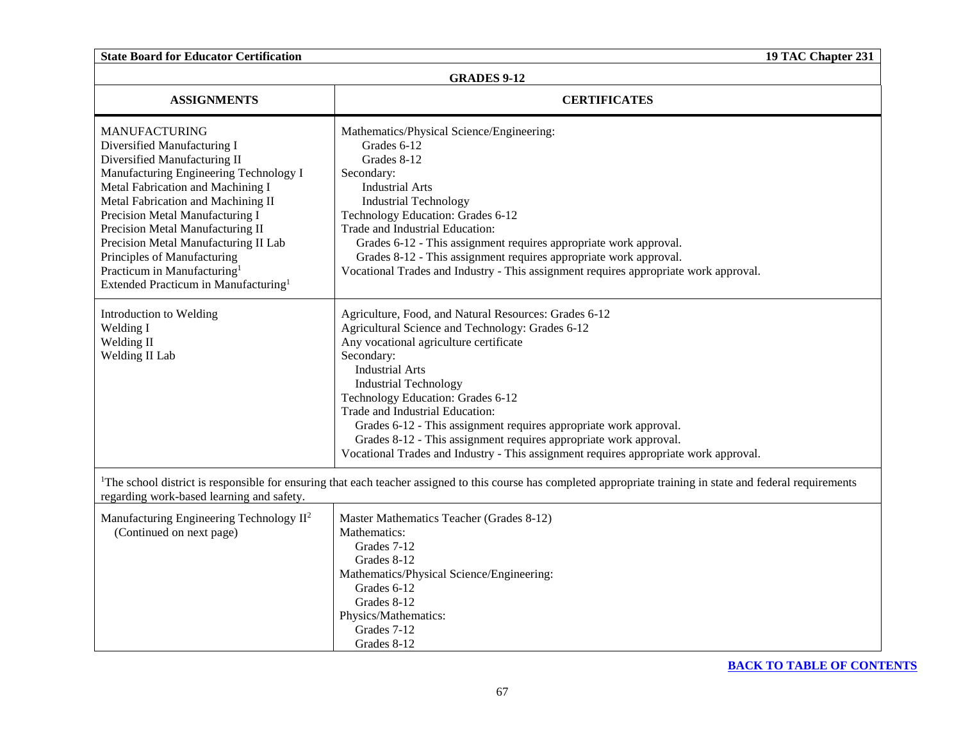| <b>GRADES 9-12</b>                                                                                                                                                                                                                                                                                                                                                                                                                                    |                                                                                                                                                                                                                                                                                                                                                                                                                                                                                                                                       |  |
|-------------------------------------------------------------------------------------------------------------------------------------------------------------------------------------------------------------------------------------------------------------------------------------------------------------------------------------------------------------------------------------------------------------------------------------------------------|---------------------------------------------------------------------------------------------------------------------------------------------------------------------------------------------------------------------------------------------------------------------------------------------------------------------------------------------------------------------------------------------------------------------------------------------------------------------------------------------------------------------------------------|--|
| <b>ASSIGNMENTS</b>                                                                                                                                                                                                                                                                                                                                                                                                                                    | <b>CERTIFICATES</b>                                                                                                                                                                                                                                                                                                                                                                                                                                                                                                                   |  |
| <b>MANUFACTURING</b><br>Diversified Manufacturing I<br>Diversified Manufacturing II<br>Manufacturing Engineering Technology I<br>Metal Fabrication and Machining I<br>Metal Fabrication and Machining II<br>Precision Metal Manufacturing I<br>Precision Metal Manufacturing II<br>Precision Metal Manufacturing II Lab<br>Principles of Manufacturing<br>Practicum in Manufacturing <sup>1</sup><br>Extended Practicum in Manufacturing <sup>1</sup> | Mathematics/Physical Science/Engineering:<br>Grades 6-12<br>Grades 8-12<br>Secondary:<br><b>Industrial Arts</b><br><b>Industrial Technology</b><br>Technology Education: Grades 6-12<br>Trade and Industrial Education:<br>Grades 6-12 - This assignment requires appropriate work approval.<br>Grades 8-12 - This assignment requires appropriate work approval.<br>Vocational Trades and Industry - This assignment requires appropriate work approval.                                                                             |  |
| Introduction to Welding<br>Welding I<br>Welding II<br>Welding II Lab                                                                                                                                                                                                                                                                                                                                                                                  | Agriculture, Food, and Natural Resources: Grades 6-12<br>Agricultural Science and Technology: Grades 6-12<br>Any vocational agriculture certificate<br>Secondary:<br><b>Industrial Arts</b><br><b>Industrial Technology</b><br>Technology Education: Grades 6-12<br>Trade and Industrial Education:<br>Grades 6-12 - This assignment requires appropriate work approval.<br>Grades 8-12 - This assignment requires appropriate work approval.<br>Vocational Trades and Industry - This assignment requires appropriate work approval. |  |
| regarding work-based learning and safety.                                                                                                                                                                                                                                                                                                                                                                                                             | <sup>1</sup> The school district is responsible for ensuring that each teacher assigned to this course has completed appropriate training in state and federal requirements                                                                                                                                                                                                                                                                                                                                                           |  |
| Manufacturing Engineering Technology II <sup>2</sup><br>(Continued on next page)                                                                                                                                                                                                                                                                                                                                                                      | Master Mathematics Teacher (Grades 8-12)<br>Mathematics:<br>Grades 7-12<br>Grades 8-12<br>Mathematics/Physical Science/Engineering:<br>Grades 6-12<br>Grades 8-12<br>Physics/Mathematics:<br>Grades 7-12<br>Grades 8-12                                                                                                                                                                                                                                                                                                               |  |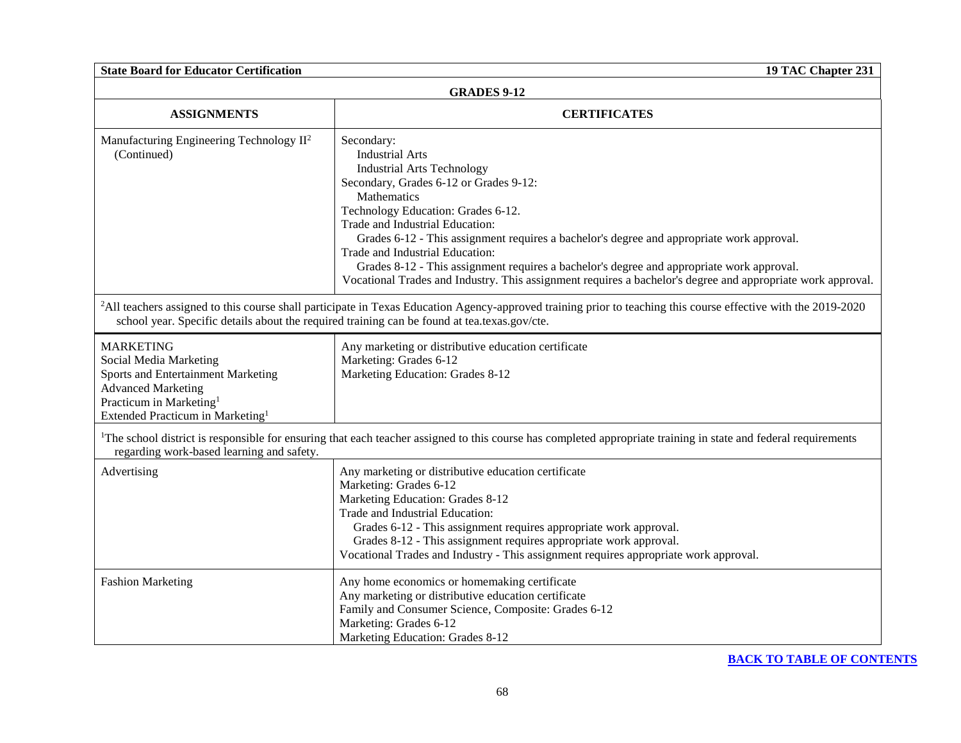| <b>State Board for Educator Certification</b><br>19 TAC Chapter 231                                                                                                                                  |                                                                                                                                                                                                                                                                                                                                                                                                                                                                                                                                                         |  |
|------------------------------------------------------------------------------------------------------------------------------------------------------------------------------------------------------|---------------------------------------------------------------------------------------------------------------------------------------------------------------------------------------------------------------------------------------------------------------------------------------------------------------------------------------------------------------------------------------------------------------------------------------------------------------------------------------------------------------------------------------------------------|--|
| <b>GRADES 9-12</b>                                                                                                                                                                                   |                                                                                                                                                                                                                                                                                                                                                                                                                                                                                                                                                         |  |
| <b>ASSIGNMENTS</b>                                                                                                                                                                                   | <b>CERTIFICATES</b>                                                                                                                                                                                                                                                                                                                                                                                                                                                                                                                                     |  |
| Manufacturing Engineering Technology II <sup>2</sup><br>(Continued)                                                                                                                                  | Secondary:<br><b>Industrial Arts</b><br><b>Industrial Arts Technology</b><br>Secondary, Grades 6-12 or Grades 9-12:<br>Mathematics<br>Technology Education: Grades 6-12.<br>Trade and Industrial Education:<br>Grades 6-12 - This assignment requires a bachelor's degree and appropriate work approval.<br>Trade and Industrial Education:<br>Grades 8-12 - This assignment requires a bachelor's degree and appropriate work approval.<br>Vocational Trades and Industry. This assignment requires a bachelor's degree and appropriate work approval. |  |
|                                                                                                                                                                                                      | <sup>2</sup> All teachers assigned to this course shall participate in Texas Education Agency-approved training prior to teaching this course effective with the 2019-2020<br>school year. Specific details about the required training can be found at tea.texas.gov/cte.                                                                                                                                                                                                                                                                              |  |
| <b>MARKETING</b><br>Social Media Marketing<br>Sports and Entertainment Marketing<br><b>Advanced Marketing</b><br>Practicum in Marketing <sup>1</sup><br>Extended Practicum in Marketing <sup>1</sup> | Any marketing or distributive education certificate<br>Marketing: Grades 6-12<br>Marketing Education: Grades 8-12                                                                                                                                                                                                                                                                                                                                                                                                                                       |  |
| regarding work-based learning and safety.                                                                                                                                                            | <sup>1</sup> The school district is responsible for ensuring that each teacher assigned to this course has completed appropriate training in state and federal requirements                                                                                                                                                                                                                                                                                                                                                                             |  |
| Advertising                                                                                                                                                                                          | Any marketing or distributive education certificate<br>Marketing: Grades 6-12<br>Marketing Education: Grades 8-12<br>Trade and Industrial Education:<br>Grades 6-12 - This assignment requires appropriate work approval.<br>Grades 8-12 - This assignment requires appropriate work approval.<br>Vocational Trades and Industry - This assignment requires appropriate work approval.                                                                                                                                                                  |  |
| <b>Fashion Marketing</b>                                                                                                                                                                             | Any home economics or homemaking certificate<br>Any marketing or distributive education certificate<br>Family and Consumer Science, Composite: Grades 6-12<br>Marketing: Grades 6-12<br>Marketing Education: Grades 8-12                                                                                                                                                                                                                                                                                                                                |  |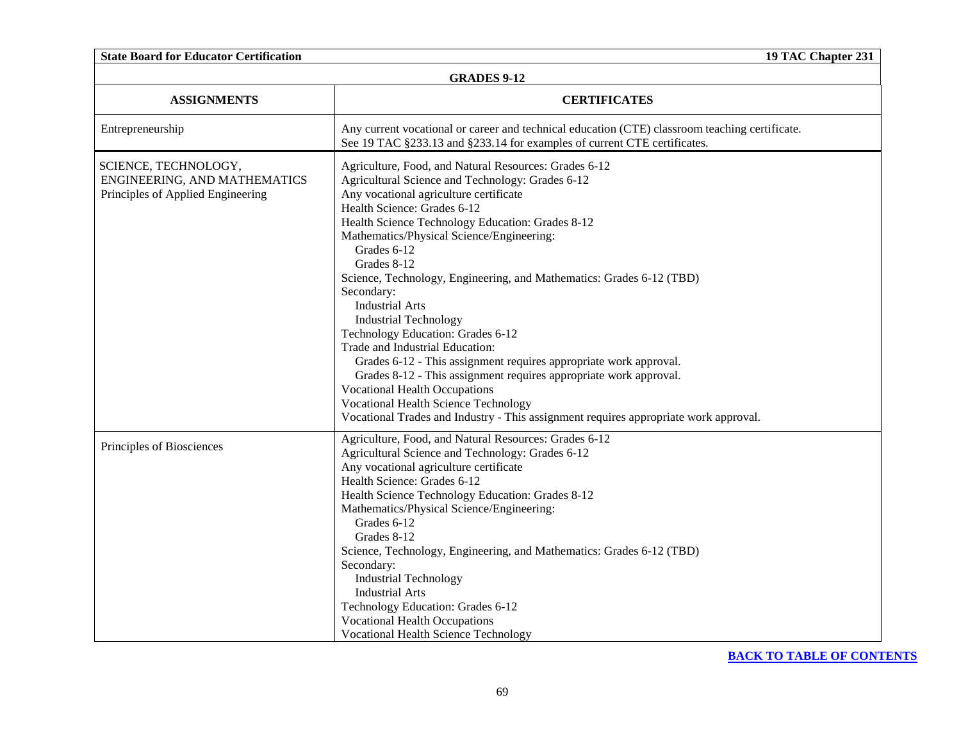| <b>GRADES 9-12</b>                                                                        |                                                                                                                                                                                                                                                                                                                                                                                                                                                                                                                                                                                                                                                                                                                                                                                                                                                                    |  |
|-------------------------------------------------------------------------------------------|--------------------------------------------------------------------------------------------------------------------------------------------------------------------------------------------------------------------------------------------------------------------------------------------------------------------------------------------------------------------------------------------------------------------------------------------------------------------------------------------------------------------------------------------------------------------------------------------------------------------------------------------------------------------------------------------------------------------------------------------------------------------------------------------------------------------------------------------------------------------|--|
| <b>ASSIGNMENTS</b>                                                                        | <b>CERTIFICATES</b>                                                                                                                                                                                                                                                                                                                                                                                                                                                                                                                                                                                                                                                                                                                                                                                                                                                |  |
| Entrepreneurship                                                                          | Any current vocational or career and technical education (CTE) classroom teaching certificate.<br>See 19 TAC §233.13 and §233.14 for examples of current CTE certificates.                                                                                                                                                                                                                                                                                                                                                                                                                                                                                                                                                                                                                                                                                         |  |
| SCIENCE, TECHNOLOGY,<br>ENGINEERING, AND MATHEMATICS<br>Principles of Applied Engineering | Agriculture, Food, and Natural Resources: Grades 6-12<br>Agricultural Science and Technology: Grades 6-12<br>Any vocational agriculture certificate<br>Health Science: Grades 6-12<br>Health Science Technology Education: Grades 8-12<br>Mathematics/Physical Science/Engineering:<br>Grades 6-12<br>Grades 8-12<br>Science, Technology, Engineering, and Mathematics: Grades 6-12 (TBD)<br>Secondary:<br><b>Industrial Arts</b><br><b>Industrial Technology</b><br>Technology Education: Grades 6-12<br>Trade and Industrial Education:<br>Grades 6-12 - This assignment requires appropriate work approval.<br>Grades 8-12 - This assignment requires appropriate work approval.<br><b>Vocational Health Occupations</b><br><b>Vocational Health Science Technology</b><br>Vocational Trades and Industry - This assignment requires appropriate work approval. |  |
| Principles of Biosciences                                                                 | Agriculture, Food, and Natural Resources: Grades 6-12<br>Agricultural Science and Technology: Grades 6-12<br>Any vocational agriculture certificate<br>Health Science: Grades 6-12<br>Health Science Technology Education: Grades 8-12<br>Mathematics/Physical Science/Engineering:<br>Grades 6-12<br>Grades 8-12<br>Science, Technology, Engineering, and Mathematics: Grades 6-12 (TBD)<br>Secondary:<br><b>Industrial Technology</b><br><b>Industrial Arts</b><br>Technology Education: Grades 6-12<br><b>Vocational Health Occupations</b><br><b>Vocational Health Science Technology</b>                                                                                                                                                                                                                                                                      |  |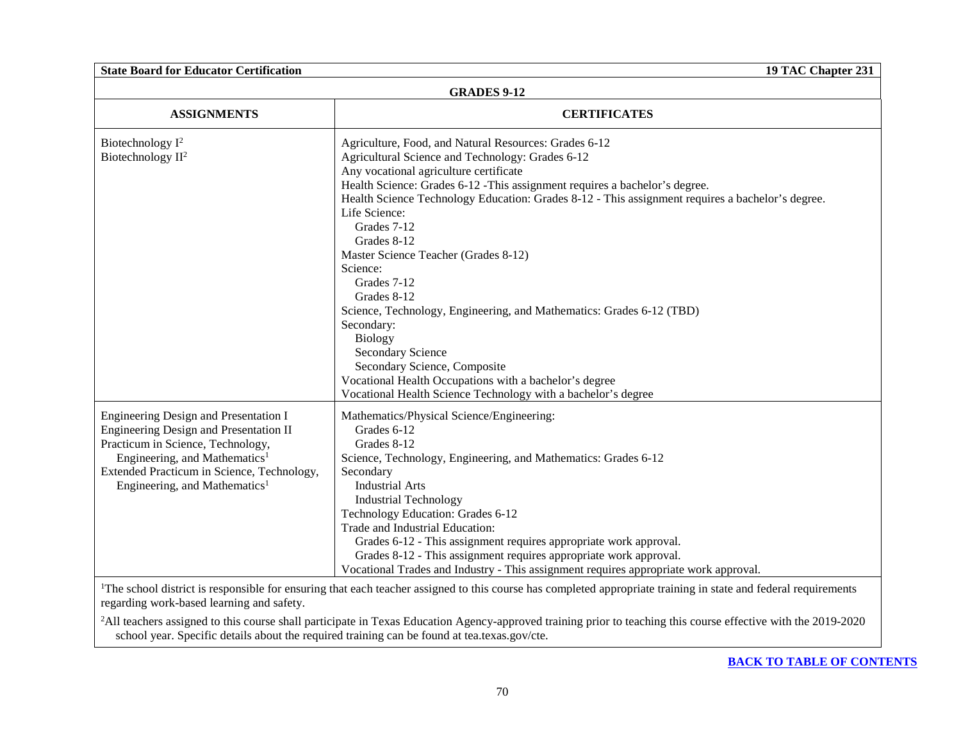## **GRADES 9-12**

| <b>ASSIGNMENTS</b>                                                                                                                                                                                                                                           | <b>CERTIFICATES</b>                                                                                                                                                                                                                                                                                                                                                                                                                                                                                                                                                                                                                                                                                                                                                    |
|--------------------------------------------------------------------------------------------------------------------------------------------------------------------------------------------------------------------------------------------------------------|------------------------------------------------------------------------------------------------------------------------------------------------------------------------------------------------------------------------------------------------------------------------------------------------------------------------------------------------------------------------------------------------------------------------------------------------------------------------------------------------------------------------------------------------------------------------------------------------------------------------------------------------------------------------------------------------------------------------------------------------------------------------|
| Biotechnology $I^2$<br>Biotechnology II <sup>2</sup>                                                                                                                                                                                                         | Agriculture, Food, and Natural Resources: Grades 6-12<br>Agricultural Science and Technology: Grades 6-12<br>Any vocational agriculture certificate<br>Health Science: Grades 6-12 - This assignment requires a bachelor's degree.<br>Health Science Technology Education: Grades 8-12 - This assignment requires a bachelor's degree.<br>Life Science:<br>Grades 7-12<br>Grades 8-12<br>Master Science Teacher (Grades 8-12)<br>Science:<br>Grades 7-12<br>Grades 8-12<br>Science, Technology, Engineering, and Mathematics: Grades 6-12 (TBD)<br>Secondary:<br><b>Biology</b><br><b>Secondary Science</b><br>Secondary Science, Composite<br>Vocational Health Occupations with a bachelor's degree<br>Vocational Health Science Technology with a bachelor's degree |
| Engineering Design and Presentation I<br>Engineering Design and Presentation II<br>Practicum in Science, Technology,<br>Engineering, and Mathematics <sup>1</sup><br>Extended Practicum in Science, Technology,<br>Engineering, and Mathematics <sup>1</sup> | Mathematics/Physical Science/Engineering:<br>Grades 6-12<br>Grades 8-12<br>Science, Technology, Engineering, and Mathematics: Grades 6-12<br>Secondary<br><b>Industrial Arts</b><br><b>Industrial Technology</b><br>Technology Education: Grades 6-12<br>Trade and Industrial Education:<br>Grades 6-12 - This assignment requires appropriate work approval.<br>Grades 8-12 - This assignment requires appropriate work approval.<br>Vocational Trades and Industry - This assignment requires appropriate work approval.                                                                                                                                                                                                                                             |

<sup>1</sup>The school district is responsible for ensuring that each teacher assigned to this course has completed appropriate training in state and federal requirements regarding work-based learning and safety.

<sup>2</sup>All teachers assigned to this course shall participate in Texas Education Agency-approved training prior to teaching this course effective with the 2019-2020 school year. Specific details about the required training can be found at tea.texas.gov/cte.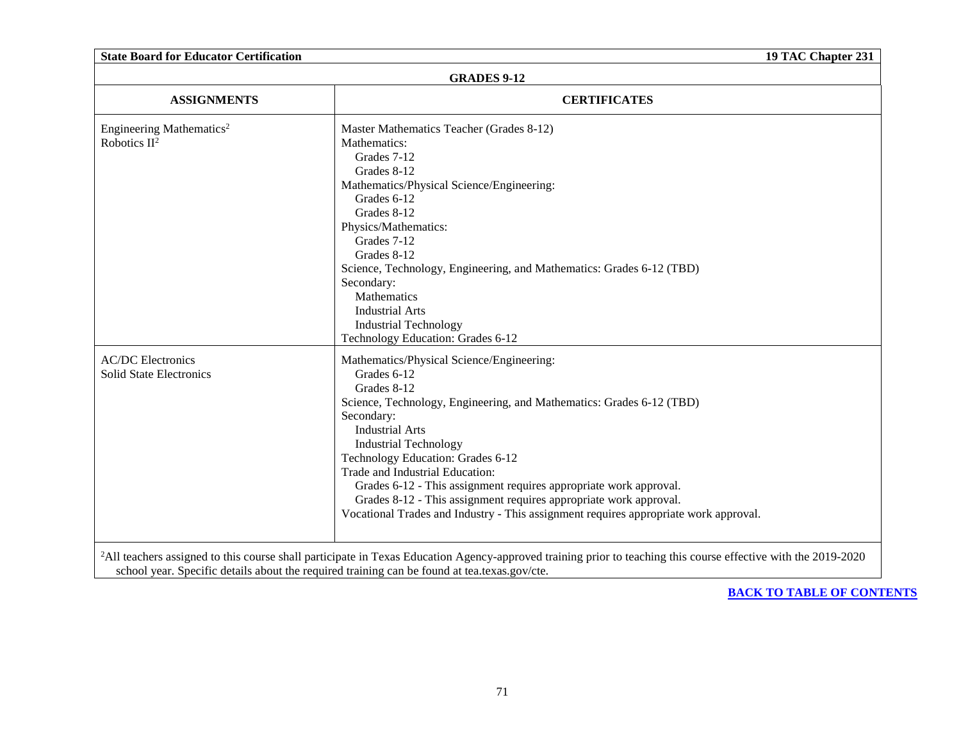| <b>State Board for Educator Certification</b>              |                                                                                                                                                                                                                                                                                                                                                                                                                                                                                                                                   | 19 TAC Chapter 231 |
|------------------------------------------------------------|-----------------------------------------------------------------------------------------------------------------------------------------------------------------------------------------------------------------------------------------------------------------------------------------------------------------------------------------------------------------------------------------------------------------------------------------------------------------------------------------------------------------------------------|--------------------|
| <b>GRADES 9-12</b>                                         |                                                                                                                                                                                                                                                                                                                                                                                                                                                                                                                                   |                    |
| <b>ASSIGNMENTS</b>                                         | <b>CERTIFICATES</b>                                                                                                                                                                                                                                                                                                                                                                                                                                                                                                               |                    |
| Engineering Mathematics <sup>2</sup><br>Robotics $II^2$    | Master Mathematics Teacher (Grades 8-12)<br>Mathematics:<br>Grades 7-12<br>Grades 8-12<br>Mathematics/Physical Science/Engineering:<br>Grades 6-12<br>Grades 8-12<br>Physics/Mathematics:<br>Grades 7-12<br>Grades 8-12<br>Science, Technology, Engineering, and Mathematics: Grades 6-12 (TBD)<br>Secondary:<br>Mathematics<br><b>Industrial Arts</b><br><b>Industrial Technology</b><br>Technology Education: Grades 6-12                                                                                                       |                    |
| <b>AC/DC</b> Electronics<br><b>Solid State Electronics</b> | Mathematics/Physical Science/Engineering:<br>Grades 6-12<br>Grades 8-12<br>Science, Technology, Engineering, and Mathematics: Grades 6-12 (TBD)<br>Secondary:<br><b>Industrial Arts</b><br><b>Industrial Technology</b><br>Technology Education: Grades 6-12<br>Trade and Industrial Education:<br>Grades 6-12 - This assignment requires appropriate work approval.<br>Grades 8-12 - This assignment requires appropriate work approval.<br>Vocational Trades and Industry - This assignment requires appropriate work approval. |                    |
|                                                            | <sup>2</sup> All teachers assigned to this course shall participate in Texas Education Agency-approved training prior to teaching this course effective with the 2019-2020<br>school year. Specific details about the required training can be found at tea.texas.gov/cte.                                                                                                                                                                                                                                                        |                    |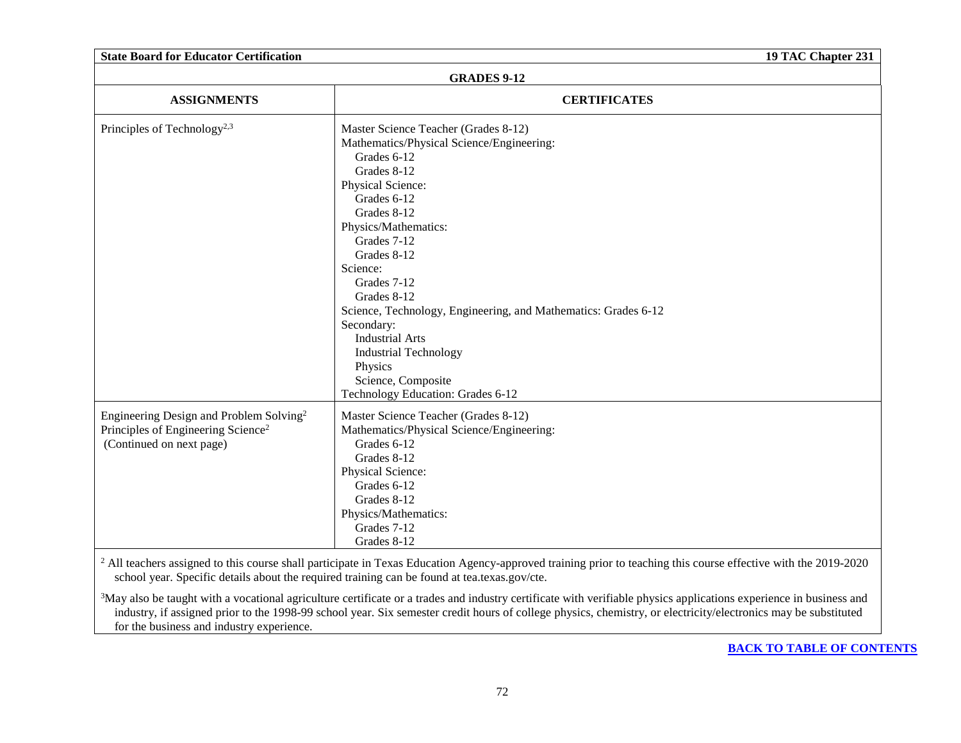| <b>State Board for Educator Certification</b><br>19 TAC Chapter 231                                                               |                                                                                                                                                                                                                                                                                                                                                                                                                                                                                    |  |
|-----------------------------------------------------------------------------------------------------------------------------------|------------------------------------------------------------------------------------------------------------------------------------------------------------------------------------------------------------------------------------------------------------------------------------------------------------------------------------------------------------------------------------------------------------------------------------------------------------------------------------|--|
| <b>GRADES 9-12</b>                                                                                                                |                                                                                                                                                                                                                                                                                                                                                                                                                                                                                    |  |
| <b>ASSIGNMENTS</b>                                                                                                                | <b>CERTIFICATES</b>                                                                                                                                                                                                                                                                                                                                                                                                                                                                |  |
| Principles of Technology <sup>2,3</sup>                                                                                           | Master Science Teacher (Grades 8-12)<br>Mathematics/Physical Science/Engineering:<br>Grades 6-12<br>Grades 8-12<br>Physical Science:<br>Grades 6-12<br>Grades 8-12<br>Physics/Mathematics:<br>Grades 7-12<br>Grades 8-12<br>Science:<br>Grades 7-12<br>Grades 8-12<br>Science, Technology, Engineering, and Mathematics: Grades 6-12<br>Secondary:<br><b>Industrial Arts</b><br><b>Industrial Technology</b><br>Physics<br>Science, Composite<br>Technology Education: Grades 6-12 |  |
| Engineering Design and Problem Solving <sup>2</sup><br>Principles of Engineering Science <sup>2</sup><br>(Continued on next page) | Master Science Teacher (Grades 8-12)<br>Mathematics/Physical Science/Engineering:<br>Grades 6-12<br>Grades 8-12<br>Physical Science:<br>Grades 6-12<br>Grades 8-12<br>Physics/Mathematics:<br>Grades 7-12<br>Grades 8-12<br>$\frac{2}{2}$ All teachers assigned to this course shall participate in Texas Education Agency-approved training prior to teaching this course effective with the 2019-2020                                                                            |  |

 $2$  All teachers assigned to this course shall participate in Texas Education Agency-approved training prior to teaching this course effective with the 2019-2020 school year. Specific details about the required training can be found at tea.texas.gov/cte.

<sup>3</sup>May also be taught with a vocational agriculture certificate or a trades and industry certificate with verifiable physics applications experience in business and industry, if assigned prior to the 1998-99 school year. Six semester credit hours of college physics, chemistry, or electricity/electronics may be substituted for the business and industry experience.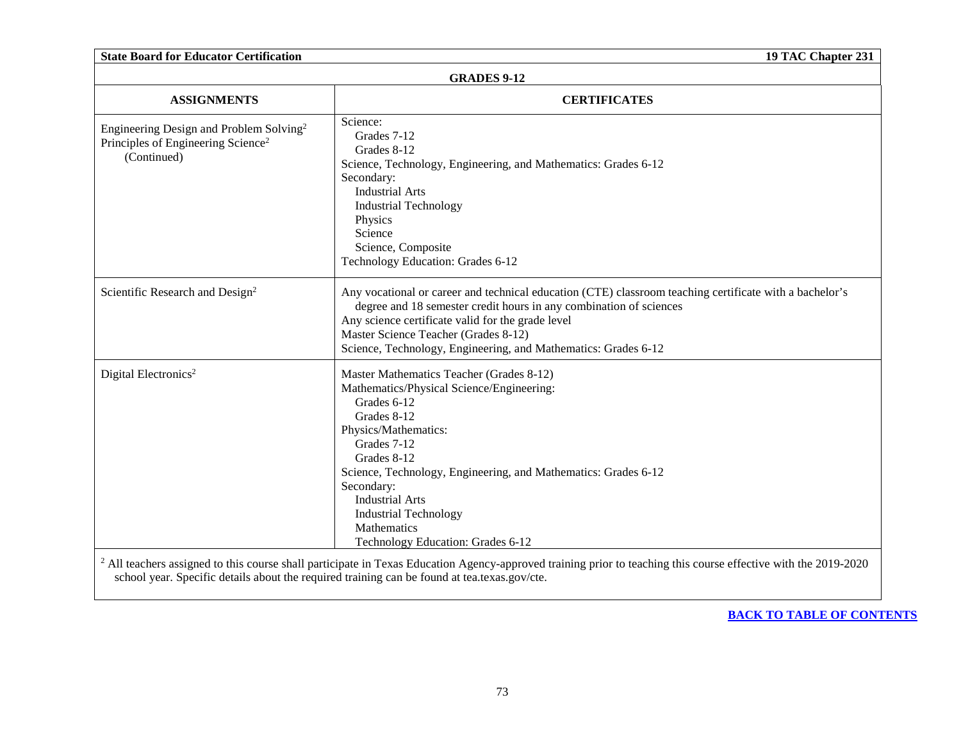| <b>State Board for Educator Certification</b><br>19 TAC Chapter 231                                                  |                                                                                                                                                                                                                                                                                                                                                                         |  |
|----------------------------------------------------------------------------------------------------------------------|-------------------------------------------------------------------------------------------------------------------------------------------------------------------------------------------------------------------------------------------------------------------------------------------------------------------------------------------------------------------------|--|
| <b>GRADES 9-12</b>                                                                                                   |                                                                                                                                                                                                                                                                                                                                                                         |  |
| <b>ASSIGNMENTS</b>                                                                                                   | <b>CERTIFICATES</b>                                                                                                                                                                                                                                                                                                                                                     |  |
| Engineering Design and Problem Solving <sup>2</sup><br>Principles of Engineering Science <sup>2</sup><br>(Continued) | Science:<br>Grades 7-12<br>Grades 8-12<br>Science, Technology, Engineering, and Mathematics: Grades 6-12<br>Secondary:<br><b>Industrial Arts</b><br><b>Industrial Technology</b><br>Physics<br>Science<br>Science, Composite<br>Technology Education: Grades 6-12                                                                                                       |  |
| Scientific Research and Design <sup>2</sup>                                                                          | Any vocational or career and technical education (CTE) classroom teaching certificate with a bachelor's<br>degree and 18 semester credit hours in any combination of sciences<br>Any science certificate valid for the grade level<br>Master Science Teacher (Grades 8-12)<br>Science, Technology, Engineering, and Mathematics: Grades 6-12                            |  |
| Digital Electronics <sup>2</sup>                                                                                     | Master Mathematics Teacher (Grades 8-12)<br>Mathematics/Physical Science/Engineering:<br>Grades 6-12<br>Grades 8-12<br>Physics/Mathematics:<br>Grades 7-12<br>Grades 8-12<br>Science, Technology, Engineering, and Mathematics: Grades 6-12<br>Secondary:<br><b>Industrial Arts</b><br><b>Industrial Technology</b><br>Mathematics<br>Technology Education: Grades 6-12 |  |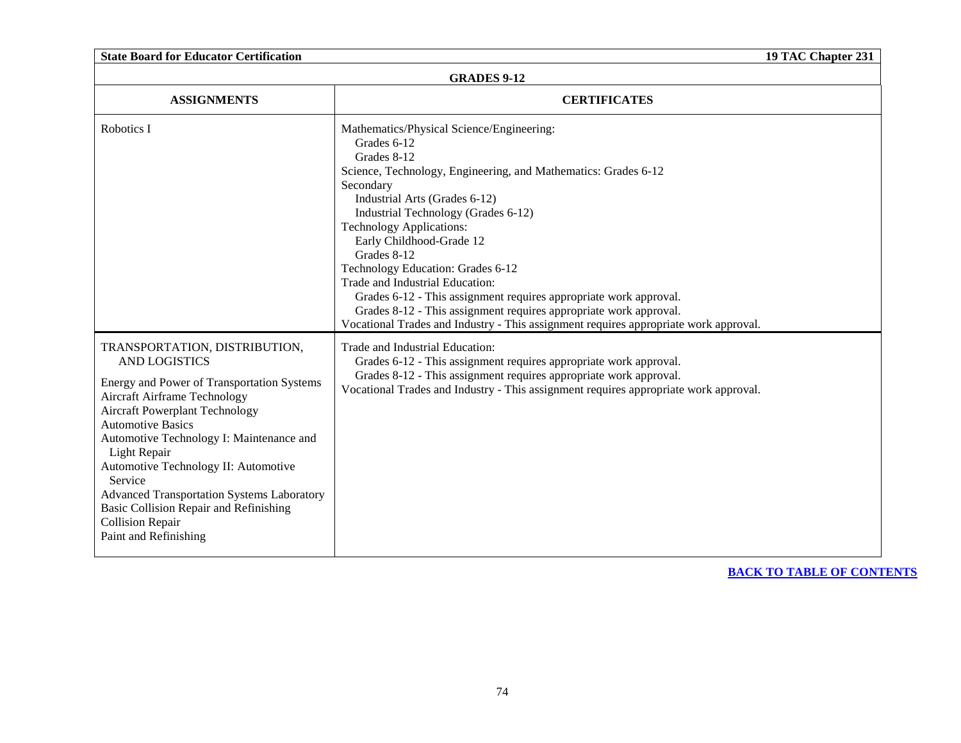**State Board for Educator Certification 19 TAC Chapter 231**

| <b>GRADES 9-12</b>                                                                                                                                                                                                                                                                                                                                                                                                                                                                |                                                                                                                                                                                                                                                                                                                                                                                                                                                                                                                                                                                                                        |  |
|-----------------------------------------------------------------------------------------------------------------------------------------------------------------------------------------------------------------------------------------------------------------------------------------------------------------------------------------------------------------------------------------------------------------------------------------------------------------------------------|------------------------------------------------------------------------------------------------------------------------------------------------------------------------------------------------------------------------------------------------------------------------------------------------------------------------------------------------------------------------------------------------------------------------------------------------------------------------------------------------------------------------------------------------------------------------------------------------------------------------|--|
| <b>ASSIGNMENTS</b>                                                                                                                                                                                                                                                                                                                                                                                                                                                                | <b>CERTIFICATES</b>                                                                                                                                                                                                                                                                                                                                                                                                                                                                                                                                                                                                    |  |
| Robotics I                                                                                                                                                                                                                                                                                                                                                                                                                                                                        | Mathematics/Physical Science/Engineering:<br>Grades 6-12<br>Grades 8-12<br>Science, Technology, Engineering, and Mathematics: Grades 6-12<br>Secondary<br>Industrial Arts (Grades 6-12)<br>Industrial Technology (Grades 6-12)<br><b>Technology Applications:</b><br>Early Childhood-Grade 12<br>Grades 8-12<br>Technology Education: Grades 6-12<br>Trade and Industrial Education:<br>Grades 6-12 - This assignment requires appropriate work approval.<br>Grades 8-12 - This assignment requires appropriate work approval.<br>Vocational Trades and Industry - This assignment requires appropriate work approval. |  |
| TRANSPORTATION, DISTRIBUTION,<br><b>AND LOGISTICS</b><br>Energy and Power of Transportation Systems<br><b>Aircraft Airframe Technology</b><br><b>Aircraft Powerplant Technology</b><br><b>Automotive Basics</b><br>Automotive Technology I: Maintenance and<br>Light Repair<br>Automotive Technology II: Automotive<br>Service<br><b>Advanced Transportation Systems Laboratory</b><br>Basic Collision Repair and Refinishing<br><b>Collision Repair</b><br>Paint and Refinishing | Trade and Industrial Education:<br>Grades 6-12 - This assignment requires appropriate work approval.<br>Grades 8-12 - This assignment requires appropriate work approval.<br>Vocational Trades and Industry - This assignment requires appropriate work approval.                                                                                                                                                                                                                                                                                                                                                      |  |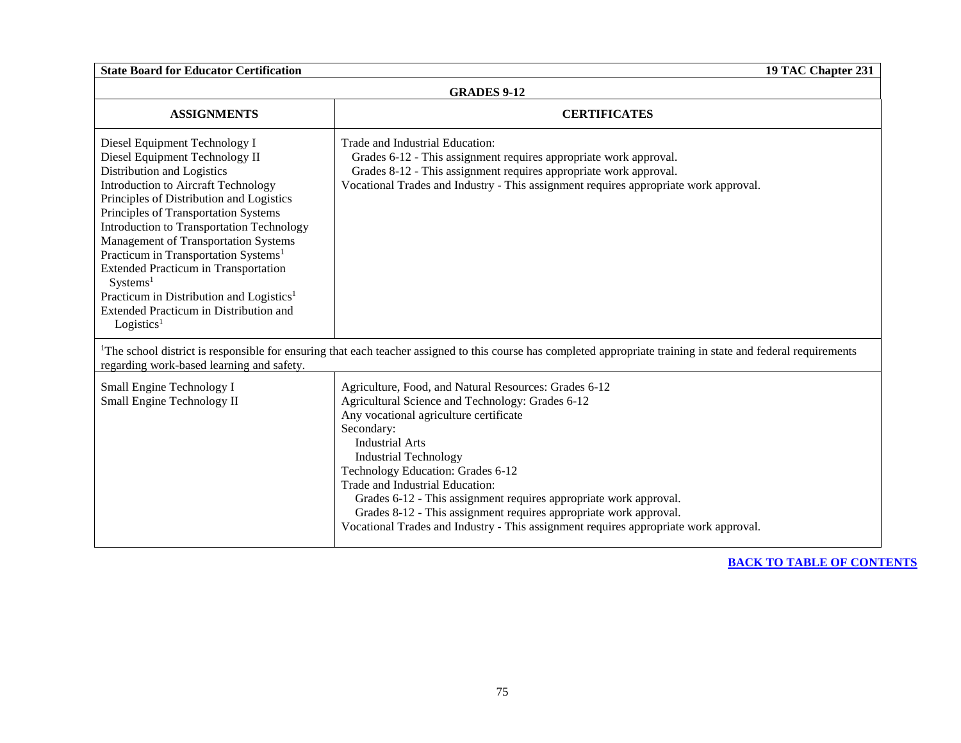**State Board for Educator Certification 19 TAC Chapter 231**

### **GRADES 9-12**

| <b>ASSIGNMENTS</b>                                                                                                                                                                                                                                                                                                                                                                                                                                                                                                                                                          | <b>CERTIFICATES</b>                                                                                                                                                                                                                                                                                                                                                                                                                                                                                                                   |  |
|-----------------------------------------------------------------------------------------------------------------------------------------------------------------------------------------------------------------------------------------------------------------------------------------------------------------------------------------------------------------------------------------------------------------------------------------------------------------------------------------------------------------------------------------------------------------------------|---------------------------------------------------------------------------------------------------------------------------------------------------------------------------------------------------------------------------------------------------------------------------------------------------------------------------------------------------------------------------------------------------------------------------------------------------------------------------------------------------------------------------------------|--|
| Diesel Equipment Technology I<br>Diesel Equipment Technology II<br>Distribution and Logistics<br><b>Introduction to Aircraft Technology</b><br>Principles of Distribution and Logistics<br>Principles of Transportation Systems<br>Introduction to Transportation Technology<br>Management of Transportation Systems<br>Practicum in Transportation Systems <sup>1</sup><br><b>Extended Practicum in Transportation</b><br>Systems <sup>1</sup><br>Practicum in Distribution and Logistics <sup>1</sup><br>Extended Practicum in Distribution and<br>Logistics <sup>1</sup> | Trade and Industrial Education:<br>Grades 6-12 - This assignment requires appropriate work approval.<br>Grades 8-12 - This assignment requires appropriate work approval.<br>Vocational Trades and Industry - This assignment requires appropriate work approval.                                                                                                                                                                                                                                                                     |  |
| regarding work-based learning and safety.                                                                                                                                                                                                                                                                                                                                                                                                                                                                                                                                   | <sup>1</sup> The school district is responsible for ensuring that each teacher assigned to this course has completed appropriate training in state and federal requirements                                                                                                                                                                                                                                                                                                                                                           |  |
| Small Engine Technology I<br>Small Engine Technology II                                                                                                                                                                                                                                                                                                                                                                                                                                                                                                                     | Agriculture, Food, and Natural Resources: Grades 6-12<br>Agricultural Science and Technology: Grades 6-12<br>Any vocational agriculture certificate<br>Secondary:<br><b>Industrial Arts</b><br><b>Industrial Technology</b><br>Technology Education: Grades 6-12<br>Trade and Industrial Education:<br>Grades 6-12 - This assignment requires appropriate work approval.<br>Grades 8-12 - This assignment requires appropriate work approval.<br>Vocational Trades and Industry - This assignment requires appropriate work approval. |  |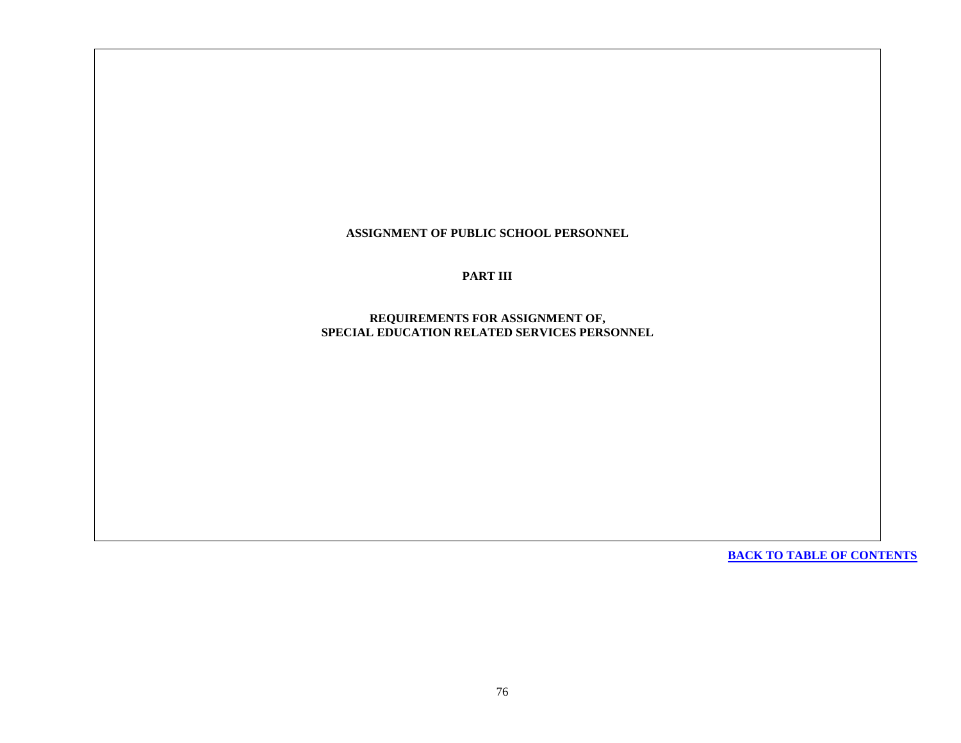**ASSIGNMENT OF PUBLIC SCHOOL PERSONNEL**

**PART III** 

**REQUIREMENTS FOR ASSIGNMENT OF, SPECIAL EDUCATION RELATED SERVICES PERSONNEL**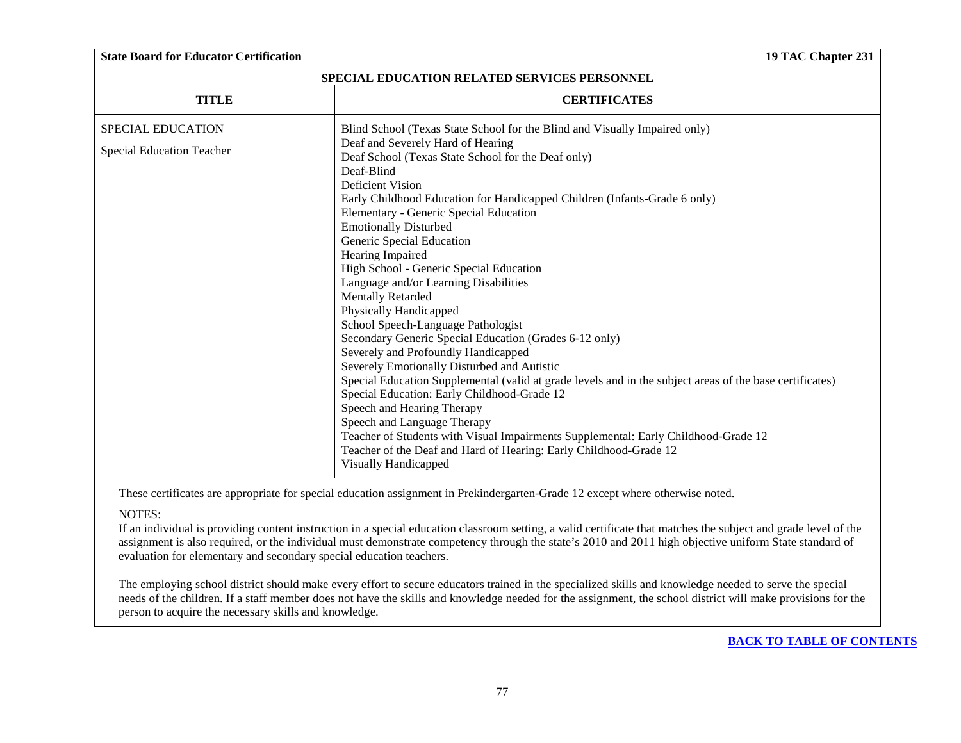### **State Board for Educator Certification 19 TAC Chapter 231**

| <b>SPECIAL EDUCATION RELATED SERVICES PERSONNEL</b> |                                                                                                                                                                                       |  |
|-----------------------------------------------------|---------------------------------------------------------------------------------------------------------------------------------------------------------------------------------------|--|
| <b>TITLE</b>                                        | <b>CERTIFICATES</b>                                                                                                                                                                   |  |
| <b>SPECIAL EDUCATION</b>                            | Blind School (Texas State School for the Blind and Visually Impaired only)                                                                                                            |  |
| <b>Special Education Teacher</b>                    | Deaf and Severely Hard of Hearing<br>Deaf School (Texas State School for the Deaf only)<br>Deaf-Blind                                                                                 |  |
|                                                     | <b>Deficient Vision</b><br>Early Childhood Education for Handicapped Children (Infants-Grade 6 only)<br>Elementary - Generic Special Education                                        |  |
|                                                     | <b>Emotionally Disturbed</b><br>Generic Special Education                                                                                                                             |  |
|                                                     | Hearing Impaired<br>High School - Generic Special Education<br>Language and/or Learning Disabilities                                                                                  |  |
|                                                     | <b>Mentally Retarded</b><br>Physically Handicapped                                                                                                                                    |  |
|                                                     | School Speech-Language Pathologist<br>Secondary Generic Special Education (Grades 6-12 only)                                                                                          |  |
|                                                     | Severely and Profoundly Handicapped<br>Severely Emotionally Disturbed and Autistic                                                                                                    |  |
|                                                     | Special Education Supplemental (valid at grade levels and in the subject areas of the base certificates)<br>Special Education: Early Childhood-Grade 12<br>Speech and Hearing Therapy |  |
|                                                     | Speech and Language Therapy<br>Teacher of Students with Visual Impairments Supplemental: Early Childhood-Grade 12                                                                     |  |
|                                                     | Teacher of the Deaf and Hard of Hearing: Early Childhood-Grade 12<br>Visually Handicapped                                                                                             |  |

These certificates are appropriate for special education assignment in Prekindergarten-Grade 12 except where otherwise noted.

### NOTES:

If an individual is providing content instruction in a special education classroom setting, a valid certificate that matches the subject and grade level of the assignment is also required, or the individual must demonstrate competency through the state's 2010 and 2011 high objective uniform State standard of evaluation for elementary and secondary special education teachers.

The employing school district should make every effort to secure educators trained in the specialized skills and knowledge needed to serve the special needs of the children. If a staff member does not have the skills and knowledge needed for the assignment, the school district will make provisions for the person to acquire the necessary skills and knowledge.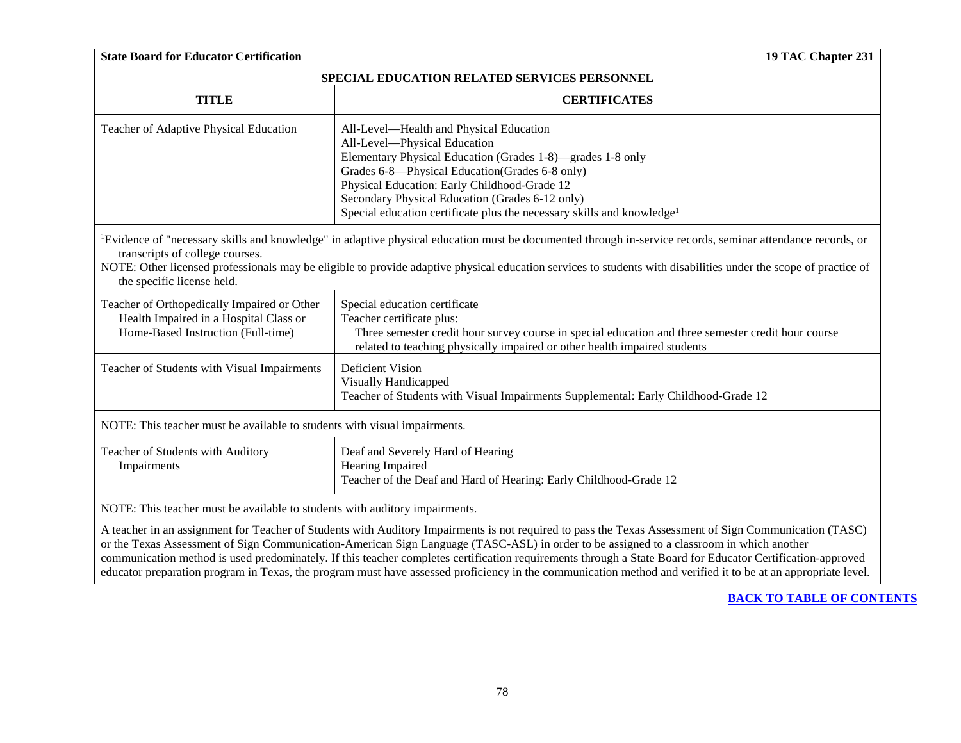| <b>State Board for Educator Certification</b><br>19 TAC Chapter 231                                                                                                                                                                                                                                                                                                                                        |                                                                                                                                                                                                                                                                                                                                                                                   |  |
|------------------------------------------------------------------------------------------------------------------------------------------------------------------------------------------------------------------------------------------------------------------------------------------------------------------------------------------------------------------------------------------------------------|-----------------------------------------------------------------------------------------------------------------------------------------------------------------------------------------------------------------------------------------------------------------------------------------------------------------------------------------------------------------------------------|--|
| SPECIAL EDUCATION RELATED SERVICES PERSONNEL                                                                                                                                                                                                                                                                                                                                                               |                                                                                                                                                                                                                                                                                                                                                                                   |  |
| <b>TITLE</b>                                                                                                                                                                                                                                                                                                                                                                                               | <b>CERTIFICATES</b>                                                                                                                                                                                                                                                                                                                                                               |  |
| Teacher of Adaptive Physical Education                                                                                                                                                                                                                                                                                                                                                                     | All-Level-Health and Physical Education<br>All-Level-Physical Education<br>Elementary Physical Education (Grades 1-8)—grades 1-8 only<br>Grades 6-8—Physical Education (Grades 6-8 only)<br>Physical Education: Early Childhood-Grade 12<br>Secondary Physical Education (Grades 6-12 only)<br>Special education certificate plus the necessary skills and knowledge <sup>1</sup> |  |
| <sup>1</sup> Evidence of "necessary skills and knowledge" in adaptive physical education must be documented through in-service records, seminar attendance records, or<br>transcripts of college courses.<br>NOTE: Other licensed professionals may be eligible to provide adaptive physical education services to students with disabilities under the scope of practice of<br>the specific license held. |                                                                                                                                                                                                                                                                                                                                                                                   |  |
| Teacher of Orthopedically Impaired or Other<br>Health Impaired in a Hospital Class or<br>Home-Based Instruction (Full-time)                                                                                                                                                                                                                                                                                | Special education certificate<br>Teacher certificate plus:<br>Three semester credit hour survey course in special education and three semester credit hour course<br>related to teaching physically impaired or other health impaired students                                                                                                                                    |  |
| Teacher of Students with Visual Impairments                                                                                                                                                                                                                                                                                                                                                                | Deficient Vision<br><b>Visually Handicapped</b><br>Teacher of Students with Visual Impairments Supplemental: Early Childhood-Grade 12                                                                                                                                                                                                                                             |  |
| NOTE: This teacher must be available to students with visual impairments.                                                                                                                                                                                                                                                                                                                                  |                                                                                                                                                                                                                                                                                                                                                                                   |  |
| Teacher of Students with Auditory<br>Impairments                                                                                                                                                                                                                                                                                                                                                           | Deaf and Severely Hard of Hearing<br>Hearing Impaired<br>Teacher of the Deaf and Hard of Hearing: Early Childhood-Grade 12                                                                                                                                                                                                                                                        |  |
| NOTE: This teacher must be available to students with auditory impairments.                                                                                                                                                                                                                                                                                                                                | A teacher in an assignment for Teacher of Students with Auditory Impairments is not required to pass the Texas Assessment of Sign Communication (TASC)<br>or the Texas Assessment of Sign Communication-American Sign Language (TASC-ASL) in order to be assigned to a classroom in which another                                                                                 |  |

communication method is used predominately. If this teacher completes certification requirements through a State Board for Educator Certification-approved educator preparation program in Texas, the program must have assessed proficiency in the communication method and verified it to be at an appropriate level.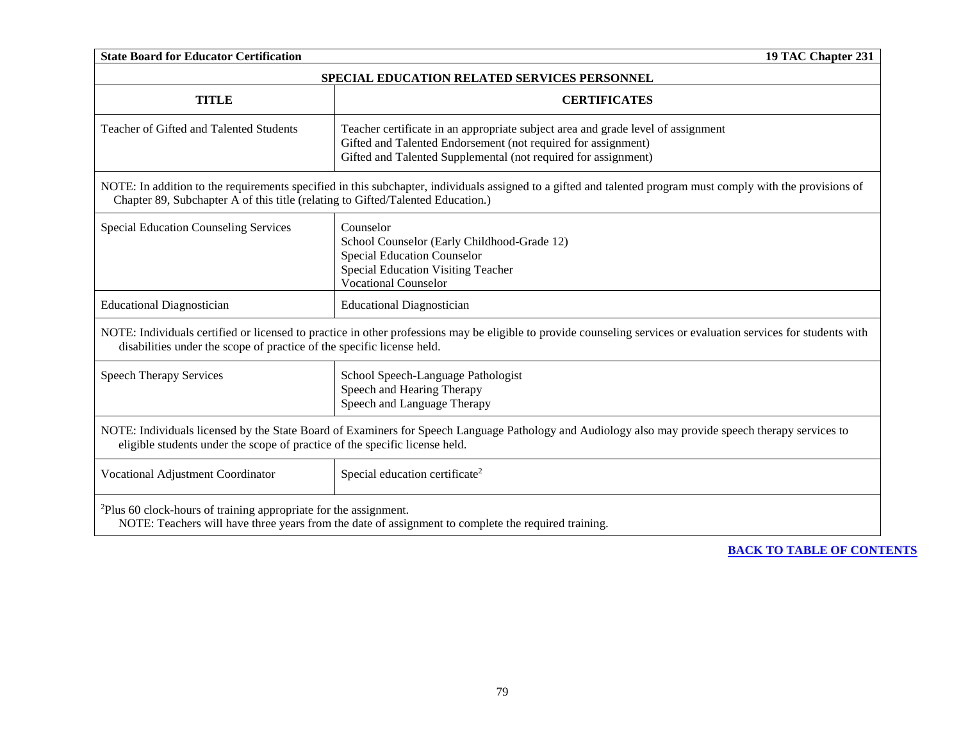| <b>State Board for Educator Certification</b><br>19 TAC Chapter 231                                                                                                                                                               |                                                                                                                                                                                                                     |  |
|-----------------------------------------------------------------------------------------------------------------------------------------------------------------------------------------------------------------------------------|---------------------------------------------------------------------------------------------------------------------------------------------------------------------------------------------------------------------|--|
| SPECIAL EDUCATION RELATED SERVICES PERSONNEL                                                                                                                                                                                      |                                                                                                                                                                                                                     |  |
| <b>TITLE</b>                                                                                                                                                                                                                      | <b>CERTIFICATES</b>                                                                                                                                                                                                 |  |
| Teacher of Gifted and Talented Students                                                                                                                                                                                           | Teacher certificate in an appropriate subject area and grade level of assignment<br>Gifted and Talented Endorsement (not required for assignment)<br>Gifted and Talented Supplemental (not required for assignment) |  |
| Chapter 89, Subchapter A of this title (relating to Gifted/Talented Education.)                                                                                                                                                   | NOTE: In addition to the requirements specified in this subchapter, individuals assigned to a gifted and talented program must comply with the provisions of                                                        |  |
| <b>Special Education Counseling Services</b>                                                                                                                                                                                      | Counselor<br>School Counselor (Early Childhood-Grade 12)<br><b>Special Education Counselor</b><br><b>Special Education Visiting Teacher</b><br><b>Vocational Counselor</b>                                          |  |
| <b>Educational Diagnostician</b>                                                                                                                                                                                                  | <b>Educational Diagnostician</b>                                                                                                                                                                                    |  |
| disabilities under the scope of practice of the specific license held.                                                                                                                                                            | NOTE: Individuals certified or licensed to practice in other professions may be eligible to provide counseling services or evaluation services for students with                                                    |  |
| <b>Speech Therapy Services</b>                                                                                                                                                                                                    | School Speech-Language Pathologist<br>Speech and Hearing Therapy<br>Speech and Language Therapy                                                                                                                     |  |
| NOTE: Individuals licensed by the State Board of Examiners for Speech Language Pathology and Audiology also may provide speech therapy services to<br>eligible students under the scope of practice of the specific license held. |                                                                                                                                                                                                                     |  |
| Vocational Adjustment Coordinator                                                                                                                                                                                                 | Special education certificate <sup>2</sup>                                                                                                                                                                          |  |
| <sup>2</sup> Plus 60 clock-hours of training appropriate for the assignment.                                                                                                                                                      | NOTE: Teachers will have three years from the date of assignment to complete the required training.                                                                                                                 |  |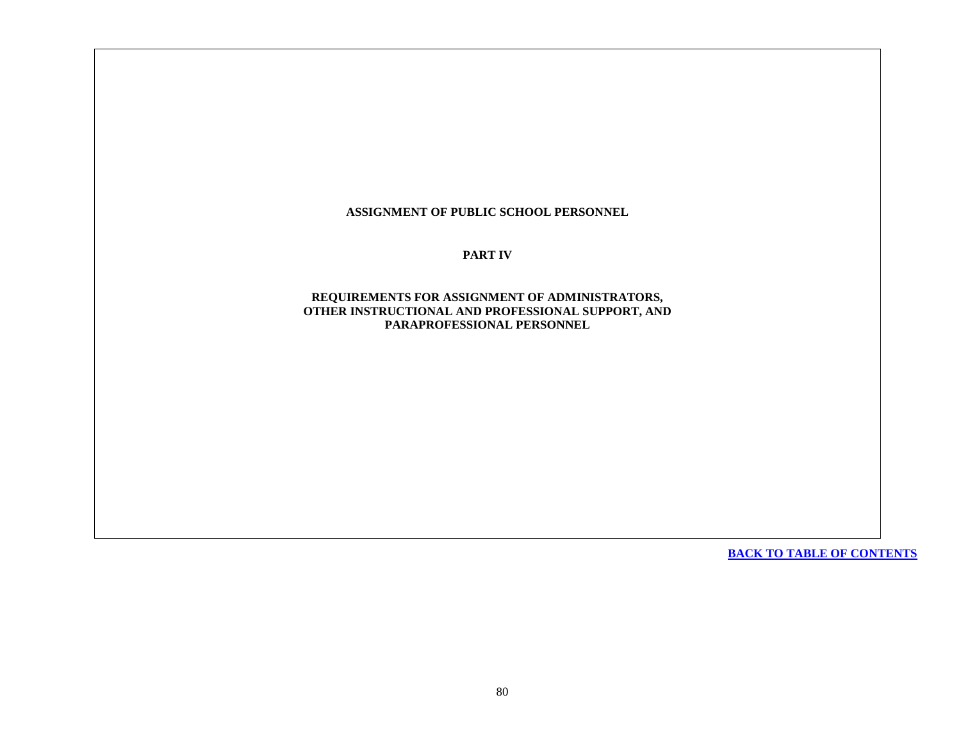**ASSIGNMENT OF PUBLIC SCHOOL PERSONNEL**

**PART IV**

**REQUIREMENTS FOR ASSIGNMENT OF ADMINISTRATORS, OTHER INSTRUCTIONAL AND PROFESSIONAL SUPPORT, AND PARAPROFESSIONAL PERSONNEL**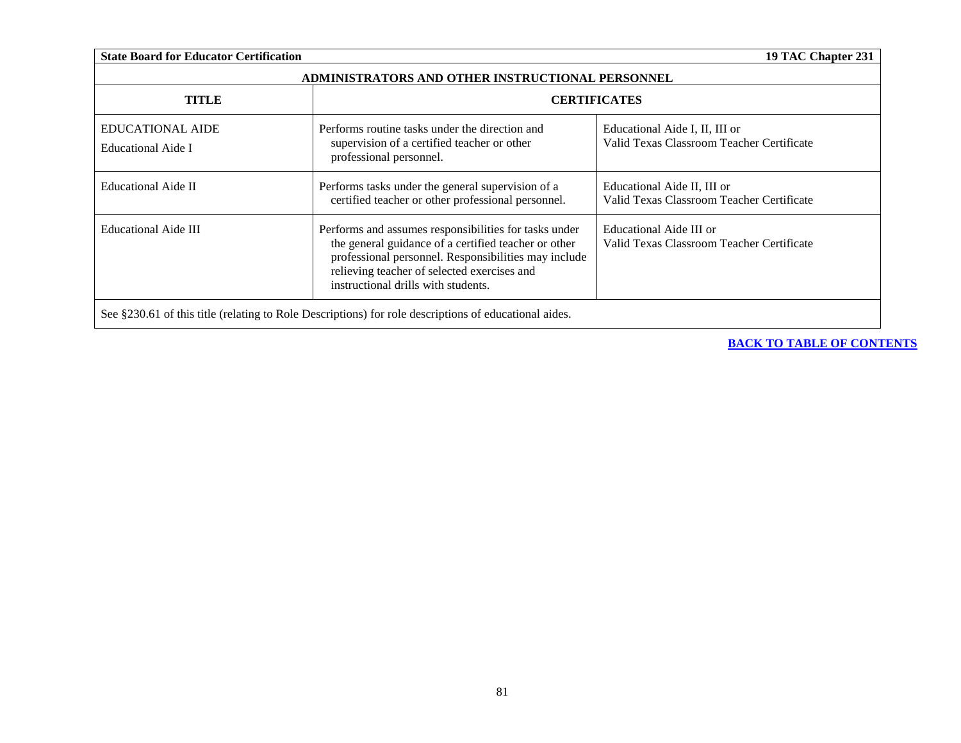| <b>State Board for Educator Certification</b>                                                         |                                                                                                                                                                                                                                                             | 19 TAC Chapter 231                                                          |  |
|-------------------------------------------------------------------------------------------------------|-------------------------------------------------------------------------------------------------------------------------------------------------------------------------------------------------------------------------------------------------------------|-----------------------------------------------------------------------------|--|
| ADMINISTRATORS AND OTHER INSTRUCTIONAL PERSONNEL                                                      |                                                                                                                                                                                                                                                             |                                                                             |  |
| TITLE                                                                                                 | <b>CERTIFICATES</b>                                                                                                                                                                                                                                         |                                                                             |  |
| <b>EDUCATIONAL AIDE</b><br>Educational Aide I                                                         | Performs routine tasks under the direction and<br>supervision of a certified teacher or other<br>professional personnel.                                                                                                                                    | Educational Aide I, II, III or<br>Valid Texas Classroom Teacher Certificate |  |
| Educational Aide II                                                                                   | Performs tasks under the general supervision of a<br>certified teacher or other professional personnel.                                                                                                                                                     | Educational Aide II, III or<br>Valid Texas Classroom Teacher Certificate    |  |
| Educational Aide III                                                                                  | Performs and assumes responsibilities for tasks under<br>the general guidance of a certified teacher or other<br>professional personnel. Responsibilities may include<br>relieving teacher of selected exercises and<br>instructional drills with students. | Educational Aide III or<br>Valid Texas Classroom Teacher Certificate        |  |
| See §230.61 of this title (relating to Role Descriptions) for role descriptions of educational aides. |                                                                                                                                                                                                                                                             |                                                                             |  |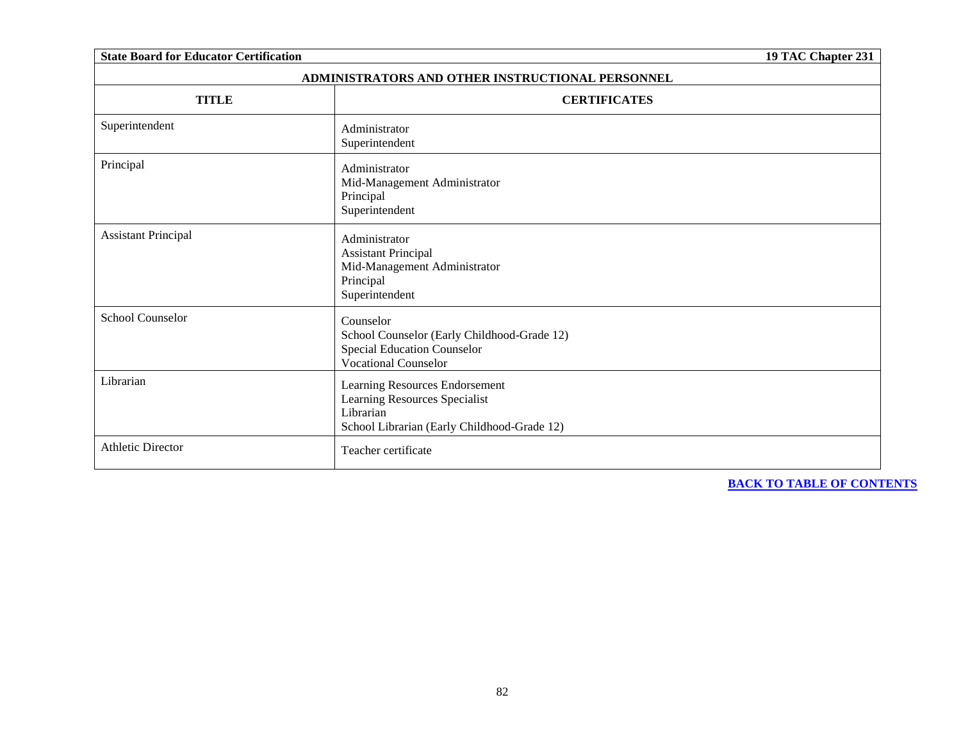| <b>State Board for Educator Certification</b>    |                                                                                                                             | 19 TAC Chapter 231 |  |
|--------------------------------------------------|-----------------------------------------------------------------------------------------------------------------------------|--------------------|--|
| ADMINISTRATORS AND OTHER INSTRUCTIONAL PERSONNEL |                                                                                                                             |                    |  |
| <b>TITLE</b>                                     | <b>CERTIFICATES</b>                                                                                                         |                    |  |
| Superintendent                                   | Administrator<br>Superintendent                                                                                             |                    |  |
| Principal                                        | Administrator<br>Mid-Management Administrator<br>Principal<br>Superintendent                                                |                    |  |
| <b>Assistant Principal</b>                       | Administrator<br><b>Assistant Principal</b><br>Mid-Management Administrator<br>Principal<br>Superintendent                  |                    |  |
| <b>School Counselor</b>                          | Counselor<br>School Counselor (Early Childhood-Grade 12)<br>Special Education Counselor<br><b>Vocational Counselor</b>      |                    |  |
| Librarian                                        | Learning Resources Endorsement<br>Learning Resources Specialist<br>Librarian<br>School Librarian (Early Childhood-Grade 12) |                    |  |
| <b>Athletic Director</b>                         | Teacher certificate                                                                                                         |                    |  |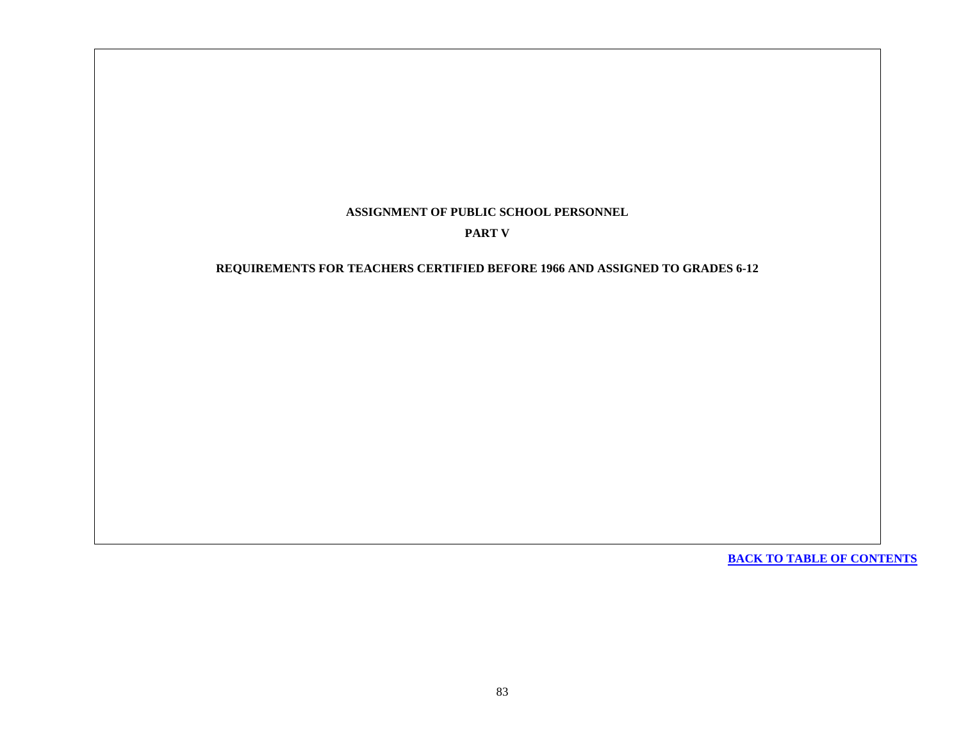## **ASSIGNMENT OF PUBLIC SCHOOL PERSONNEL**

## **PART V**

## **REQUIREMENTS FOR TEACHERS CERTIFIED BEFORE 1966 AND ASSIGNED TO GRADES 6-12**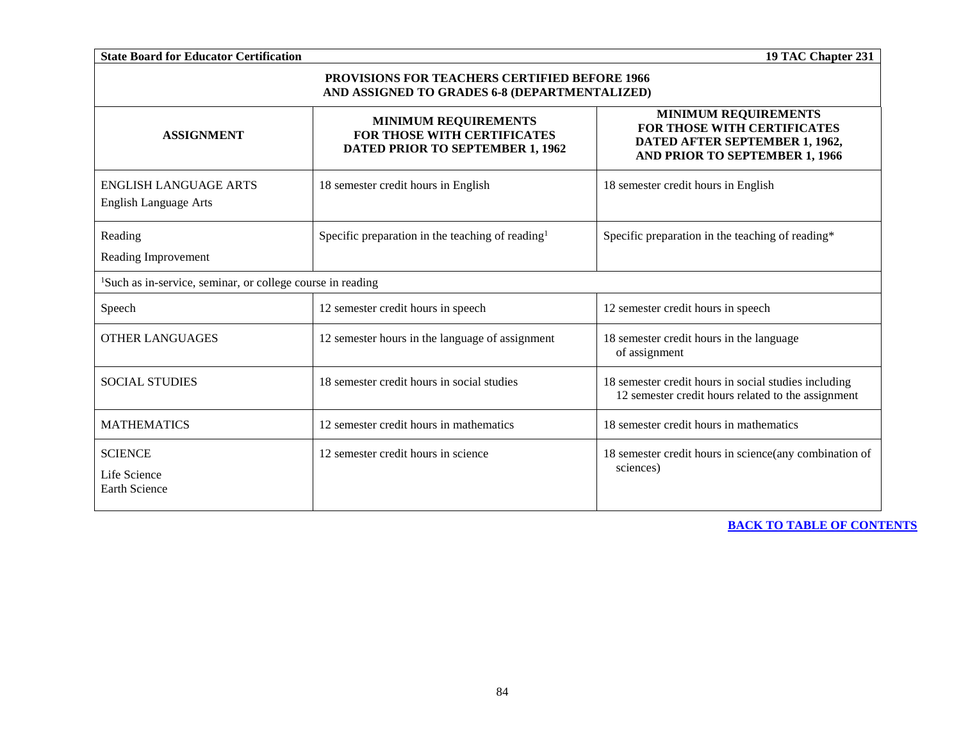| <b>State Board for Educator Certification</b><br>19 TAC Chapter 231                            |                                                                                                |                                                                                                                                       |  |
|------------------------------------------------------------------------------------------------|------------------------------------------------------------------------------------------------|---------------------------------------------------------------------------------------------------------------------------------------|--|
| PROVISIONS FOR TEACHERS CERTIFIED BEFORE 1966<br>AND ASSIGNED TO GRADES 6-8 (DEPARTMENTALIZED) |                                                                                                |                                                                                                                                       |  |
| <b>ASSIGNMENT</b>                                                                              | <b>MINIMUM REQUIREMENTS</b><br>FOR THOSE WITH CERTIFICATES<br>DATED PRIOR TO SEPTEMBER 1, 1962 | <b>MINIMUM REQUIREMENTS</b><br><b>FOR THOSE WITH CERTIFICATES</b><br>DATED AFTER SEPTEMBER 1, 1962,<br>AND PRIOR TO SEPTEMBER 1, 1966 |  |
| <b>ENGLISH LANGUAGE ARTS</b><br><b>English Language Arts</b>                                   | 18 semester credit hours in English                                                            | 18 semester credit hours in English                                                                                                   |  |
| Reading<br>Reading Improvement                                                                 | Specific preparation in the teaching of reading $\ell$                                         | Specific preparation in the teaching of reading*                                                                                      |  |
| <sup>1</sup> Such as in-service, seminar, or college course in reading                         |                                                                                                |                                                                                                                                       |  |
| Speech                                                                                         | 12 semester credit hours in speech                                                             | 12 semester credit hours in speech                                                                                                    |  |
| <b>OTHER LANGUAGES</b>                                                                         | 12 semester hours in the language of assignment                                                | 18 semester credit hours in the language<br>of assignment                                                                             |  |
| <b>SOCIAL STUDIES</b>                                                                          | 18 semester credit hours in social studies                                                     | 18 semester credit hours in social studies including<br>12 semester credit hours related to the assignment                            |  |
| <b>MATHEMATICS</b>                                                                             | 12 semester credit hours in mathematics                                                        | 18 semester credit hours in mathematics                                                                                               |  |
| <b>SCIENCE</b><br>Life Science<br><b>Earth Science</b>                                         | 12 semester credit hours in science                                                            | 18 semester credit hours in science(any combination of<br>sciences)                                                                   |  |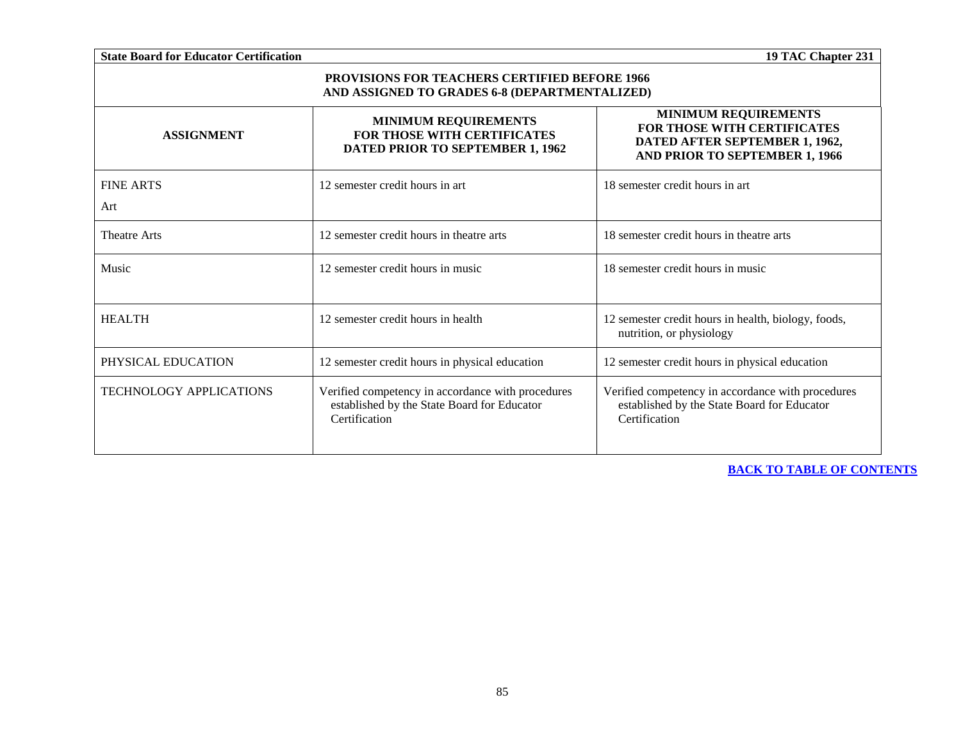| <b>State Board for Educator Certification</b>                                                         |                                                                                                                   | 19 TAC Chapter 231                                                                                                                    |
|-------------------------------------------------------------------------------------------------------|-------------------------------------------------------------------------------------------------------------------|---------------------------------------------------------------------------------------------------------------------------------------|
| <b>PROVISIONS FOR TEACHERS CERTIFIED BEFORE 1966</b><br>AND ASSIGNED TO GRADES 6-8 (DEPARTMENTALIZED) |                                                                                                                   |                                                                                                                                       |
| <b>ASSIGNMENT</b>                                                                                     | <b>MINIMUM REQUIREMENTS</b><br>FOR THOSE WITH CERTIFICATES<br>DATED PRIOR TO SEPTEMBER 1, 1962                    | <b>MINIMUM REQUIREMENTS</b><br><b>FOR THOSE WITH CERTIFICATES</b><br>DATED AFTER SEPTEMBER 1, 1962,<br>AND PRIOR TO SEPTEMBER 1, 1966 |
| <b>FINE ARTS</b>                                                                                      | 12 semester credit hours in art                                                                                   | 18 semester credit hours in art                                                                                                       |
| Art                                                                                                   |                                                                                                                   |                                                                                                                                       |
| <b>Theatre Arts</b>                                                                                   | 12 semester credit hours in theatre arts                                                                          | 18 semester credit hours in theatre arts                                                                                              |
| Music                                                                                                 | 12 semester credit hours in music                                                                                 | 18 semester credit hours in music                                                                                                     |
| <b>HEALTH</b>                                                                                         | 12 semester credit hours in health                                                                                | 12 semester credit hours in health, biology, foods,<br>nutrition, or physiology                                                       |
| PHYSICAL EDUCATION                                                                                    | 12 semester credit hours in physical education                                                                    | 12 semester credit hours in physical education                                                                                        |
| <b>TECHNOLOGY APPLICATIONS</b>                                                                        | Verified competency in accordance with procedures<br>established by the State Board for Educator<br>Certification | Verified competency in accordance with procedures<br>established by the State Board for Educator<br>Certification                     |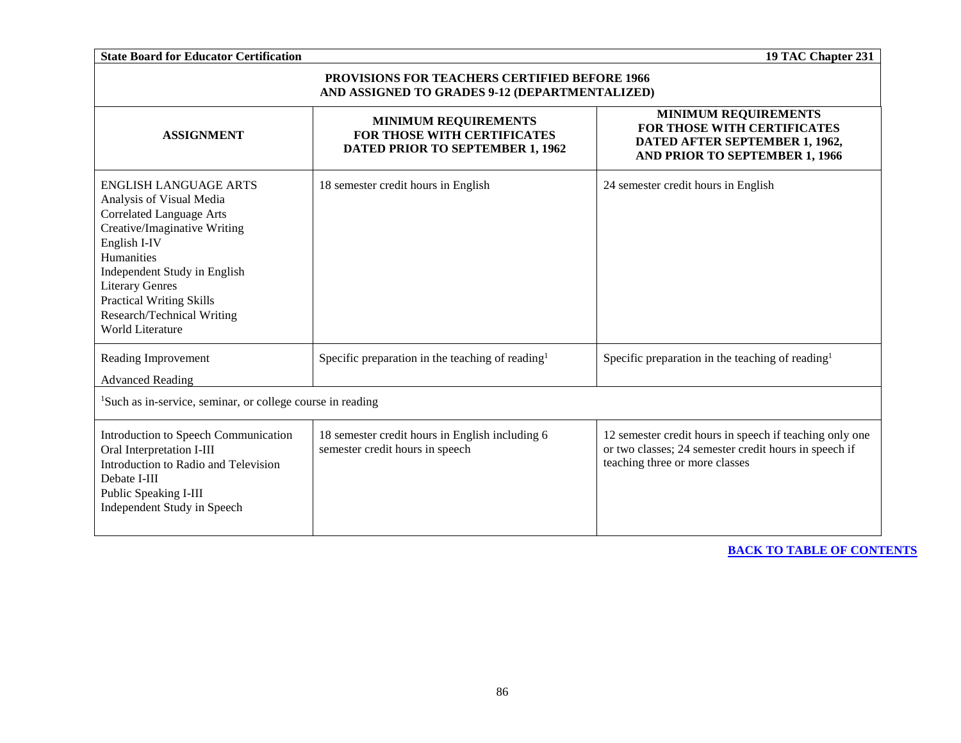| <b>State Board for Educator Certification</b><br>19 TAC Chapter 231                                                                                                                                                                                                                                             |                                                                                                |                                                                                                                                                    |  |
|-----------------------------------------------------------------------------------------------------------------------------------------------------------------------------------------------------------------------------------------------------------------------------------------------------------------|------------------------------------------------------------------------------------------------|----------------------------------------------------------------------------------------------------------------------------------------------------|--|
| <b>PROVISIONS FOR TEACHERS CERTIFIED BEFORE 1966</b><br>AND ASSIGNED TO GRADES 9-12 (DEPARTMENTALIZED)                                                                                                                                                                                                          |                                                                                                |                                                                                                                                                    |  |
| <b>ASSIGNMENT</b>                                                                                                                                                                                                                                                                                               | <b>MINIMUM REQUIREMENTS</b><br>FOR THOSE WITH CERTIFICATES<br>DATED PRIOR TO SEPTEMBER 1, 1962 | <b>MINIMUM REQUIREMENTS</b><br>FOR THOSE WITH CERTIFICATES<br>DATED AFTER SEPTEMBER 1, 1962,<br>AND PRIOR TO SEPTEMBER 1, 1966                     |  |
| <b>ENGLISH LANGUAGE ARTS</b><br>Analysis of Visual Media<br><b>Correlated Language Arts</b><br>Creative/Imaginative Writing<br>English I-IV<br>Humanities<br>Independent Study in English<br><b>Literary Genres</b><br><b>Practical Writing Skills</b><br>Research/Technical Writing<br><b>World Literature</b> | 18 semester credit hours in English                                                            | 24 semester credit hours in English                                                                                                                |  |
| Reading Improvement<br><b>Advanced Reading</b>                                                                                                                                                                                                                                                                  | Specific preparation in the teaching of reading <sup>1</sup>                                   | Specific preparation in the teaching of reading <sup>1</sup>                                                                                       |  |
| <sup>1</sup> Such as in-service, seminar, or college course in reading                                                                                                                                                                                                                                          |                                                                                                |                                                                                                                                                    |  |
| Introduction to Speech Communication<br>Oral Interpretation I-III<br>Introduction to Radio and Television<br>Debate I-III<br>Public Speaking I-III<br>Independent Study in Speech                                                                                                                               | 18 semester credit hours in English including 6<br>semester credit hours in speech             | 12 semester credit hours in speech if teaching only one<br>or two classes; 24 semester credit hours in speech if<br>teaching three or more classes |  |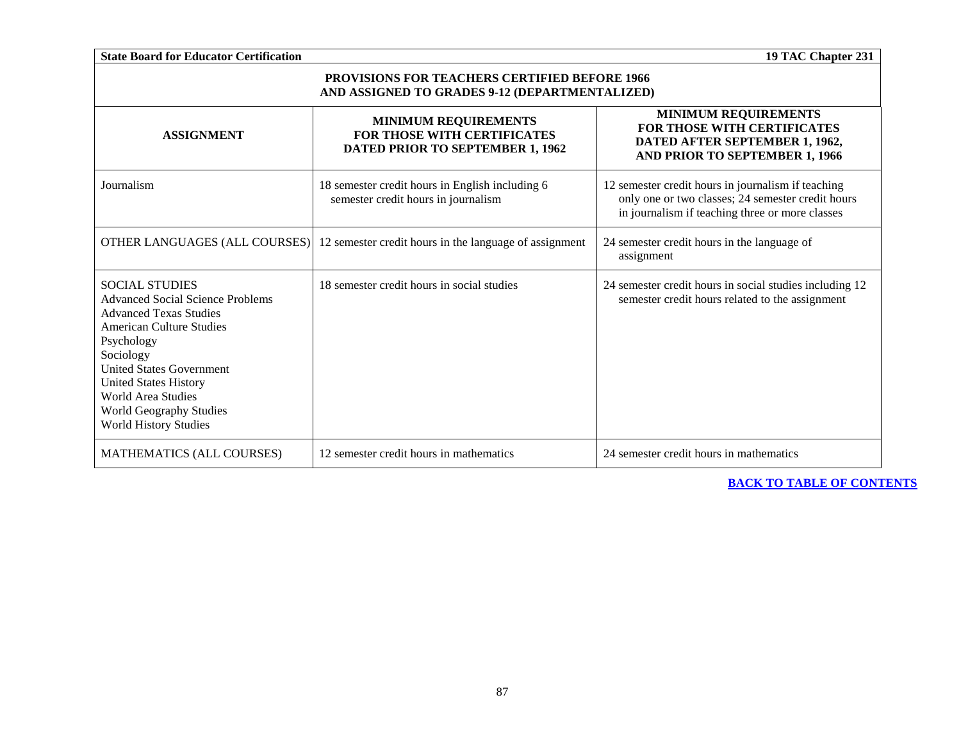| <b>State Board for Educator Certification</b>                                                                                                                                                                                                                                                                                     |                                                                                                | 19 TAC Chapter 231                                                                                                                                         |
|-----------------------------------------------------------------------------------------------------------------------------------------------------------------------------------------------------------------------------------------------------------------------------------------------------------------------------------|------------------------------------------------------------------------------------------------|------------------------------------------------------------------------------------------------------------------------------------------------------------|
| <b>PROVISIONS FOR TEACHERS CERTIFIED BEFORE 1966</b><br>AND ASSIGNED TO GRADES 9-12 (DEPARTMENTALIZED)                                                                                                                                                                                                                            |                                                                                                |                                                                                                                                                            |
| <b>ASSIGNMENT</b>                                                                                                                                                                                                                                                                                                                 | <b>MINIMUM REQUIREMENTS</b><br>FOR THOSE WITH CERTIFICATES<br>DATED PRIOR TO SEPTEMBER 1, 1962 | <b>MINIMUM REQUIREMENTS</b><br>FOR THOSE WITH CERTIFICATES<br>DATED AFTER SEPTEMBER 1, 1962,<br>AND PRIOR TO SEPTEMBER 1, 1966                             |
| Journalism                                                                                                                                                                                                                                                                                                                        | 18 semester credit hours in English including 6<br>semester credit hours in journalism         | 12 semester credit hours in journalism if teaching<br>only one or two classes; 24 semester credit hours<br>in journalism if teaching three or more classes |
| OTHER LANGUAGES (ALL COURSES)                                                                                                                                                                                                                                                                                                     | 12 semester credit hours in the language of assignment                                         | 24 semester credit hours in the language of<br>assignment                                                                                                  |
| <b>SOCIAL STUDIES</b><br><b>Advanced Social Science Problems</b><br><b>Advanced Texas Studies</b><br><b>American Culture Studies</b><br>Psychology<br>Sociology<br><b>United States Government</b><br><b>United States History</b><br><b>World Area Studies</b><br><b>World Geography Studies</b><br><b>World History Studies</b> | 18 semester credit hours in social studies                                                     | 24 semester credit hours in social studies including 12<br>semester credit hours related to the assignment                                                 |
| MATHEMATICS (ALL COURSES)                                                                                                                                                                                                                                                                                                         | 12 semester credit hours in mathematics                                                        | 24 semester credit hours in mathematics                                                                                                                    |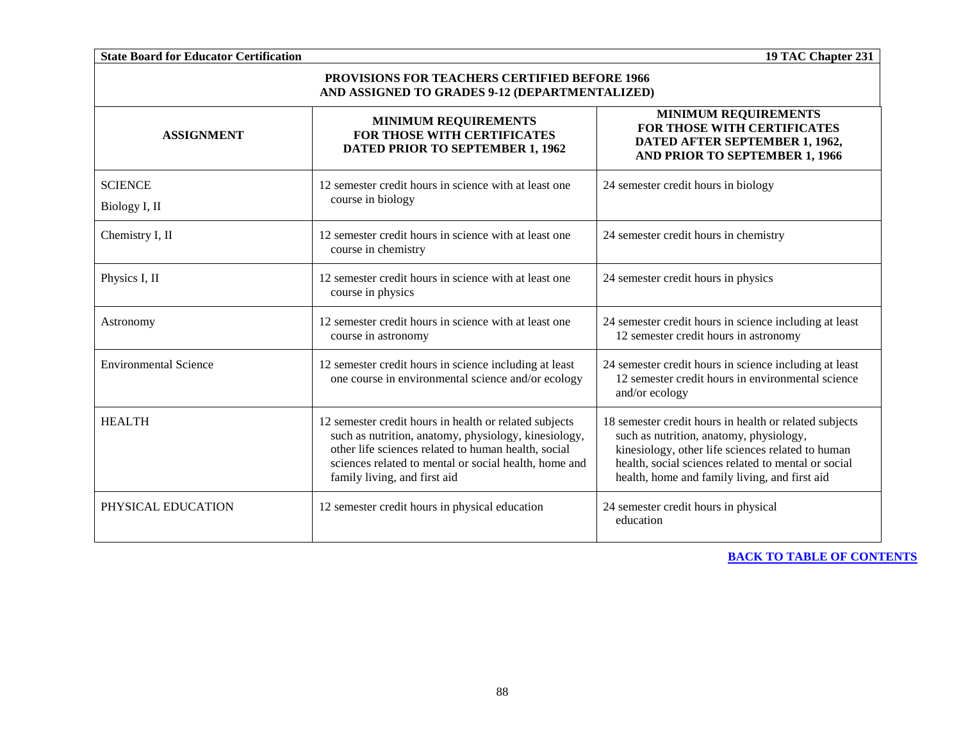**State Board for Educator Certification 19 TAC Chapter 231 PROVISIONS FOR TEACHERS CERTIFIED BEFORE 1966 AND ASSIGNED TO GRADES 9-12 (DEPARTMENTALIZED) ASSIGNMENT MINIMUM REQUIREMENTS FOR THOSE WITH CERTIFICATES DATED PRIOR TO SEPTEMBER 1, 1962 MINIMUM REQUIREMENTS FOR THOSE WITH CERTIFICATES DATED AFTER SEPTEMBER 1, 1962, AND PRIOR TO SEPTEMBER 1, 1966 SCIENCE** Biology I, II 12 semester credit hours in science with at least one course in biology 24 semester credit hours in biology Chemistry I, II 12 semester credit hours in science with at least one course in chemistry 24 semester credit hours in chemistry Physics I, II 12 semester credit hours in science with at least one course in physics 24 semester credit hours in physics Astronomy 12 semester credit hours in science with at least one course in astronomy 24 semester credit hours in science including at least 12 semester credit hours in astronomy Environmental Science 12 semester credit hours in science including at least one course in environmental science and/or ecology 24 semester credit hours in science including at least 12 semester credit hours in environmental science and/or ecology HEALTH 12 semester credit hours in health or related subjects such as nutrition, anatomy, physiology, kinesiology, other life sciences related to human health, social sciences related to mental or social health, home and family living, and first aid 18 semester credit hours in health or related subjects such as nutrition, anatomy, physiology, kinesiology, other life sciences related to human health, social sciences related to mental or social health, home and family living, and first aid PHYSICAL EDUCATION 12 semester credit hours in physical education 24 semester credit hours in physical education